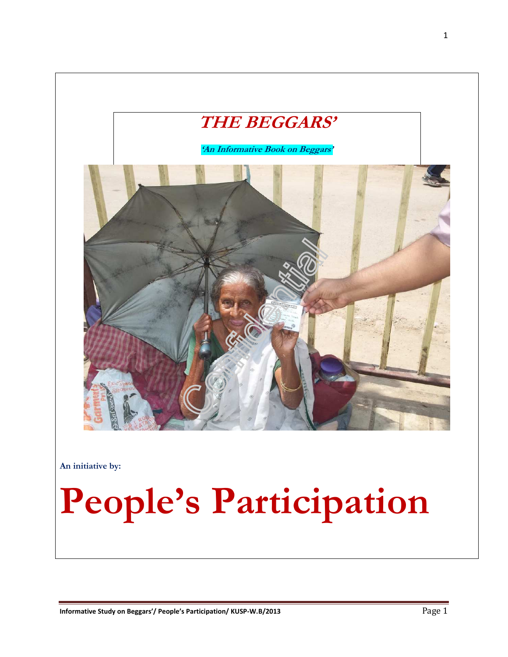

**An initiative by:** 

# **People's Participation**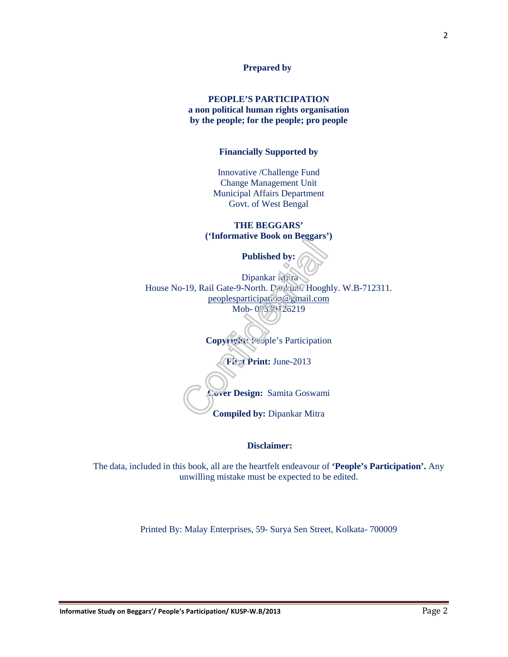#### **Prepared by**

#### **PEOPLE'S PARTICIPATION a non political human rights organisation by the people; for the people; pro people**

#### **Financially Supported by**

Innovative /Challenge Fund Change Management Unit Municipal Affairs Department Govt. of West Bengal

**THE BEGGARS' ('Informative Book on Beggars')** 

**Published by:** 

Dipankar Mitra House No-19, Rail Gate-9-North. Dankuni. Hooghly. W.B-712311. peoplesparticipation@gmail.com Mob- 09339126219

**Copyright:** People's Participation

**First Print:** June-2013

**Cover Design:** Samita Goswami

**Compiled by:** Dipankar Mitra

 **Disclaimer:** 

The data, included in this book, all are the heartfelt endeavour of **'People's Participation'.** Any unwilling mistake must be expected to be edited.

Printed By: Malay Enterprises, 59- Surya Sen Street, Kolkata- 700009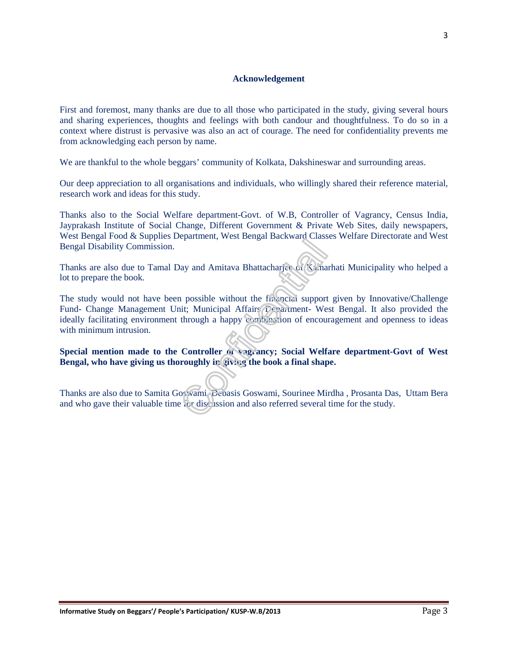#### **Acknowledgement**

First and foremost, many thanks are due to all those who participated in the study, giving several hours and sharing experiences, thoughts and feelings with both candour and thoughtfulness. To do so in a context where distrust is pervasive was also an act of courage. The need for confidentiality prevents me from acknowledging each person by name.

We are thankful to the whole beggars' community of Kolkata, Dakshineswar and surrounding areas.

Our deep appreciation to all organisations and individuals, who willingly shared their reference material, research work and ideas for this study.

Thanks also to the Social Welfare department-Govt. of W.B, Controller of Vagrancy, Census India, Jayprakash Institute of Social Change, Different Government & Private Web Sites, daily newspapers, West Bengal Food & Supplies Department, West Bengal Backward Classes Welfare Directorate and West Bengal Disability Commission.

Thanks are also due to Tamal Day and Amitava Bhattacharjee of Kamarhati Municipality who helped a lot to prepare the book.

The study would not have been possible without the financial support given by Innovative/Challenge Fund- Change Management Unit; Municipal Affairs Department- West Bengal. It also provided the ideally facilitating environment through a happy combination of encouragement and openness to ideas with minimum intrusion.

Special mention made to the Controller of vagrancy; Social Welfare department-Govt of West **Bengal, who have giving us thoroughly in giving the book a final shape.** 

Thanks are also due to Samita Goswami, Debasis Goswami, Sourinee Mirdha , Prosanta Das, Uttam Bera and who gave their valuable time for discussion and also referred several time for the study.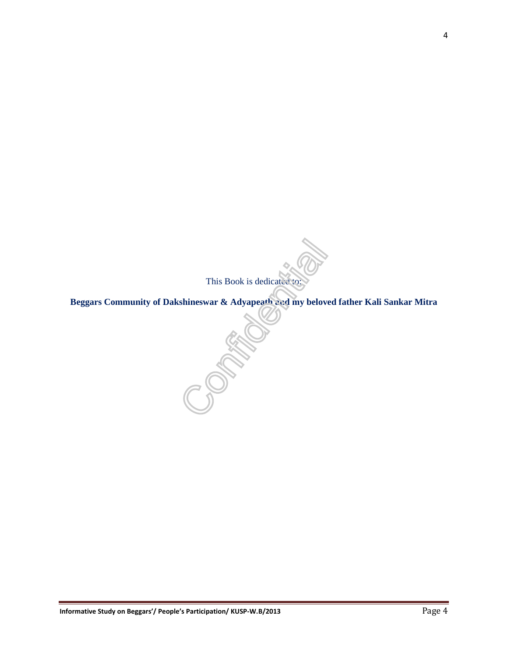This Book is dedicated to:

**Beggars Community of Dakshineswar & Adyapeath and my beloved father Kali Sankar Mitra and my beloved father Kali Sankar Mitra and my beloved father Kali Sankar Mitra and my beloved father Kali Sankar Mitra and my beloved**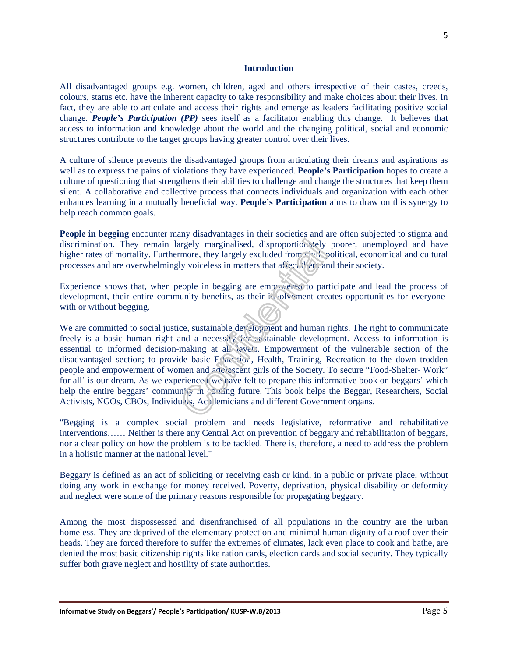#### **Introduction**

All disadvantaged groups e.g. women, children, aged and others irrespective of their castes, creeds, colours, status etc. have the inherent capacity to take responsibility and make choices about their lives. In fact, they are able to articulate and access their rights and emerge as leaders facilitating positive social change. *People's Participation (PP)* sees itself as a facilitator enabling this change. It believes that access to information and knowledge about the world and the changing political, social and economic structures contribute to the target groups having greater control over their lives.

A culture of silence prevents the disadvantaged groups from articulating their dreams and aspirations as well as to express the pains of violations they have experienced. **People's Participation** hopes to create a culture of questioning that strengthens their abilities to challenge and change the structures that keep them silent. A collaborative and collective process that connects individuals and organization with each other enhances learning in a mutually beneficial way. **People's Participation** aims to draw on this synergy to help reach common goals.

**People in begging** encounter many disadvantages in their societies and are often subjected to stigma and discrimination. They remain largely marginalised, disproportionately poorer, unemployed and have higher rates of mortality. Furthermore, they largely excluded from civil, political, economical and cultural processes and are overwhelmingly voiceless in matters that affect them and their society.

Experience shows that, when people in begging are empowered to participate and lead the process of development, their entire community benefits, as their involvement creates opportunities for everyonewith or without begging.

We are committed to social justice, sustainable development and human rights. The right to communicate freely is a basic human right and a necessity for sustainable development. Access to information is essential to informed decision-making at all levels. Empowerment of the vulnerable section of the disadvantaged section; to provide basic Education, Health, Training, Recreation to the down trodden people and empowerment of women and adolescent girls of the Society. To secure "Food-Shelter- Work" for all' is our dream. As we experienced we have felt to prepare this informative book on beggars' which help the entire beggars' community in coming future. This book helps the Beggar, Researchers, Social Activists, NGOs, CBOs, Individuals, Academicians and different Government organs.

"Begging is a complex social problem and needs legislative, reformative and rehabilitative interventions…… Neither is there any Central Act on prevention of beggary and rehabilitation of beggars, nor a clear policy on how the problem is to be tackled. There is, therefore, a need to address the problem in a holistic manner at the national level."

Beggary is defined as an act of soliciting or receiving cash or kind, in a public or private place, without doing any work in exchange for money received. Poverty, deprivation, physical disability or deformity and neglect were some of the primary reasons responsible for propagating beggary.

Among the most dispossessed and disenfranchised of all populations in the country are the urban homeless. They are deprived of the elementary protection and minimal human dignity of a roof over their heads. They are forced therefore to suffer the extremes of climates, lack even place to cook and bathe, are denied the most basic citizenship rights like ration cards, election cards and social security. They typically suffer both grave neglect and hostility of state authorities.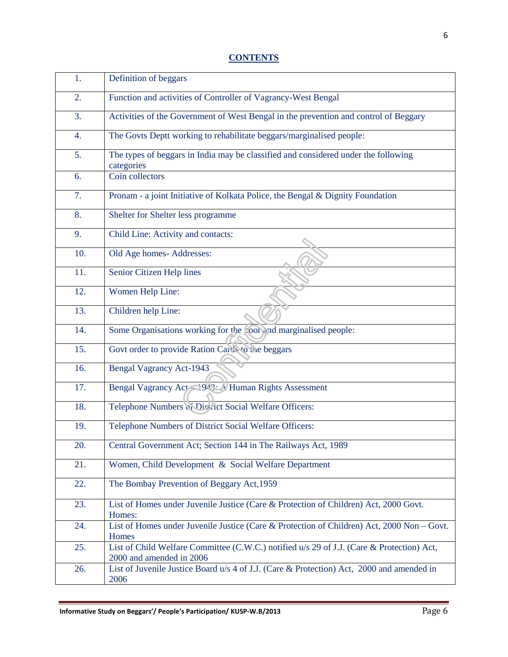| 1.  | Definition of beggars                                                                                                 |
|-----|-----------------------------------------------------------------------------------------------------------------------|
| 2.  | Function and activities of Controller of Vagrancy-West Bengal                                                         |
| 3.  | Activities of the Government of West Bengal in the prevention and control of Beggary                                  |
| 4.  | The Govts Deptt working to rehabilitate beggars/marginalised people:                                                  |
| 5.  | The types of beggars in India may be classified and considered under the following<br>categories                      |
| 6.  | Coin collectors                                                                                                       |
| 7.  | Pronam - a joint Initiative of Kolkata Police, the Bengal & Dignity Foundation                                        |
| 8.  | Shelter for Shelter less programme                                                                                    |
| 9.  | Child Line: Activity and contacts:                                                                                    |
| 10. | Old Age homes-Addresses:                                                                                              |
| 11. | Senior Citizen Help lines                                                                                             |
| 12. | Women Help Line:                                                                                                      |
| 13. | Children help Line:                                                                                                   |
| 14. | Some Organisations working for the poor and marginalised people:                                                      |
| 15. | Govt order to provide Ration Cards to the beggars                                                                     |
| 16. | <b>Bengal Vagrancy Act-1943</b>                                                                                       |
| 17. | Bengal Vagrancy Act - 943: Human Rights Assessment                                                                    |
| 18. | Telephone Numbers of Discritct Social Welfare Officers:                                                               |
| 19. | Telephone Numbers of District Social Welfare Officers:                                                                |
| 20. | Central Government Act; Section 144 in The Railways Act, 1989                                                         |
| 21. | Women, Child Development & Social Welfare Department                                                                  |
| 22. | The Bombay Prevention of Beggary Act, 1959                                                                            |
| 23. | List of Homes under Juvenile Justice (Care & Protection of Children) Act, 2000 Govt.<br>Homes:                        |
| 24. | List of Homes under Juvenile Justice (Care & Protection of Children) Act, 2000 Non - Govt.<br>Homes                   |
| 25. | List of Child Welfare Committee (C.W.C.) notified u/s 29 of J.J. (Care & Protection) Act,<br>2000 and amended in 2006 |
| 26. | List of Juvenile Justice Board u/s 4 of J.J. (Care & Protection) Act, 2000 and amended in<br>2006                     |
|     |                                                                                                                       |

## **CONTENTS**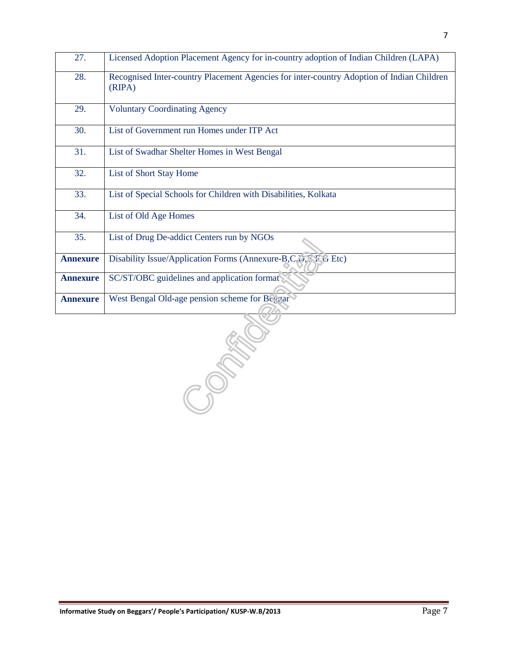| 27.             | Licensed Adoption Placement Agency for in-country adoption of Indian Children (LAPA)                |
|-----------------|-----------------------------------------------------------------------------------------------------|
| 28.             | Recognised Inter-country Placement Agencies for inter-country Adoption of Indian Children<br>(RIPA) |
| 29.             | <b>Voluntary Coordinating Agency</b>                                                                |
| 30.             | List of Government run Homes under ITP Act                                                          |
| 31.             | List of Swadhar Shelter Homes in West Bengal                                                        |
| 32.             | List of Short Stay Home                                                                             |
| 33.             | List of Special Schools for Children with Disabilities, Kolkata                                     |
| 34.             | List of Old Age Homes                                                                               |
| 35.             | List of Drug De-addict Centers run by NGOs                                                          |
| <b>Annexure</b> | Disability Issue/Application Forms (Annexure-B,C, D, P, F G Etc)                                    |
| <b>Annexure</b> | SC/ST/OBC guidelines and application format                                                         |
| <b>Annexure</b> | West Bengal Old-age pension scheme for Beggar                                                       |
|                 |                                                                                                     |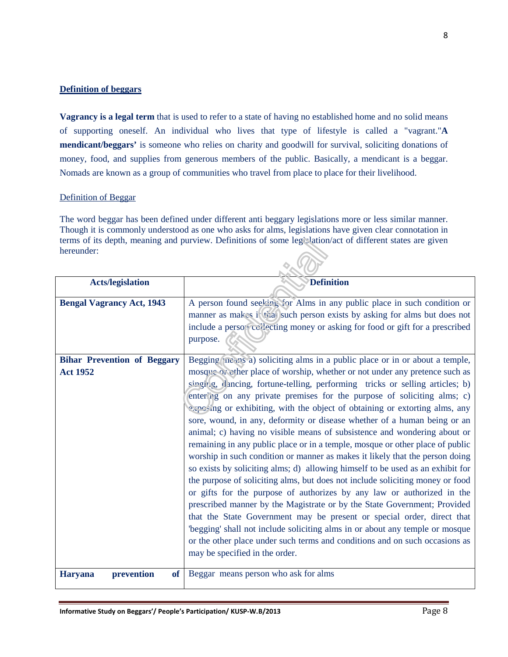#### **Definition of beggars**

**Vagrancy is a legal term** that is used to refer to a state of having no established home and no solid means of supporting oneself. An individual who lives that type of lifestyle is called a "vagrant."**A mendicant/beggars'** is someone who relies on charity and goodwill for survival, soliciting donations of money, food, and supplies from generous members of the public. Basically, a mendicant is a beggar. Nomads are known as a group of communities who travel from place to place for their livelihood.

#### Definition of Beggar

The word beggar has been defined under different anti beggary legislations more or less similar manner. Though it is commonly understood as one who asks for alms, legislations have given clear connotation in terms of its depth, meaning and purview. Definitions of some legislation/act of different states are given hereunder:  $\sim$   $\Omega$ 

| <b>Acts/legislation</b>                       | <b>Definition</b>                                                              |  |  |  |
|-----------------------------------------------|--------------------------------------------------------------------------------|--|--|--|
|                                               |                                                                                |  |  |  |
| <b>Bengal Vagrancy Act, 1943</b>              | A person found seeking for Alms in any public place in such condition or       |  |  |  |
|                                               | manner as makes it that such person exists by asking for alms but does not     |  |  |  |
|                                               | include a person collecting money or asking for food or gift for a prescribed  |  |  |  |
|                                               | purpose.                                                                       |  |  |  |
|                                               |                                                                                |  |  |  |
| <b>Bihar Prevention of Beggary</b>            | Begging (nears a) soliciting alms in a public place or in or about a temple,   |  |  |  |
| <b>Act 1952</b>                               | mosque of vorship, whether or not under any pretence such as                   |  |  |  |
|                                               | singing, dancing, fortune-telling, performing tricks or selling articles; b)   |  |  |  |
|                                               | entering on any private premises for the purpose of soliciting alms; c)        |  |  |  |
|                                               | exposing or exhibiting, with the object of obtaining or extorting alms, any    |  |  |  |
|                                               | sore, wound, in any, deformity or disease whether of a human being or an       |  |  |  |
|                                               | animal; c) having no visible means of subsistence and wondering about or       |  |  |  |
|                                               | remaining in any public place or in a temple, mosque or other place of public  |  |  |  |
|                                               | worship in such condition or manner as makes it likely that the person doing   |  |  |  |
|                                               | so exists by soliciting alms; d) allowing himself to be used as an exhibit for |  |  |  |
|                                               | the purpose of soliciting alms, but does not include soliciting money or food  |  |  |  |
|                                               | or gifts for the purpose of authorizes by any law or authorized in the         |  |  |  |
|                                               | prescribed manner by the Magistrate or by the State Government; Provided       |  |  |  |
|                                               | that the State Government may be present or special order, direct that         |  |  |  |
|                                               |                                                                                |  |  |  |
|                                               | 'begging' shall not include soliciting alms in or about any temple or mosque   |  |  |  |
|                                               | or the other place under such terms and conditions and on such occasions as    |  |  |  |
|                                               | may be specified in the order.                                                 |  |  |  |
| prevention<br><b>Haryana</b><br><sub>of</sub> | Beggar means person who ask for alms                                           |  |  |  |
|                                               |                                                                                |  |  |  |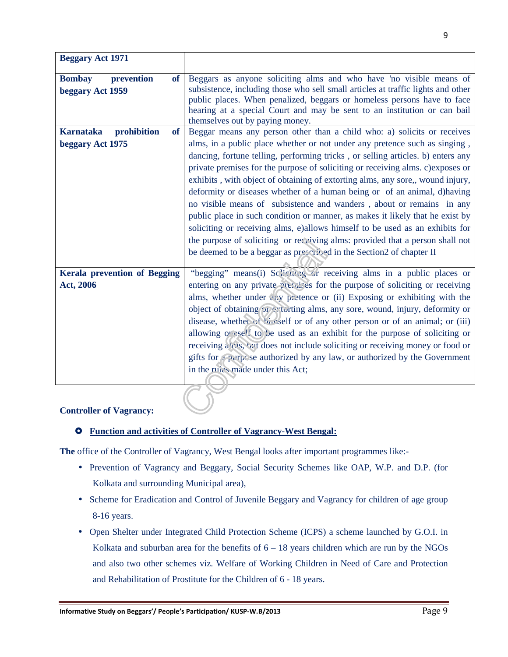| <b>Beggary Act 1971</b>                                      |                                                                                                                                                                                                                                                                                                                                                   |
|--------------------------------------------------------------|---------------------------------------------------------------------------------------------------------------------------------------------------------------------------------------------------------------------------------------------------------------------------------------------------------------------------------------------------|
| prevention<br><b>of</b><br><b>Bombay</b><br>beggary Act 1959 | Beggars as anyone soliciting alms and who have 'no visible means of<br>subsistence, including those who sell small articles at traffic lights and other<br>public places. When penalized, beggars or homeless persons have to face<br>hearing at a special Court and may be sent to an institution or can bail<br>themselves out by paying money. |
| prohibition<br><b>Karnataka</b><br>of                        | Beggar means any person other than a child who: a) solicits or receives                                                                                                                                                                                                                                                                           |
| beggary Act 1975                                             | alms, in a public place whether or not under any pretence such as singing,                                                                                                                                                                                                                                                                        |
|                                                              | dancing, fortune telling, performing tricks, or selling articles. b) enters any                                                                                                                                                                                                                                                                   |
|                                                              | private premises for the purpose of soliciting or receiving alms. c) exposes or                                                                                                                                                                                                                                                                   |
|                                                              | exhibits, with object of obtaining of extorting alms, any sore,, wound injury,                                                                                                                                                                                                                                                                    |
|                                                              | deformity or diseases whether of a human being or of an animal, d) having                                                                                                                                                                                                                                                                         |
|                                                              | no visible means of subsistence and wanders, about or remains in any                                                                                                                                                                                                                                                                              |
|                                                              | public place in such condition or manner, as makes it likely that he exist by                                                                                                                                                                                                                                                                     |
|                                                              | soliciting or receiving alms, e) allows himself to be used as an exhibits for                                                                                                                                                                                                                                                                     |
|                                                              | the purpose of soliciting or receiving alms: provided that a person shall not                                                                                                                                                                                                                                                                     |
|                                                              | be deemed to be a beggar as prescribed in the Section2 of chapter II                                                                                                                                                                                                                                                                              |
| <b>Kerala prevention of Begging</b>                          | "begging" means(i) Soligiting or receiving alms in a public places or                                                                                                                                                                                                                                                                             |
| Act, 2006                                                    | entering on any private premises for the purpose of soliciting or receiving                                                                                                                                                                                                                                                                       |
|                                                              | alms, whether under eav pretence or (ii) Exposing or exhibiting with the                                                                                                                                                                                                                                                                          |
|                                                              | object of obtaining or extorting alms, any sore, wound, injury, deformity or                                                                                                                                                                                                                                                                      |
|                                                              | disease, whether of hirself or of any other person or of an animal; or (iii)                                                                                                                                                                                                                                                                      |
|                                                              | allowing orbits to be used as an exhibit for the purpose of soliciting or                                                                                                                                                                                                                                                                         |
|                                                              | receiving a vis, but does not include soliciting or receiving money or food or                                                                                                                                                                                                                                                                    |
|                                                              | gifts for perpose authorized by any law, or authorized by the Government                                                                                                                                                                                                                                                                          |
|                                                              | in the rules made under this Act;                                                                                                                                                                                                                                                                                                                 |
|                                                              |                                                                                                                                                                                                                                                                                                                                                   |

#### **Controller of Vagrancy:**

#### **Function and activities of Controller of Vagrancy-West Bengal:**

**The** office of the Controller of Vagrancy, West Bengal looks after important programmes like:-

- Prevention of Vagrancy and Beggary, Social Security Schemes like OAP, W.P. and D.P. (for Kolkata and surrounding Municipal area),
- Scheme for Eradication and Control of Juvenile Beggary and Vagrancy for children of age group 8-16 years.
- Open Shelter under Integrated Child Protection Scheme (ICPS) a scheme launched by G.O.I. in Kolkata and suburban area for the benefits of  $6 - 18$  years children which are run by the NGOs and also two other schemes viz. Welfare of Working Children in Need of Care and Protection and Rehabilitation of Prostitute for the Children of 6 - 18 years.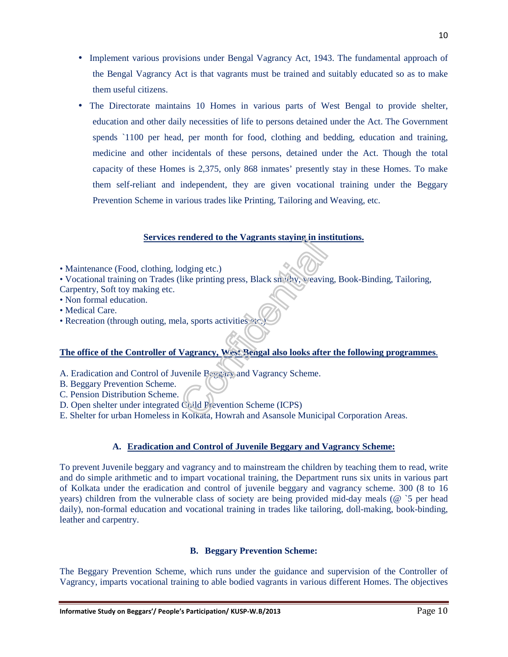- Implement various provisions under Bengal Vagrancy Act, 1943. The fundamental approach of the Bengal Vagrancy Act is that vagrants must be trained and suitably educated so as to make them useful citizens.
- The Directorate maintains 10 Homes in various parts of West Bengal to provide shelter, education and other daily necessities of life to persons detained under the Act. The Government spends `1100 per head, per month for food, clothing and bedding, education and training, medicine and other incidentals of these persons, detained under the Act. Though the total capacity of these Homes is 2,375, only 868 inmates' presently stay in these Homes. To make them self-reliant and independent, they are given vocational training under the Beggary Prevention Scheme in various trades like Printing, Tailoring and Weaving, etc.

#### **Services rendered to the Vagrants staying in institutions.**

• Maintenance (Food, clothing, lodging etc.)

• Vocational training on Trades (like printing press, Black smithy, weaving, Book-Binding, Tailoring, Carpentry, Soft toy making etc.

- Non formal education.
- Medical Care.
- Recreation (through outing, mela, sports activities  $e^x$ .)

#### **The office of the Controller of Vagrancy, West Bengal also looks after the following programmes**.

- A. Eradication and Control of Juvenile Beggary and Vagrancy Scheme.
- B. Beggary Prevention Scheme.
- C. Pension Distribution Scheme.
- D. Open shelter under integrated Child Prevention Scheme (ICPS)
- E. Shelter for urban Homeless in Kolkata, Howrah and Asansole Municipal Corporation Areas.

#### **A. Eradication and Control of Juvenile Beggary and Vagrancy Scheme:**

To prevent Juvenile beggary and vagrancy and to mainstream the children by teaching them to read, write and do simple arithmetic and to impart vocational training, the Department runs six units in various part of Kolkata under the eradication and control of juvenile beggary and vagrancy scheme. 300 (8 to 16 years) children from the vulnerable class of society are being provided mid-day meals (@ `5 per head daily), non-formal education and vocational training in trades like tailoring, doll-making, book-binding, leather and carpentry.

#### **B. Beggary Prevention Scheme:**

The Beggary Prevention Scheme, which runs under the guidance and supervision of the Controller of Vagrancy, imparts vocational training to able bodied vagrants in various different Homes. The objectives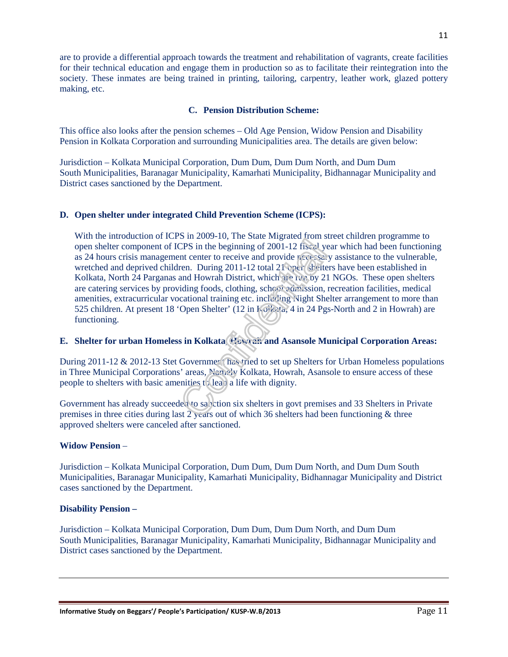are to provide a differential approach towards the treatment and rehabilitation of vagrants, create facilities for their technical education and engage them in production so as to facilitate their reintegration into the society. These inmates are being trained in printing, tailoring, carpentry, leather work, glazed pottery making, etc.

#### **C. Pension Distribution Scheme:**

This office also looks after the pension schemes – Old Age Pension, Widow Pension and Disability Pension in Kolkata Corporation and surrounding Municipalities area. The details are given below:

Jurisdiction – Kolkata Municipal Corporation, Dum Dum, Dum Dum North, and Dum Dum South Municipalities, Baranagar Municipality, Kamarhati Municipality, Bidhannagar Municipality and District cases sanctioned by the Department.

#### **D. Open shelter under integrated Child Prevention Scheme (ICPS):**

With the introduction of ICPS in 2009-10, The State Migrated from street children programme to open shelter component of ICPS in the beginning of 2001-12 fiscal year which had been functioning as 24 hours crisis management center to receive and provide  $n \in \mathbb{C}$  assistance to the vulnerable, wretched and deprived children. During 2011-12 total 21 open shelters have been established in Kolkata, North 24 Parganas and Howrah District, which are run by 21 NGOs. These open shelters are catering services by providing foods, clothing, school admission, recreation facilities, medical amenities, extracurricular vocational training etc. including Night Shelter arrangement to more than 525 children. At present 18 'Open Shelter' (12 in Kolkata, 4 in 24 Pgs-North and 2 in Howrah) are functioning.

#### **E.** Shelter for urban Homeless in Kolkata, Howe and Asansole Municipal Corporation Areas:

During  $2011-12 \& 2012-13$  Stet Government has tried to set up Shelters for Urban Homeless populations in Three Municipal Corporations' areas, Namely Kolkata, Howrah, Asansole to ensure access of these people to shelters with basic amenities to lead a life with dignity.

Government has already succeeded to sanction six shelters in govt premises and 33 Shelters in Private premises in three cities during last 2 years out of which 36 shelters had been functioning & three approved shelters were canceled after sanctioned.

#### **Widow Pension** –

Jurisdiction – Kolkata Municipal Corporation, Dum Dum, Dum Dum North, and Dum Dum South Municipalities, Baranagar Municipality, Kamarhati Municipality, Bidhannagar Municipality and District cases sanctioned by the Department.

#### **Disability Pension –**

Jurisdiction – Kolkata Municipal Corporation, Dum Dum, Dum Dum North, and Dum Dum South Municipalities, Baranagar Municipality, Kamarhati Municipality, Bidhannagar Municipality and District cases sanctioned by the Department.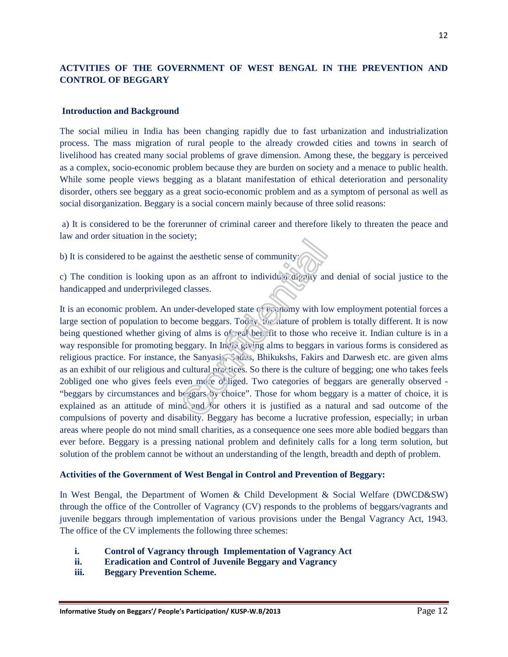## **ACTVITIES OF THE GOVERNMENT OF WEST BENGAL IN THE PREVENTION AND CONTROL OF BEGGARY**

#### **Introduction and Background**

The social milieu in India has been changing rapidly due to fast urbanization and industrialization process. The mass migration of rural people to the already crowded cities and towns in search of livelihood has created many social problems of grave dimension. Among these, the beggary is perceived as a complex, socio-economic problem because they are burden on society and a menace to public health. While some people views begging as a blatant manifestation of ethical deterioration and personality disorder, others see beggary as a great socio-economic problem and as a symptom of personal as well as social disorganization. Beggary is a social concern mainly because of three solid reasons:

 a) It is considered to be the forerunner of criminal career and therefore likely to threaten the peace and law and order situation in the society;

b) It is considered to be against the aesthetic sense of community;

c) The condition is looking upon as an affront to individual dignity and denial of social justice to the handicapped and underprivileged classes.

It is an economic problem. An under-developed state of economy with low employment potential forces a large section of population to become beggars. Too with nature of problem is totally different. It is now being questioned whether giving of alms is of real benefit to those who receive it. Indian culture is in a way responsible for promoting beggary. In India giving alms to beggars in various forms is considered as religious practice. For instance, the Sanyasis, Sadus, Bhikukshs, Fakirs and Darwesh etc. are given alms as an exhibit of our religious and cultural practices. So there is the culture of begging; one who takes feels 2obliged one who gives feels even more obliged. Two categories of beggars are generally observed - "beggars by circumstances and beggars by choice". Those for whom beggary is a matter of choice, it is explained as an attitude of mind and for others it is justified as a natural and sad outcome of the compulsions of poverty and disability. Beggary has become a lucrative profession, especially; in urban areas where people do not mind small charities, as a consequence one sees more able bodied beggars than ever before. Beggary is a pressing national problem and definitely calls for a long term solution, but solution of the problem cannot be without an understanding of the length, breadth and depth of problem.

#### **Activities of the Government of West Bengal in Control and Prevention of Beggary:**

In West Bengal, the Department of Women & Child Development & Social Welfare (DWCD&SW) through the office of the Controller of Vagrancy (CV) responds to the problems of beggars/vagrants and juvenile beggars through implementation of various provisions under the Bengal Vagrancy Act, 1943. The office of the CV implements the following three schemes:

- **i. Control of Vagrancy through Implementation of Vagrancy Act**
- **ii. Eradication and Control of Juvenile Beggary and Vagrancy**
- **iii. Beggary Prevention Scheme.**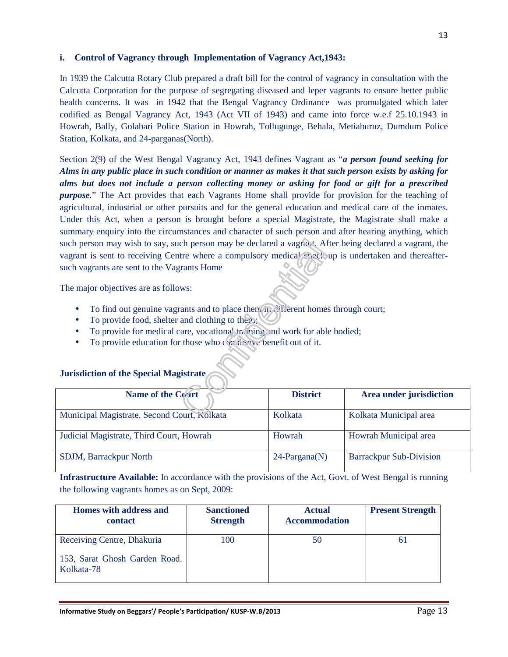#### **i. Control of Vagrancy through Implementation of Vagrancy Act,1943:**

In 1939 the Calcutta Rotary Club prepared a draft bill for the control of vagrancy in consultation with the Calcutta Corporation for the purpose of segregating diseased and leper vagrants to ensure better public health concerns. It was in 1942 that the Bengal Vagrancy Ordinance was promulgated which later codified as Bengal Vagrancy Act, 1943 (Act VII of 1943) and came into force w.e.f 25.10.1943 in Howrah, Bally, Golabari Police Station in Howrah, Tollugunge, Behala, Metiaburuz, Dumdum Police Station, Kolkata, and 24-parganas(North).

Section 2(9) of the West Bengal Vagrancy Act, 1943 defines Vagrant as "*a person found seeking for Alms in any public place in such condition or manner as makes it that such person exists by asking for alms but does not include a person collecting money or asking for food or gift for a prescribed purpose.*" The Act provides that each Vagrants Home shall provide for provision for the teaching of agricultural, industrial or other pursuits and for the general education and medical care of the inmates. Under this Act, when a person is brought before a special Magistrate, the Magistrate shall make a summary enquiry into the circumstances and character of such person and after hearing anything, which such person may wish to say, such person may be declared a vagrant. After being declared a vagrant, the vagrant is sent to receiving Centre where a compulsory medical check up is undertaken and thereaftersuch vagrants are sent to the Vagrants Home

The major objectives are as follows:

- To find out genuine vagrants and to place them in different homes through court;
- To provide food, shelter and clothing to them;
- To provide for medical care, vocational training and work for able bodied;
- To provide education for those who can derive benefit out of it.

| <b>Name of the Court</b>                    | <b>District</b>  | Area under jurisdiction        |
|---------------------------------------------|------------------|--------------------------------|
| Municipal Magistrate, Second Court, Kolkata | Kolkata          | Kolkata Municipal area         |
| Judicial Magistrate, Third Court, Howrah    | Howrah           | Howrah Municipal area          |
| SDJM, Barrackpur North                      | $24$ -Pargana(N) | <b>Barrackpur Sub-Division</b> |

# **Jurisdiction of the Special Magistrate**

**Infrastructure Available:** In accordance with the provisions of the Act, Govt. of West Bengal is running the following vagrants homes as on Sept, 2009:

| Homes with address and<br>contact           | <b>Sanctioned</b><br><b>Strength</b> | <b>Actual</b><br><b>Accommodation</b> | <b>Present Strength</b> |
|---------------------------------------------|--------------------------------------|---------------------------------------|-------------------------|
| Receiving Centre, Dhakuria                  | 100                                  | 50                                    |                         |
| 153, Sarat Ghosh Garden Road.<br>Kolkata-78 |                                      |                                       |                         |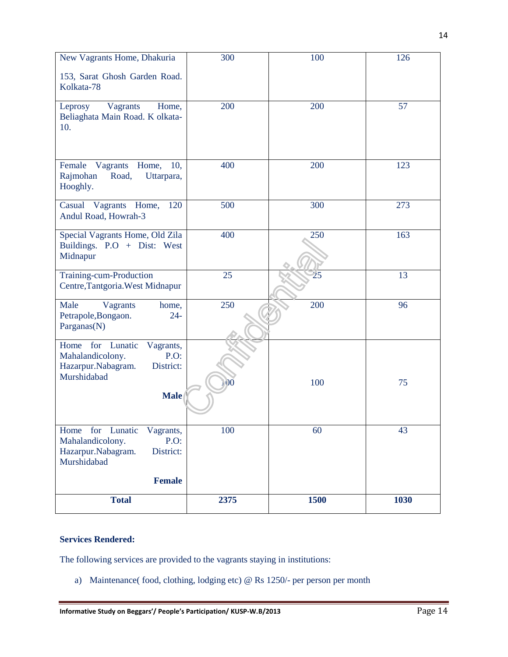| New Vagrants Home, Dhakuria                                                                                       | 300          | 100  | 126  |
|-------------------------------------------------------------------------------------------------------------------|--------------|------|------|
| 153, Sarat Ghosh Garden Road.<br>Kolkata-78                                                                       |              |      |      |
| Vagrants<br>Leprosy<br>Home,<br>Beliaghata Main Road. K olkata-<br>10.                                            | 200          | 200  | 57   |
| Vagrants<br>Female<br>Home,<br>10,<br>Rajmohan<br>Road,<br>Uttarpara,<br>Hooghly.                                 | 400          | 200  | 123  |
| Casual Vagrants Home,<br>120<br>Andul Road, Howrah-3                                                              | 500          | 300  | 273  |
| Special Vagrants Home, Old Zila<br>Buildings. P.O + Dist: West<br>Midnapur                                        | 400          | 250  | 163  |
| Training-cum-Production<br>Centre, Tantgoria. West Midnapur                                                       | 25           | 25   | 13   |
| Male<br>Vagrants<br>home,<br>Petrapole, Bongaon.<br>$24 -$<br>Parganas(N)                                         | 250          | 200  | 96   |
| for Lunatic<br>Home<br>Vagrants,<br>Mahalandicolony.<br>P.O.<br>District:<br>Hazarpur.Nabagram.<br>Murshidabad    |              |      |      |
| <b>Male</b>                                                                                                       | $\mathbf{0}$ | 100  | 75   |
| for Lunatic<br>Home<br>Vagrants,<br>Mahalandicolony.<br>$P.O$ :<br>District:<br>Hazarpur.Nabagram.<br>Murshidabad | 100          | 60   | 43   |
| <b>Female</b>                                                                                                     |              |      |      |
| <b>Total</b>                                                                                                      | 2375         | 1500 | 1030 |

#### **Services Rendered:**

The following services are provided to the vagrants staying in institutions:

a) Maintenance( food, clothing, lodging etc) @ Rs 1250/- per person per month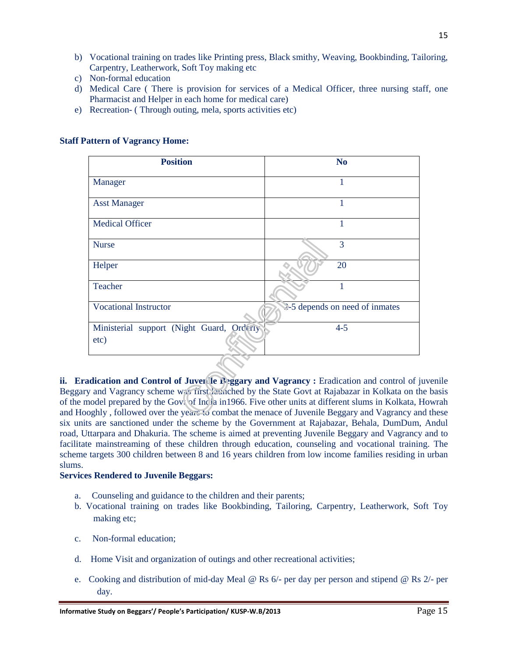- b) Vocational training on trades like Printing press, Black smithy, Weaving, Bookbinding, Tailoring, Carpentry, Leatherwork, Soft Toy making etc
- c) Non-formal education
- d) Medical Care ( There is provision for services of a Medical Officer, three nursing staff, one Pharmacist and Helper in each home for medical care)
- e) Recreation- ( Through outing, mela, sports activities etc)

| <b>Position</b>                                   | N <sub>o</sub>                 |
|---------------------------------------------------|--------------------------------|
| Manager                                           | 1                              |
| <b>Asst Manager</b>                               | 1                              |
| <b>Medical Officer</b>                            | 1                              |
| <b>Nurse</b>                                      | 3                              |
| Helper                                            | 20                             |
| Teacher                                           | 1                              |
| <b>Vocational Instructor</b>                      | 2-5 depends on need of inmates |
| Ministerial support (Night Guard, Orderly<br>etc) | $4 - 5$                        |

#### **Staff Pattern of Vagrancy Home:**

**ii. Eradication and Control of Juvenile Beggary and Vagrancy : Eradication and control of juvenile** Beggary and Vagrancy scheme was first launched by the State Govt at Rajabazar in Kolkata on the basis of the model prepared by the Govt of India in1966. Five other units at different slums in Kolkata, Howrah and Hooghly , followed over the years to combat the menace of Juvenile Beggary and Vagrancy and these six units are sanctioned under the scheme by the Government at Rajabazar, Behala, DumDum, Andul road, Uttarpara and Dhakuria. The scheme is aimed at preventing Juvenile Beggary and Vagrancy and to facilitate mainstreaming of these children through education, counseling and vocational training. The scheme targets 300 children between 8 and 16 years children from low income families residing in urban slums.

#### **Services Rendered to Juvenile Beggars:**

- a. Counseling and guidance to the children and their parents;
- b. Vocational training on trades like Bookbinding, Tailoring, Carpentry, Leatherwork, Soft Toy making etc;
- c. Non-formal education;
- d. Home Visit and organization of outings and other recreational activities;
- e. Cooking and distribution of mid-day Meal @ Rs 6/- per day per person and stipend @ Rs 2/- per day.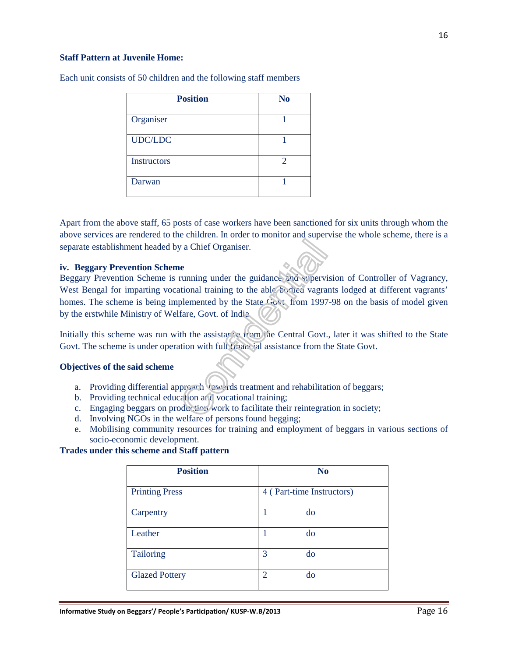#### **Staff Pattern at Juvenile Home:**

| <b>Position</b>    | N <sub>o</sub> |
|--------------------|----------------|
| Organiser          |                |
| <b>UDC/LDC</b>     |                |
| <b>Instructors</b> | $\overline{2}$ |
| Darwan             |                |

Each unit consists of 50 children and the following staff members

Apart from the above staff, 65 posts of case workers have been sanctioned for six units through whom the above services are rendered to the children. In order to monitor and supervise the whole scheme, there is a separate establishment headed by a Chief Organiser.

#### **iv. Beggary Prevention Scheme**

Beggary Prevention Scheme is running under the guidance and supervision of Controller of Vagrancy, West Bengal for imparting vocational training to the able bodied vagrants lodged at different vagrants' homes. The scheme is being implemented by the State Govt. from 1997-98 on the basis of model given by the erstwhile Ministry of Welfare, Govt. of India.

Initially this scheme was run with the assistance from the Central Govt., later it was shifted to the State Govt. The scheme is under operation with full financial assistance from the State Govt.

#### **Objectives of the said scheme**

- a. Providing differential approach towards treatment and rehabilitation of beggars;
- b. Providing technical education and vocational training;
- c. Engaging beggars on production work to facilitate their reintegration in society;
- d. Involving NGOs in the welfare of persons found begging;
- e. Mobilising community resources for training and employment of beggars in various sections of socio-economic development.

#### **Trades under this scheme and Staff pattern**

| <b>Position</b>       | N <sub>0</sub>            |
|-----------------------|---------------------------|
| <b>Printing Press</b> | 4 (Part-time Instructors) |
| Carpentry             | do<br>1                   |
| Leather               | do<br>1                   |
| Tailoring             | 3<br>do                   |
| <b>Glazed Pottery</b> | $\overline{2}$<br>do      |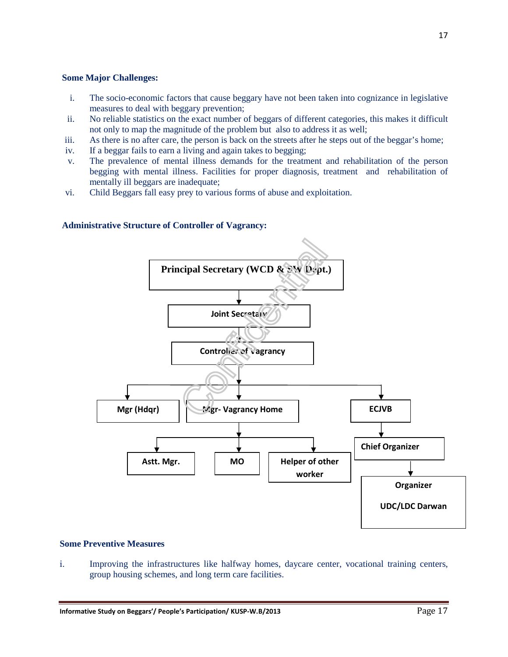#### **Some Major Challenges:**

- i. The socio-economic factors that cause beggary have not been taken into cognizance in legislative measures to deal with beggary prevention;
- ii. No reliable statistics on the exact number of beggars of different categories, this makes it difficult not only to map the magnitude of the problem but also to address it as well;
- iii. As there is no after care, the person is back on the streets after he steps out of the beggar's home;
- iv. If a beggar fails to earn a living and again takes to begging;
- v. The prevalence of mental illness demands for the treatment and rehabilitation of the person begging with mental illness. Facilities for proper diagnosis, treatment and rehabilitation of mentally ill beggars are inadequate;
- vi. Child Beggars fall easy prey to various forms of abuse and exploitation.

#### **Administrative Structure of Controller of Vagrancy:**



#### **Some Preventive Measures**

i. Improving the infrastructures like halfway homes, daycare center, vocational training centers, group housing schemes, and long term care facilities.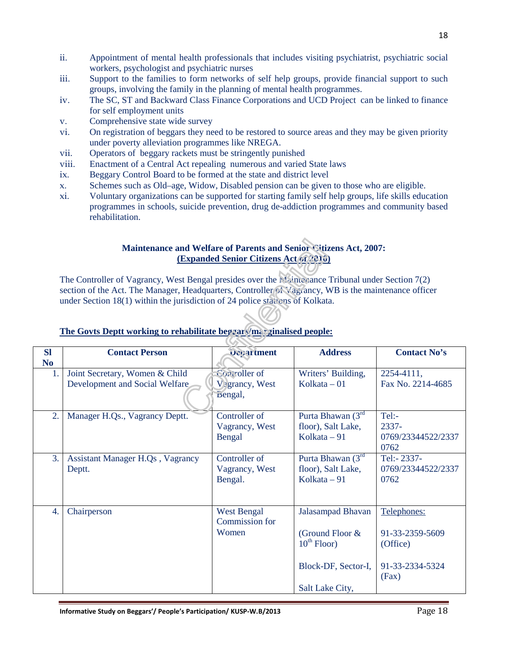- ii. Appointment of mental health professionals that includes visiting psychiatrist, psychiatric social workers, psychologist and psychiatric nurses
- iii. Support to the families to form networks of self help groups, provide financial support to such groups, involving the family in the planning of mental health programmes.
- iv. The SC, ST and Backward Class Finance Corporations and UCD Project can be linked to finance for self employment units
- v. Comprehensive state wide survey
- vi. On registration of beggars they need to be restored to source areas and they may be given priority under poverty alleviation programmes like NREGA.
- vii. Operators of beggary rackets must be stringently punished
- viii. Enactment of a Central Act repealing numerous and varied State laws
- ix. Beggary Control Board to be formed at the state and district level
- x. Schemes such as Old–age, Widow, Disabled pension can be given to those who are eligible.
- xi. Voluntary organizations can be supported for starting family self help groups, life skills education programmes in schools, suicide prevention, drug de-addiction programmes and community based rehabilitation.

#### **Maintenance and Welfare of Parents and Senior Citizens Act, 2007: (Expanded Senior Citizens Act of 2010)**

The Controller of Vagrancy, West Bengal presides over the Maintenance Tribunal under Section 7(2) section of the Act. The Manager, Headquarters, Controller of Vagrancy, WB is the maintenance officer under Section 18(1) within the jurisdiction of 24 police stations of Kolkata.

| <b>SI</b>      | <b>Contact Person</b>                   | <b>Ocoartment</b>                    | <b>Address</b>      | <b>Contact No's</b> |
|----------------|-----------------------------------------|--------------------------------------|---------------------|---------------------|
| N <sub>0</sub> |                                         |                                      |                     |                     |
| 1.             | Joint Secretary, Women & Child          | Controller of                        | Writers' Building,  | 2254-4111,          |
|                | Development and Social Welfare          | <b>V</b> <sup>3</sup> grancy, West   | Kolkata $-01$       | Fax No. 2214-4685   |
|                |                                         | Bengal,                              |                     |                     |
| 2.             | Manager H.Qs., Vagrancy Deptt.          | Controller of                        | Purta Bhawan $(3rd$ | Tel:-               |
|                |                                         | Vagrancy, West                       | floor), Salt Lake,  | 2337-               |
|                |                                         | Bengal                               | Kolkata - 91        | 0769/23344522/2337  |
|                |                                         |                                      |                     | 0762                |
| 3.             | <b>Assistant Manager H.Qs, Vagrancy</b> | Controller of                        | Purta Bhawan (3rd   | Tel:-2337-          |
|                | Deptt.                                  | Vagrancy, West                       | floor), Salt Lake,  | 0769/23344522/2337  |
|                |                                         | Bengal.                              | Kolkata $-91$       | 0762                |
|                |                                         |                                      |                     |                     |
| 4.             | Chairperson                             | <b>West Bengal</b><br>Commission for | Jalasampad Bhavan   | Telephones:         |
|                |                                         | Women                                | (Ground Floor &     | 91-33-2359-5609     |
|                |                                         |                                      | $10^{th}$ Floor)    | (Office)            |
|                |                                         |                                      |                     |                     |
|                |                                         |                                      | Block-DF, Sector-I, | 91-33-2334-5324     |
|                |                                         |                                      |                     | (Fax)               |
|                |                                         |                                      | Salt Lake City,     |                     |

## **The Govts Deptt working to rehabilitate beggars/marginalised people:**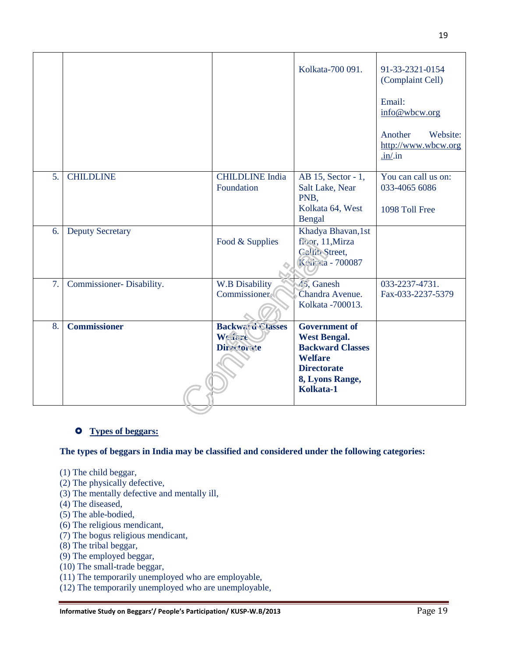|                  |                          |                                      | Kolkata-700 091.                              | 91-33-2321-0154<br>(Complaint Cell)                                              |
|------------------|--------------------------|--------------------------------------|-----------------------------------------------|----------------------------------------------------------------------------------|
|                  |                          |                                      |                                               | Email:<br>info@wbcw.org                                                          |
|                  |                          |                                      |                                               | Another<br>Website:<br>http://www.wbcw.org<br>$.\underline{\text{in}}/\text{in}$ |
| 5.               | <b>CHILDLINE</b>         | <b>CHILDLINE</b> India<br>Foundation | AB 15, Sector - 1,<br>Salt Lake, Near<br>PNB. | You can call us on:<br>033-4065 6086                                             |
|                  |                          |                                      | Kolkata 64, West<br>Bengal                    | 1098 Toll Free                                                                   |
| 6.               | <b>Deputy Secretary</b>  |                                      | Khadya Bhavan, 1st                            |                                                                                  |
|                  |                          | Food & Supplies                      | floor, 11, Mirza<br>Gallib Street,            |                                                                                  |
|                  |                          |                                      | Konta - 700087                                |                                                                                  |
| $\overline{7}$ . | Commissioner-Disability. | <b>W.B Disability</b>                | 45, Ganesh                                    | 033-2237-4731.                                                                   |
|                  |                          | Commissioner                         | Chandra Avenue.<br>Kolkata - 700013.          | Fax-033-2237-5379                                                                |
| 8.               | <b>Commissioner</b>      | <b>Backward Classes</b>              | <b>Government of</b>                          |                                                                                  |
|                  |                          | Weitsre                              | <b>West Bengal.</b>                           |                                                                                  |
|                  |                          | <b>Directorate</b>                   | <b>Backward Classes</b><br><b>Welfare</b>     |                                                                                  |
|                  |                          |                                      | <b>Directorate</b>                            |                                                                                  |
|                  |                          |                                      | 8, Lyons Range,                               |                                                                                  |
|                  |                          |                                      | Kolkata-1                                     |                                                                                  |
|                  |                          |                                      |                                               |                                                                                  |

#### **Types of beggars:**

**The types of beggars in India may be classified and considered under the following categories:** 

- (1) The child beggar,
- (2) The physically defective,
- (3) The mentally defective and mentally ill,
- (4) The diseased,
- (5) The able-bodied,
- (6) The religious mendicant,
- (7) The bogus religious mendicant,
- (8) The tribal beggar,
- (9) The employed beggar,
- (10) The small-trade beggar,
- (11) The temporarily unemployed who are employable,
- (12) The temporarily unemployed who are unemployable,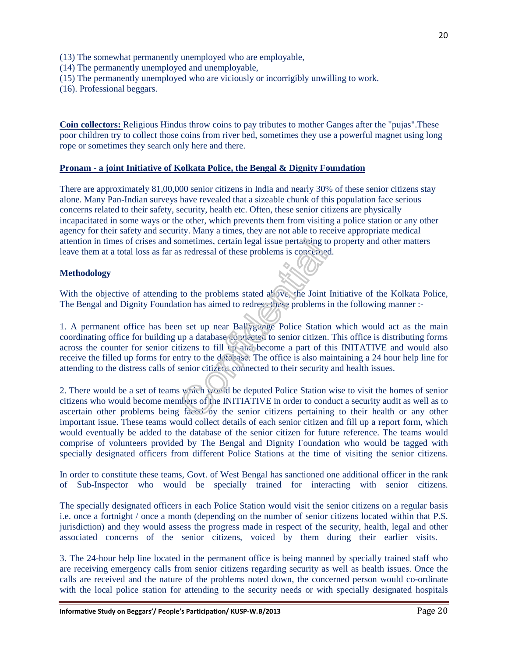- (13) The somewhat permanently unemployed who are employable,
- (14) The permanently unemployed and unemployable,
- (15) The permanently unemployed who are viciously or incorrigibly unwilling to work.
- (16). Professional beggars.

**Coin collectors:** Religious Hindus throw coins to pay tributes to mother Ganges after the "pujas".These poor children try to collect those coins from river bed, sometimes they use a powerful magnet using long rope or sometimes they search only here and there.

#### **Pronam - a joint Initiative of Kolkata Police, the Bengal & Dignity Foundation**

There are approximately 81,00,000 senior citizens in India and nearly 30% of these senior citizens stay alone. Many Pan-Indian surveys have revealed that a sizeable chunk of this population face serious concerns related to their safety, security, health etc. Often, these senior citizens are physically incapacitated in some ways or the other, which prevents them from visiting a police station or any other agency for their safety and security. Many a times, they are not able to receive appropriate medical attention in times of crises and sometimes, certain legal issue pertaining to property and other matters leave them at a total loss as far as redressal of these problems is concerned.

#### **Methodology**

With the objective of attending to the problems stated  $a^1$  ove, the Joint Initiative of the Kolkata Police, The Bengal and Dignity Foundation has aimed to redress these problems in the following manner :-

1. A permanent office has been set up near Ballygunge Police Station which would act as the main coordinating office for building up a database connected to senior citizen. This office is distributing forms across the counter for senior citizens to fill up and become a part of this INITATIVE and would also receive the filled up forms for entry to the database. The office is also maintaining a 24 hour help line for attending to the distress calls of senior citizens connected to their security and health issues.

2. There would be a set of teams which would be deputed Police Station wise to visit the homes of senior citizens who would become members of the INITIATIVE in order to conduct a security audit as well as to ascertain other problems being faced by the senior citizens pertaining to their health or any other important issue. These teams would collect details of each senior citizen and fill up a report form, which would eventually be added to the database of the senior citizen for future reference. The teams would comprise of volunteers provided by The Bengal and Dignity Foundation who would be tagged with specially designated officers from different Police Stations at the time of visiting the senior citizens.

In order to constitute these teams, Govt. of West Bengal has sanctioned one additional officer in the rank of Sub-Inspector who would be specially trained for interacting with senior citizens.

The specially designated officers in each Police Station would visit the senior citizens on a regular basis i.e. once a fortnight / once a month (depending on the number of senior citizens located within that P.S. jurisdiction) and they would assess the progress made in respect of the security, health, legal and other associated concerns of the senior citizens, voiced by them during their earlier visits.

3. The 24-hour help line located in the permanent office is being manned by specially trained staff who are receiving emergency calls from senior citizens regarding security as well as health issues. Once the calls are received and the nature of the problems noted down, the concerned person would co-ordinate with the local police station for attending to the security needs or with specially designated hospitals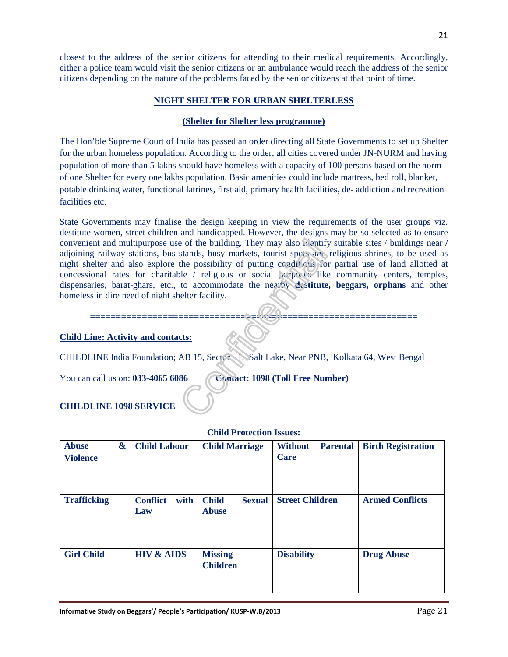closest to the address of the senior citizens for attending to their medical requirements. Accordingly, either a police team would visit the senior citizens or an ambulance would reach the address of the senior citizens depending on the nature of the problems faced by the senior citizens at that point of time.

#### **NIGHT SHELTER FOR URBAN SHELTERLESS**

#### **(Shelter for Shelter less programme)**

The Hon'ble Supreme Court of India has passed an order directing all State Governments to set up Shelter for the urban homeless population. According to the order, all cities covered under JN-NURM and having population of more than 5 lakhs should have homeless with a capacity of 100 persons based on the norm of one Shelter for every one lakhs population. Basic amenities could include mattress, bed roll, blanket, potable drinking water, functional latrines, first aid, primary health facilities, de- addiction and recreation facilities etc.

State Governments may finalise the design keeping in view the requirements of the user groups viz. destitute women, street children and handicapped. However, the designs may be so selected as to ensure convenient and multipurpose use of the building. They may also identify suitable sites / buildings near **/**  adjoining railway stations, bus stands, busy markets, tourist spots and religious shrines, to be used as night shelter and also explore the possibility of putting conditions for partial use of land allotted at concessional rates for charitable / religious or social purposes like community centers, temples, dispensaries, barat-ghars, etc., to accommodate the nearby **destitute, beggars, orphans** and other homeless in dire need of night shelter facility.

#### **===============================================================**

#### **Child Line: Activity and contacts:**

CHILDLINE India Foundation; AB 15, Sector - 1, Salt Lake, Near PNB, Kolkata 64, West Bengal

You can call us on: **033-4065 6086** Contact: **1098 (Toll Free Number)** 

#### **CHILDLINE 1098 SERVICE**

| <b>Abuse</b><br><b>Violence</b> | & | <b>Child Labour</b>            | <b>Child Marriage</b>                         | <b>Without</b><br><b>Parental</b><br>Care | <b>Birth Registration</b> |
|---------------------------------|---|--------------------------------|-----------------------------------------------|-------------------------------------------|---------------------------|
| <b>Trafficking</b>              |   | <b>Conflict</b><br>with<br>Law | <b>Child</b><br><b>Sexual</b><br><b>Abuse</b> | <b>Street Children</b>                    | <b>Armed Conflicts</b>    |
| <b>Girl Child</b>               |   | <b>HIV &amp; AIDS</b>          | <b>Missing</b><br><b>Children</b>             | <b>Disability</b>                         | <b>Drug Abuse</b>         |

#### **Child Protection Issues:**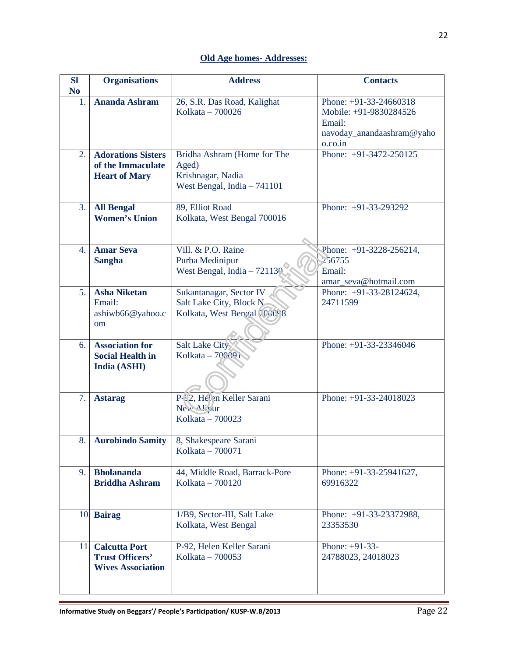## **Old Age homes- Addresses:**

| <b>SI</b><br>N <sub>0</sub> | <b>Organisations</b>                                                       | <b>Address</b>                                                                            | <b>Contacts</b>                                                                                    |
|-----------------------------|----------------------------------------------------------------------------|-------------------------------------------------------------------------------------------|----------------------------------------------------------------------------------------------------|
| 1.                          | <b>Ananda Ashram</b>                                                       | 26, S.R. Das Road, Kalighat<br>Kolkata - 700026                                           | Phone: +91-33-24660318<br>Mobile: +91-9830284526<br>Email:<br>navoday_anandaashram@yaho<br>o.co.in |
| 2.                          | <b>Adorations Sisters</b><br>of the Immaculate<br><b>Heart of Mary</b>     | Bridha Ashram (Home for The<br>Aged)<br>Krishnagar, Nadia<br>West Bengal, India $-741101$ | Phone: +91-3472-250125                                                                             |
| 3.                          | <b>All Bengal</b><br><b>Women's Union</b>                                  | 89, Elliot Road<br>Kolkata, West Bengal 700016                                            | Phone: +91-33-293292                                                                               |
| 4.                          | <b>Amar Seva</b><br><b>Sangha</b>                                          | Vill. & P.O. Raine<br>Purba Medinipur<br>West Bengal, India $-721130$                     | Phone: $+91-3228-256214$ ,<br>256755<br>Email:<br>amar_seva@hotmail.com                            |
| 5.                          | <b>Asha Niketan</b><br>Email:<br>ashiwb66@yahoo.c<br><sub>om</sub>         | Sukantanagar, Sector IV<br>Salt Lake City, Block N<br>Kolkata, West Bengal [COC98         | Phone: +91-33-28124624,<br>24711599                                                                |
| 6.                          | <b>Association for</b><br><b>Social Health in</b><br>India (ASHI)          | <b>Salt Lake City</b><br>Kolkata - 700091                                                 | Phone: +91-33-23346046                                                                             |
| 7.                          | <b>Astarag</b>                                                             | P-92, Helen Keller Sarani<br>New Alipur<br>Kolkata - 700023                               | Phone: +91-33-24018023                                                                             |
| 8.                          | <b>Aurobindo Samity</b>                                                    | 8, Shakespeare Sarani<br>Kolkata - 700071                                                 |                                                                                                    |
| 9.                          | <b>Bholananda</b><br><b>Briddha Ashram</b>                                 | 44, Middle Road, Barrack-Pore<br>Kolkata - 700120                                         | Phone: $+91-33-25941627$ ,<br>69916322                                                             |
|                             | 10. Bairag                                                                 | 1/B9, Sector-III, Salt Lake<br>Kolkata, West Bengal                                       | Phone: +91-33-23372988,<br>23353530                                                                |
| 11.                         | <b>Calcutta Port</b><br><b>Trust Officers'</b><br><b>Wives Association</b> | P-92, Helen Keller Sarani<br>Kolkata - 700053                                             | Phone: $+91-33-$<br>24788023, 24018023                                                             |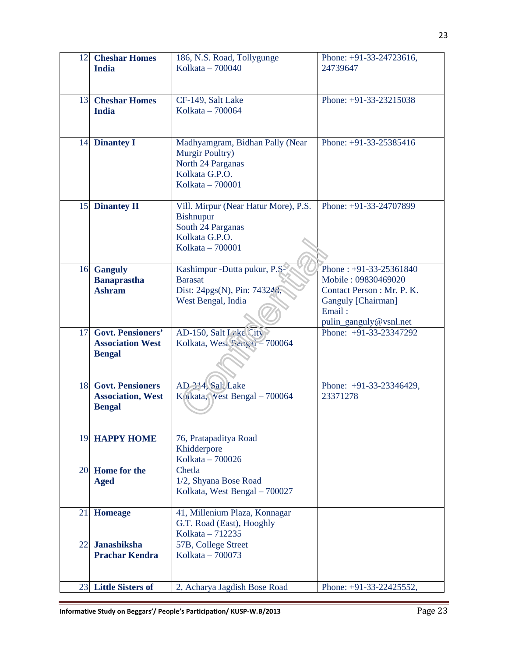| 12. | <b>Cheshar Homes</b><br><b>India</b>                                 | 186, N.S. Road, Tollygunge<br>Kolkata - 700040                                                                | Phone: $+91-33-24723616$ ,<br>24739647                                                                                                  |
|-----|----------------------------------------------------------------------|---------------------------------------------------------------------------------------------------------------|-----------------------------------------------------------------------------------------------------------------------------------------|
| 13. | <b>Cheshar Homes</b><br><b>India</b>                                 | CF-149, Salt Lake<br>Kolkata – 700064                                                                         | Phone: +91-33-23215038                                                                                                                  |
|     | 14. Dinantey I                                                       | Madhyamgram, Bidhan Pally (Near<br>Murgir Poultry)<br>North 24 Parganas<br>Kolkata G.P.O.<br>Kolkata - 700001 | Phone: +91-33-25385416                                                                                                                  |
| 15. | <b>Dinantey II</b>                                                   | Vill. Mirpur (Near Hatur More), P.S.<br>Bishnupur<br>South 24 Parganas<br>Kolkata G.P.O.<br>Kolkata - 700001  | Phone: +91-33-24707899                                                                                                                  |
| 16. | <b>Ganguly</b><br><b>Banaprastha</b><br><b>Ashram</b>                | Kashimpur -Dutta pukur, P.S.<br><b>Barasat</b><br>Dist: 24pgs(N), Pin: 743248,<br>West Bengal, India          | Phone: $+91-33-25361840$<br>Mobile: 09830469020<br>Contact Person : Mr. P. K.<br>Ganguly [Chairman]<br>Email:<br>pulin_ganguly@vsnl.net |
| 17. | <b>Govt. Pensioners'</b><br><b>Association West</b><br><b>Bengal</b> | AD-150, Salt $V \&e$ City<br>Kolkata, West Sengai - 700064                                                    | Phone: $+91-33-23347292$                                                                                                                |
| 18. | <b>Govt. Pensioners</b><br><b>Association, West</b><br><b>Bengal</b> | AD 314, Sal, Lake<br>Kolkata, Vest Bengal - 700064                                                            | Phone: +91-33-23346429,<br>23371278                                                                                                     |
|     | <b>19 HAPPY HOME</b>                                                 | 76, Pratapaditya Road<br>Khidderpore<br>Kolkata - 700026                                                      |                                                                                                                                         |
|     | 20. Home for the<br><b>Aged</b>                                      | Chetla<br>1/2, Shyana Bose Road<br>Kolkata, West Bengal - 700027                                              |                                                                                                                                         |
| 21. | <b>Homeage</b>                                                       | 41, Millenium Plaza, Konnagar<br>G.T. Road (East), Hooghly<br>Kolkata - 712235                                |                                                                                                                                         |
| 22. | <b>Janashiksha</b><br><b>Prachar Kendra</b>                          | 57B, College Street<br>Kolkata - 700073                                                                       |                                                                                                                                         |
|     | 23. Little Sisters of                                                | 2, Acharya Jagdish Bose Road                                                                                  | Phone: +91-33-22425552,                                                                                                                 |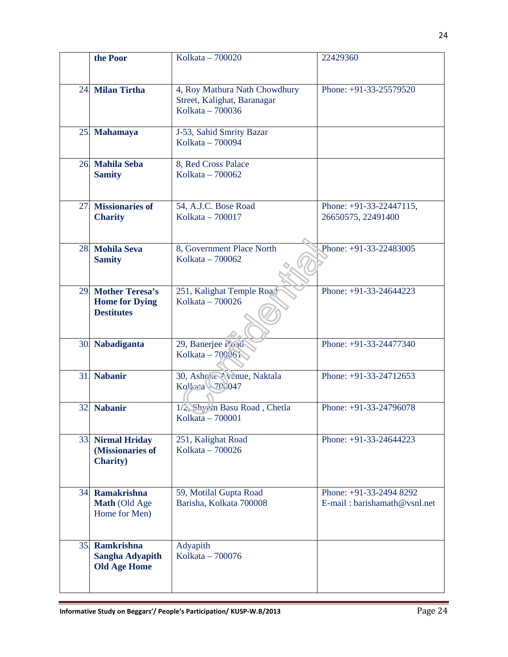|     | the Poor                                                         | Kolkata - 700020                                                                 | 22429360                                                |
|-----|------------------------------------------------------------------|----------------------------------------------------------------------------------|---------------------------------------------------------|
|     | 24. Milan Tirtha                                                 | 4, Roy Mathura Nath Chowdhury<br>Street, Kalighat, Baranagar<br>Kolkata - 700036 | Phone: +91-33-25579520                                  |
|     | 25. Mahamaya                                                     | J-53, Sahid Smrity Bazar<br>Kolkata - 700094                                     |                                                         |
|     | 26. Mahila Seba<br><b>Samity</b>                                 | 8, Red Cross Palace<br>Kolkata - 700062                                          |                                                         |
| 27. | <b>Missionaries of</b><br><b>Charity</b>                         | 54, A.J.C. Bose Road<br>Kolkata - 700017                                         | Phone: $+91-33-22447115$ ,<br>26650575, 22491400        |
|     | 28. Mohila Seva<br><b>Samity</b>                                 | 8, Government Place North<br>Kolkata - 700062                                    | Phone: +91-33-22483005                                  |
|     | 29 Mother Teresa's<br><b>Home for Dying</b><br><b>Destitutes</b> | 251, Kalighat Temple Road<br>Kolkata - 700026                                    | Phone: $+91-33-24644223$                                |
|     | 30. Nabadiganta                                                  | 29, Banerjee Roud<br>Kolkata - 700061                                            | Phone: +91-33-24477340                                  |
|     | 31. Nabanir                                                      | 30, Ashoka Avenue, Naktala<br>$K_0$ <sup>1</sup> $\approx$ a $-700047$           | Phone: $+91-33-24712653$                                |
| 32. | <b>Nabanir</b>                                                   | 1/2, Shyam Basu Road, Chetla<br>Kolkata - 700001                                 | Phone: +91-33-24796078                                  |
|     | 33 Nirmal Hriday<br>(Missionaries of<br><b>Charity</b> )         | 251, Kalighat Road<br>Kolkata - 700026                                           | Phone: $+91-33-24644223$                                |
|     | 34. Ramakrishna<br>Math (Old Age<br>Home for Men)                | 59, Motilal Gupta Road<br>Barisha, Kolkata 700008                                | Phone: +91-33-2494 8292<br>E-mail: barishamath@vsnl.net |
|     | 35. Ramkrishna<br><b>Sangha Adyapith</b><br><b>Old Age Home</b>  | Adyapith<br>Kolkata - 700076                                                     |                                                         |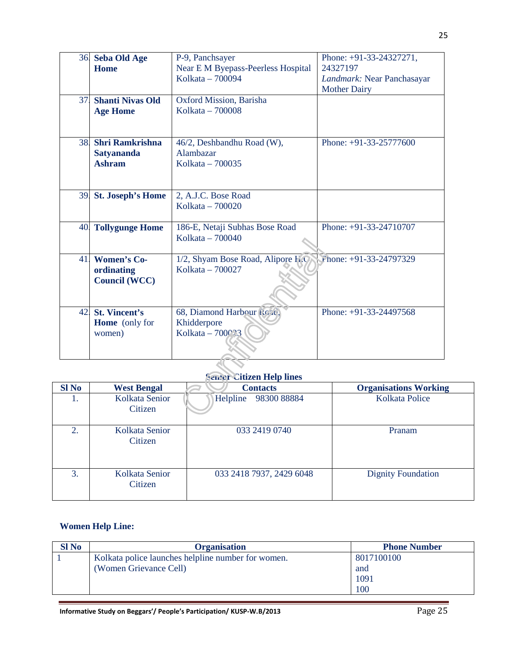| 36. | <b>Seba Old Age</b>     | P-9, Panchsayer                           | Phone: +91-33-24327271,    |
|-----|-------------------------|-------------------------------------------|----------------------------|
|     | <b>Home</b>             | <b>Near E M Byepass-Peerless Hospital</b> | 24327197                   |
|     |                         | Kolkata - 700094                          | Landmark: Near Panchasayar |
|     |                         |                                           | <b>Mother Dairy</b>        |
| 37. | <b>Shanti Nivas Old</b> | Oxford Mission, Barisha                   |                            |
|     | <b>Age Home</b>         | Kolkata - 700008                          |                            |
|     |                         |                                           |                            |
|     |                         |                                           |                            |
| 38. | <b>Shri Ramkrishna</b>  | 46/2, Deshbandhu Road (W),                | Phone: $+91-33-25777600$   |
|     | <b>Satyananda</b>       | Alambazar                                 |                            |
|     | <b>Ashram</b>           | Kolkata - 700035                          |                            |
|     |                         |                                           |                            |
|     |                         |                                           |                            |
|     | 39 St. Joseph's Home    | 2, A.J.C. Bose Road                       |                            |
|     |                         | Kolkata – 700020                          |                            |
|     |                         |                                           |                            |
| 40. | <b>Tollygunge Home</b>  | 186-E, Netaji Subhas Bose Road            | Phone: +91-33-24710707     |
|     |                         | Kolkata - 700040                          |                            |
|     |                         |                                           |                            |
| 41. | <b>Women's Co-</b>      | 1/2, Shyam Bose Road, Alipore H.O.        | $F$ hone: +91-33-24797329  |
|     | ordinating              | Kolkata - 700027                          |                            |
|     | <b>Council (WCC)</b>    |                                           |                            |
|     |                         |                                           |                            |
|     |                         |                                           |                            |
| 42. | <b>St. Vincent's</b>    | 68, Diamond Harbour foze,                 | Phone: +91-33-24497568     |
|     | <b>Home</b> (only for   | Khidderpore                               |                            |
|     | women)                  | Kolkata $-700$                            |                            |
|     |                         |                                           |                            |
|     |                         |                                           |                            |
|     |                         |                                           |                            |

### **Senior Citizen Help lines**

| <b>SI No</b> | <b>West Bengal</b>        | <b>Contacts</b>          | <b>Organisations Working</b> |
|--------------|---------------------------|--------------------------|------------------------------|
| 1.           | Kolkata Senior<br>Citizen | 98300 88884<br>Helpline  | Kolkata Police               |
| 2.           | Kolkata Senior<br>Citizen | 033 2419 0740            | Pranam                       |
| 3.           | Kolkata Senior<br>Citizen | 033 2418 7937, 2429 6048 | <b>Dignity Foundation</b>    |

## **Women Help Line:**

| Sl No | <b>Organisation</b>                                | <b>Phone Number</b> |
|-------|----------------------------------------------------|---------------------|
|       | Kolkata police launches helpline number for women. | 8017100100          |
|       | (Women Grievance Cell)                             | and                 |
|       |                                                    | 1091                |
|       |                                                    | 100                 |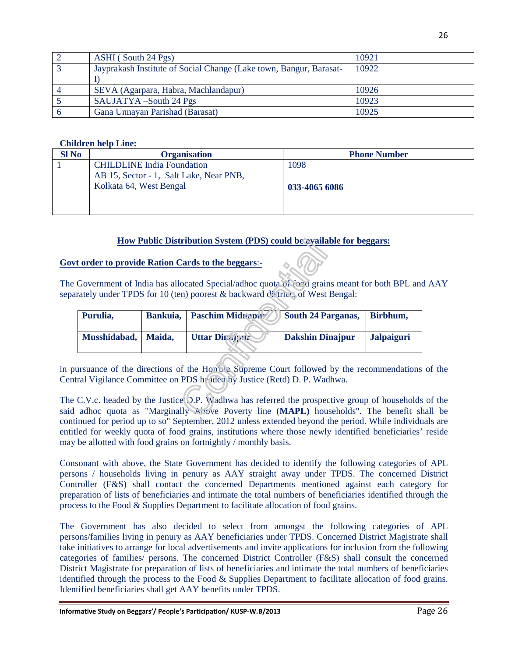| ASHI (South 24 Pgs)                                                | 10921 |
|--------------------------------------------------------------------|-------|
| Jayprakash Institute of Social Change (Lake town, Bangur, Barasat- | 10922 |
|                                                                    |       |
| SEVA (Agarpara, Habra, Machlandapur)                               | 10926 |
| SAUJATYA -South 24 Pgs                                             | 10923 |
| Gana Unnayan Parishad (Barasat)                                    | 10925 |

#### **Children help Line:**

| $SI$ No | <b>Organisation</b>                     | <b>Phone Number</b> |
|---------|-----------------------------------------|---------------------|
|         | <b>CHILDLINE</b> India Foundation       | 1098                |
|         | AB 15, Sector - 1, Salt Lake, Near PNB, |                     |
|         | Kolkata 64, West Bengal                 | 033-4065 6086       |
|         |                                         |                     |
|         |                                         |                     |

#### **How Public Distribution System (PDS) could be available for beggars:**

#### **Govt order to provide Ration Cards to the beggars**:-

The Government of India has allocated Special/adhoc quota of food grains meant for both BPL and AAY separately under TPDS for 10 (ten) poorest & backward districts of West Bengal:

| Purulia,     | Bankuia, | <b>Paschim Midrabur</b> | <b>South 24 Parganas,</b> | Birbhum,          |
|--------------|----------|-------------------------|---------------------------|-------------------|
| Musshidabad, | Maida,   | <b>Uttar Diragant</b>   | Dakshin Dinajpur          | <b>Jalpaiguri</b> |

in pursuance of the directions of the Hon'ble Supreme Court followed by the recommendations of the Central Vigilance Committee on PDS headed by Justice (Retd) D. P. Wadhwa.

The C.V.c. headed by the Justice D.P. Wadhwa has referred the prospective group of households of the said adhoc quota as "Marginally Above Poverty line (**MAPL)** households". The benefit shall be continued for period up to so" September, 2012 unless extended beyond the period. While individuals are entitled for weekly quota of food grains, institutions where those newly identified beneficiaries' reside may be allotted with food grains on fortnightly / monthly basis.

Consonant with above, the State Government has decided to identify the following categories of APL persons / households living in penury as AAY straight away under TPDS. The concerned District Controller (F&S) shall contact the concerned Departments mentioned against each category for preparation of lists of beneficiaries and intimate the total numbers of beneficiaries identified through the process to the Food & Supplies Department to facilitate allocation of food grains.

The Government has also decided to select from amongst the following categories of APL persons/families living in penury as AAY beneficiaries under TPDS. Concerned District Magistrate shall take initiatives to arrange for local advertisements and invite applications for inclusion from the following categories of families/ persons. The concerned District Controller (F&S) shall consult the concerned District Magistrate for preparation of lists of beneficiaries and intimate the total numbers of beneficiaries identified through the process to the Food & Supplies Department to facilitate allocation of food grains. Identified beneficiaries shall get AAY benefits under TPDS.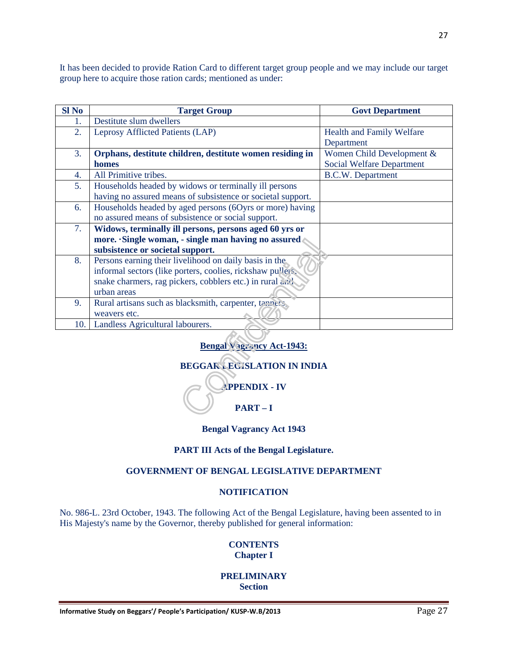It has been decided to provide Ration Card to different target group people and we may include our target group here to acquire those ration cards; mentioned as under:

| <b>Sl No</b>     | <b>Target Group</b>                                         | <b>Govt Department</b>           |
|------------------|-------------------------------------------------------------|----------------------------------|
| 1.               | Destitute slum dwellers                                     |                                  |
| $\overline{2}$ . | Leprosy Afflicted Patients (LAP)                            | <b>Health and Family Welfare</b> |
|                  |                                                             | Department                       |
| 3.               | Orphans, destitute children, destitute women residing in    | Women Child Development &        |
|                  | homes                                                       | <b>Social Welfare Department</b> |
| 4.               | All Primitive tribes.                                       | <b>B.C.W.</b> Department         |
| 5.               | Households headed by widows or terminally ill persons       |                                  |
|                  | having no assured means of subsistence or societal support. |                                  |
| 6.               | Households headed by aged persons (6Oyrs or more) having    |                                  |
|                  | no assured means of subsistence or social support.          |                                  |
| 7.               | Widows, terminally ill persons, persons aged 60 yrs or      |                                  |
|                  | more. Single woman, - single man having no assured          |                                  |
|                  | subsistence or societal support.                            |                                  |
| 8.               | Persons earning their livelihood on daily basis in the      |                                  |
|                  | informal sectors (like porters, coolies, rickshaw pullets,  |                                  |
|                  | snake charmers, rag pickers, cobblers etc.) in rural and    |                                  |
|                  | urban areas                                                 |                                  |
| 9.               | Rural artisans such as blacksmith, carpenter, tanners,      |                                  |
|                  | weavers etc.                                                |                                  |
| 10.              | Landless Agricultural labourers.                            |                                  |

**Bengal Vagrancy Act-1943:**

## **BEGGAR LEGISLATION IN INDIA**



#### **Bengal Vagrancy Act 1943**

#### **PART III Acts of the Bengal Legislature.**

#### **GOVERNMENT OF BENGAL LEGISLATIVE DEPARTMENT**

#### **NOTIFICATION**

No. 986-L. 23rd October, 1943. The following Act of the Bengal Legislature, having been assented to in His Majesty's name by the Governor, thereby published for general information:

#### **CONTENTS Chapter I**

#### **PRELIMINARY Section**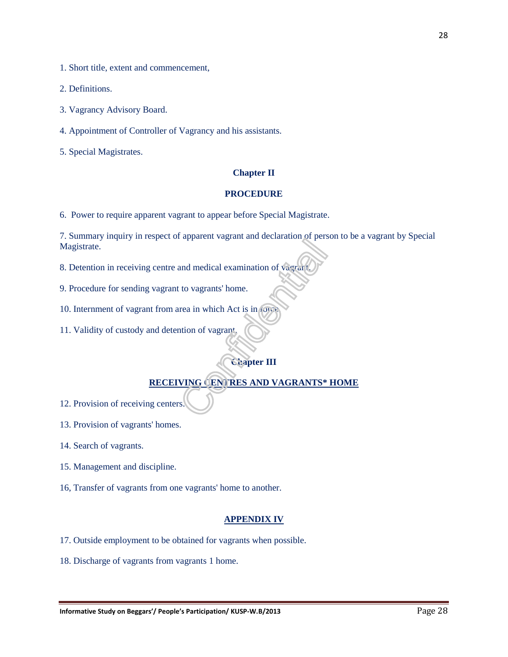1. Short title, extent and commencement,

2. Definitions.

3. Vagrancy Advisory Board.

4. Appointment of Controller of Vagrancy and his assistants.

5. Special Magistrates.

#### **Chapter II**

#### **PROCEDURE**

6. Power to require apparent vagrant to appear before Special Magistrate.

7. Summary inquiry in respect of apparent vagrant and declaration of person to be a vagrant by Special Magistrate.

8. Detention in receiving centre and medical examination of vagrant.

9. Procedure for sending vagrant to vagrants' home.

10. Internment of vagrant from area in which Act is in force.

11. Validity of custody and detention of vagrant.

#### **Chapter III**

#### **RECEIVING CENTRES AND VAGRANTS\* HOME**

12. Provision of receiving centers.

13. Provision of vagrants' homes.

14. Search of vagrants.

15. Management and discipline.

16, Transfer of vagrants from one vagrants' home to another.

#### **APPENDIX IV**

- 17. Outside employment to be obtained for vagrants when possible.
- 18. Discharge of vagrants from vagrants 1 home.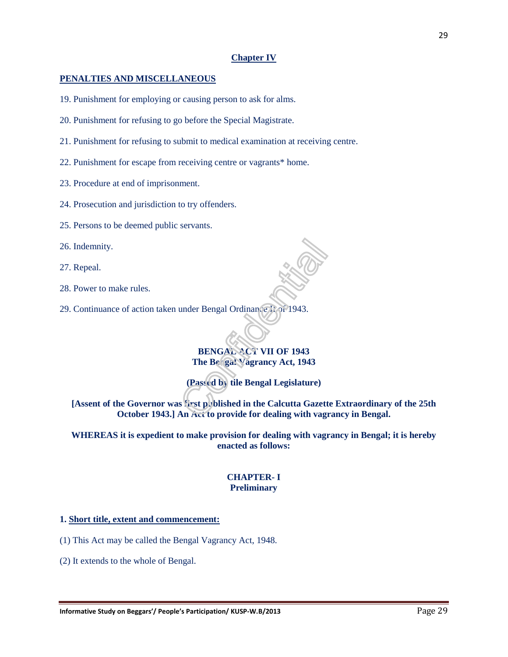#### **Chapter IV**

#### **PENALTIES AND MISCELLANEOUS**

- 19. Punishment for employing or causing person to ask for alms.
- 20. Punishment for refusing to go before the Special Magistrate.
- 21. Punishment for refusing to submit to medical examination at receiving centre.
- 22. Punishment for escape from receiving centre or vagrants\* home.
- 23. Procedure at end of imprisonment.
- 24. Prosecution and jurisdiction to try offenders.
- 25. Persons to be deemed public servants.
- 26. Indemnity.
- 27. Repeal.
- 28. Power to make rules.
- 29. Continuance of action taken under Bengal Ordinance II of 1943.

**BENGAL ACT VII OF 1943 The Bengal Vagrancy Act, 1943** 

**(Passed by tile Bengal Legislature)** 

**[Assent of the Governor was first published in the Calcutta Gazette Extraordinary of the 25th October 1943.] An Act to provide for dealing with vagrancy in Bengal.** 

**WHEREAS it is expedient to make provision for dealing with vagrancy in Bengal; it is hereby enacted as follows:** 

#### **CHAPTER- I Preliminary**

#### **1. Short title, extent and commencement:**

(1) This Act may be called the Bengal Vagrancy Act, 1948.

(2) It extends to the whole of Bengal.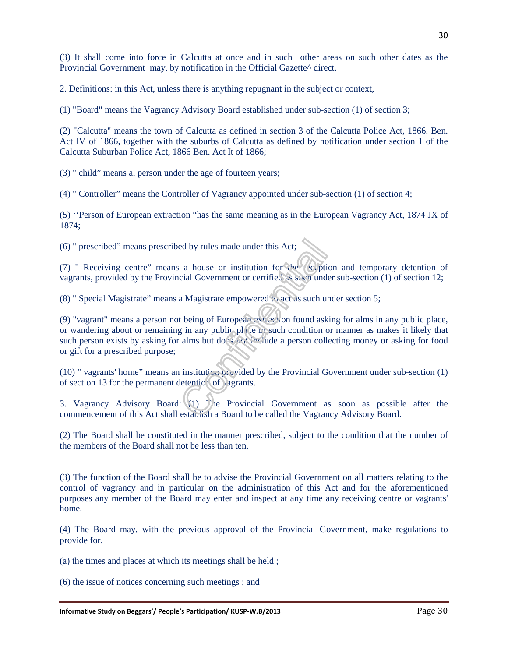(3) It shall come into force in Calcutta at once and in such other areas on such other dates as the Provincial Government may, by notification in the Official Gazette<sup> $\land$ </sup> direct.

2. Definitions: in this Act, unless there is anything repugnant in the subject or context,

(1) "Board" means the Vagrancy Advisory Board established under sub-section (1) of section 3;

(2) "Calcutta" means the town of Calcutta as defined in section 3 of the Calcutta Police Act, 1866. Ben. Act IV of 1866, together with the suburbs of Calcutta as defined by notification under section 1 of the Calcutta Suburban Police Act, 1866 Ben. Act It of 1866;

(3) " child" means a, person under the age of fourteen years;

(4) " Controller" means the Controller of Vagrancy appointed under sub-section (1) of section 4;

(5) ''Person of European extraction "has the same meaning as in the European Vagrancy Act, 1874 JX of 1874;

(6) " prescribed" means prescribed by rules made under this Act;

(7) " Receiving centre" means a house or institution for the reception and temporary detention of vagrants, provided by the Provincial Government or certified as such under sub-section (1) of section 12;

(8) " Special Magistrate" means a Magistrate empowered to act as such under section 5;

(9) "vagrant" means a person not being of European extraction found asking for alms in any public place, or wandering about or remaining in any public place in such condition or manner as makes it likely that such person exists by asking for alms but does not include a person collecting money or asking for food or gift for a prescribed purpose;

(10) " vagrants' home" means an institution provided by the Provincial Government under sub-section (1) of section 13 for the permanent detention of  $\alpha$  agrants.

3. Vagrancy Advisory Board: (1) The Provincial Government as soon as possible after the commencement of this Act shall establish a Board to be called the Vagrancy Advisory Board.

(2) The Board shall be constituted in the manner prescribed, subject to the condition that the number of the members of the Board shall not be less than ten.

(3) The function of the Board shall be to advise the Provincial Government on all matters relating to the control of vagrancy and in particular on the administration of this Act and for the aforementioned purposes any member of the Board may enter and inspect at any time any receiving centre or vagrants' home.

(4) The Board may, with the previous approval of the Provincial Government, make regulations to provide for,

(a) the times and places at which its meetings shall be held ;

(6) the issue of notices concerning such meetings ; and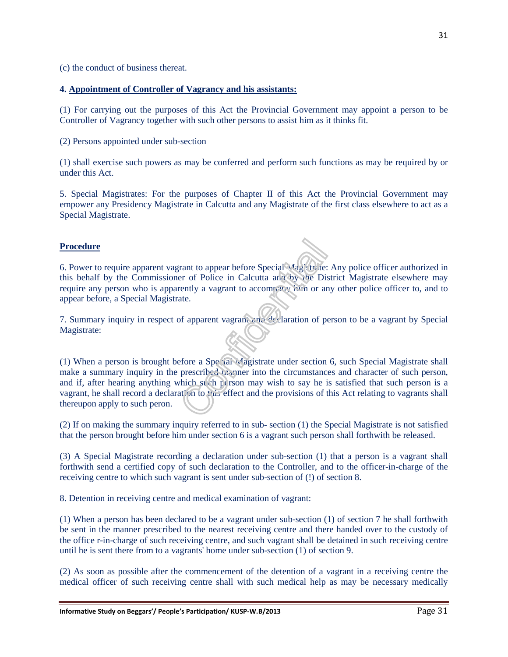(c) the conduct of business thereat.

#### **4. Appointment of Controller of Vagrancy and his assistants:**

(1) For carrying out the purposes of this Act the Provincial Government may appoint a person to be Controller of Vagrancy together with such other persons to assist him as it thinks fit.

(2) Persons appointed under sub-section

(1) shall exercise such powers as may be conferred and perform such functions as may be required by or under this Act.

5. Special Magistrates: For the purposes of Chapter II of this Act the Provincial Government may empower any Presidency Magistrate in Calcutta and any Magistrate of the first class elsewhere to act as a Special Magistrate.

#### **Procedure**

6. Power to require apparent vagrant to appear before Special Magistrate: Any police officer authorized in this behalf by the Commissioner of Police in Calcutta and by the District Magistrate elsewhere may require any person who is apparently a vagrant to accompany him or any other police officer to, and to appear before, a Special Magistrate.

7. Summary inquiry in respect of apparent vagrant and declaration of person to be a vagrant by Special Magistrate:

(1) When a person is brought before a Special Magistrate under section 6, such Special Magistrate shall make a summary inquiry in the prescribed manner into the circumstances and character of such person, and if, after hearing anything which such person may wish to say he is satisfied that such person is a vagrant, he shall record a declaration to this effect and the provisions of this Act relating to vagrants shall thereupon apply to such peron.

(2) If on making the summary inquiry referred to in sub- section (1) the Special Magistrate is not satisfied that the person brought before him under section 6 is a vagrant such person shall forthwith be released.

(3) A Special Magistrate recording a declaration under sub-section (1) that a person is a vagrant shall forthwith send a certified copy of such declaration to the Controller, and to the officer-in-charge of the receiving centre to which such vagrant is sent under sub-section of (!) of section 8.

8. Detention in receiving centre and medical examination of vagrant:

(1) When a person has been declared to be a vagrant under sub-section (1) of section 7 he shall forthwith be sent in the manner prescribed to the nearest receiving centre and there handed over to the custody of the office r-in-charge of such receiving centre, and such vagrant shall be detained in such receiving centre until he is sent there from to a vagrants' home under sub-section (1) of section 9.

(2) As soon as possible after the commencement of the detention of a vagrant in a receiving centre the medical officer of such receiving centre shall with such medical help as may be necessary medically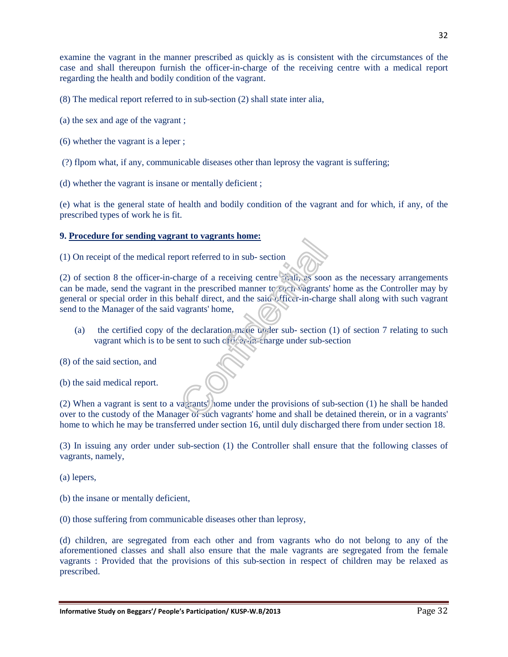examine the vagrant in the manner prescribed as quickly as is consistent with the circumstances of the case and shall thereupon furnish the officer-in-charge of the receiving centre with a medical report regarding the health and bodily condition of the vagrant.

(8) The medical report referred to in sub-section (2) shall state inter alia,

- (a) the sex and age of the vagrant ;
- (6) whether the vagrant is a leper ;
- (?) flpom what, if any, communicable diseases other than leprosy the vagrant is suffering;
- (d) whether the vagrant is insane or mentally deficient ;

(e) what is the general state of health and bodily condition of the vagrant and for which, if any, of the prescribed types of work he is fit.

#### **9. Procedure for sending vagrant to vagrants home:**

(1) On receipt of the medical report referred to in sub- section

(2) of section 8 the officer-in-charge of a receiving centre scali, as soon as the necessary arrangements can be made, send the vagrant in the prescribed manner to such vagrants' home as the Controller may by general or special order in this behalf direct, and the said officer-in-charge shall along with such vagrant send to the Manager of the said vagrants' home,

- (a) the certified copy of the declaration made under sub- section  $(1)$  of section  $7$  relating to such vagrant which is to be sent to such of  $\ddot{\theta}$ :  $\ddot{\theta}$ : charge under sub-section
- (8) of the said section, and
- (b) the said medical report.

(2) When a vagrant is sent to a vagrants' home under the provisions of sub-section (1) he shall be handed over to the custody of the Manager of such vagrants' home and shall be detained therein, or in a vagrants' home to which he may be transferred under section 16, until duly discharged there from under section 18.

(3) In issuing any order under sub-section (1) the Controller shall ensure that the following classes of vagrants, namely,

- (a) lepers,
- (b) the insane or mentally deficient,
- (0) those suffering from communicable diseases other than leprosy,

(d) children, are segregated from each other and from vagrants who do not belong to any of the aforementioned classes and shall also ensure that the male vagrants are segregated from the female vagrants : Provided that the provisions of this sub-section in respect of children may be relaxed as prescribed.

32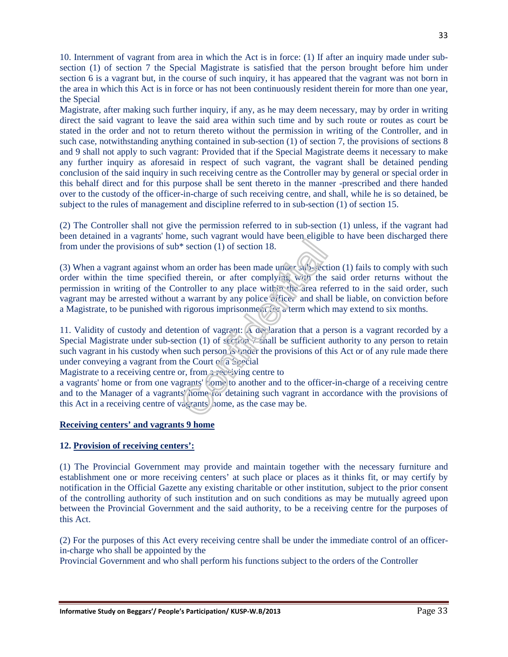10. Internment of vagrant from area in which the Act is in force: (1) If after an inquiry made under subsection (1) of section 7 the Special Magistrate is satisfied that the person brought before him under section 6 is a vagrant but, in the course of such inquiry, it has appeared that the vagrant was not born in the area in which this Act is in force or has not been continuously resident therein for more than one year, the Special

Magistrate, after making such further inquiry, if any, as he may deem necessary, may by order in writing direct the said vagrant to leave the said area within such time and by such route or routes as court be stated in the order and not to return thereto without the permission in writing of the Controller, and in such case, notwithstanding anything contained in sub-section (1) of section 7, the provisions of sections 8 and 9 shall not apply to such vagrant: Provided that if the Special Magistrate deems it necessary to make any further inquiry as aforesaid in respect of such vagrant, the vagrant shall be detained pending conclusion of the said inquiry in such receiving centre as the Controller may by general or special order in this behalf direct and for this purpose shall be sent thereto in the manner -prescribed and there handed over to the custody of the officer-in-charge of such receiving centre, and shall, while he is so detained, be subject to the rules of management and discipline referred to in sub-section (1) of section 15.

(2) The Controller shall not give the permission referred to in sub-section (1) unless, if the vagrant had been detained in a vagrants' home, such vagrant would have been eligible to have been discharged there from under the provisions of sub\* section (1) of section 18.

(3) When a vagrant against whom an order has been made under sub-section (1) fails to comply with such order within the time specified therein, or after complying with the said order returns without the permission in writing of the Controller to any place within the area referred to in the said order, such vagrant may be arrested without a warrant by any police officer and shall be liable, on conviction before a Magistrate, to be punished with rigorous imprisonment for a term which may extend to six months.

11. Validity of custody and detention of vagrant: A declaration that a person is a vagrant recorded by a Special Magistrate under sub-section (1) of  $\frac{1}{2}$  shall be sufficient authority to any person to retain such vagrant in his custody when such person is under the provisions of this Act or of any rule made there under conveying a vagrant from the Court of a Special

Magistrate to a receiving centre or, from a receiving centre to

a vagrants' home or from one vagrants' home to another and to the officer-in-charge of a receiving centre and to the Manager of a vagrants' home for detaining such vagrant in accordance with the provisions of this Act in a receiving centre of vagrants' home, as the case may be.

#### **Receiving centers' and vagrants 9 home**

#### **12. Provision of receiving centers':**

(1) The Provincial Government may provide and maintain together with the necessary furniture and establishment one or more receiving centers' at such place or places as it thinks fit, or may certify by notification in the Official Gazette any existing charitable or other institution, subject to the prior consent of the controlling authority of such institution and on such conditions as may be mutually agreed upon between the Provincial Government and the said authority, to be a receiving centre for the purposes of this Act.

(2) For the purposes of this Act every receiving centre shall be under the immediate control of an officerin-charge who shall be appointed by the

Provincial Government and who shall perform his functions subject to the orders of the Controller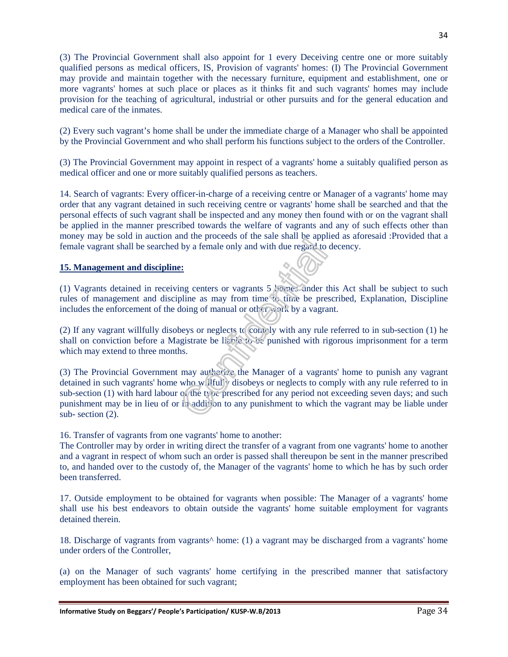(3) The Provincial Government shall also appoint for 1 every Deceiving centre one or more suitably qualified persons as medical officers, IS, Provision of vagrants' homes: (I) The Provincial Government may provide and maintain together with the necessary furniture, equipment and establishment, one or more vagrants' homes at such place or places as it thinks fit and such vagrants' homes may include provision for the teaching of agricultural, industrial or other pursuits and for the general education and medical care of the inmates.

(2) Every such vagrant's home shall be under the immediate charge of a Manager who shall be appointed by the Provincial Government and who shall perform his functions subject to the orders of the Controller.

(3) The Provincial Government may appoint in respect of a vagrants' home a suitably qualified person as medical officer and one or more suitably qualified persons as teachers.

14. Search of vagrants: Every officer-in-charge of a receiving centre or Manager of a vagrants' home may order that any vagrant detained in such receiving centre or vagrants' home shall be searched and that the personal effects of such vagrant shall be inspected and any money then found with or on the vagrant shall be applied in the manner prescribed towards the welfare of vagrants and any of such effects other than money may be sold in auction and the proceeds of the sale shall be applied as aforesaid :Provided that a female vagrant shall be searched by a female only and with due regard to decency.

#### **15. Management and discipline:**

(1) Vagrants detained in receiving centers or vagrants  $5$  homes under this Act shall be subject to such rules of management and discipline as may from time to time be prescribed, Explanation, Discipline includes the enforcement of the doing of manual or other work by a vagrant.

(2) If any vagrant willfully disobeys or neglects to comply with any rule referred to in sub-section (1) he shall on conviction before a Magistrate be liable to be punished with rigorous imprisonment for a term which may extend to three months.

(3) The Provincial Government may authorize the Manager of a vagrants' home to punish any vagrant detained in such vagrants' home who willfully disobeys or neglects to comply with any rule referred to in sub-section (1) with hard labour of the type prescribed for any period not exceeding seven days; and such punishment may be in lieu of or in addition to any punishment to which the vagrant may be liable under sub- section (2).

16. Transfer of vagrants from one vagrants' home to another:

The Controller may by order in writing direct the transfer of a vagrant from one vagrants' home to another and a vagrant in respect of whom such an order is passed shall thereupon be sent in the manner prescribed to, and handed over to the custody of, the Manager of the vagrants' home to which he has by such order been transferred.

17. Outside employment to be obtained for vagrants when possible: The Manager of a vagrants' home shall use his best endeavors to obtain outside the vagrants' home suitable employment for vagrants detained therein.

18. Discharge of vagrants from vagrants^ home: (1) a vagrant may be discharged from a vagrants' home under orders of the Controller,

(a) on the Manager of such vagrants' home certifying in the prescribed manner that satisfactory employment has been obtained for such vagrant;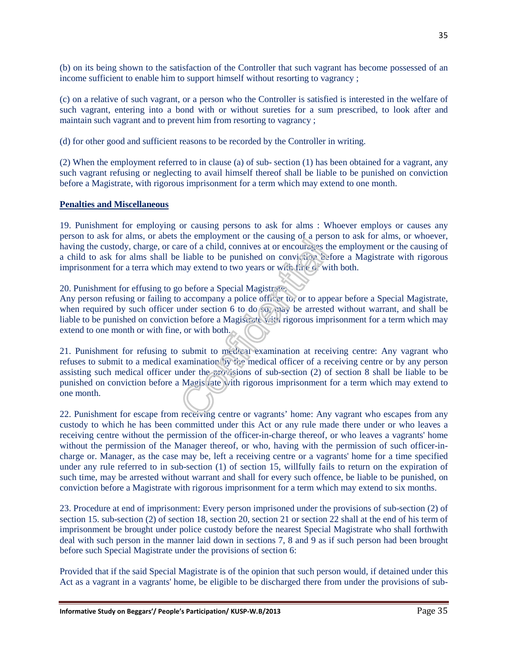(b) on its being shown to the satisfaction of the Controller that such vagrant has become possessed of an income sufficient to enable him to support himself without resorting to vagrancy ;

(c) on a relative of such vagrant, or a person who the Controller is satisfied is interested in the welfare of such vagrant, entering into a bond with or without sureties for a sum prescribed, to look after and maintain such vagrant and to prevent him from resorting to vagrancy ;

(d) for other good and sufficient reasons to be recorded by the Controller in writing.

(2) When the employment referred to in clause (a) of sub- section (1) has been obtained for a vagrant, any such vagrant refusing or neglecting to avail himself thereof shall be liable to be punished on conviction before a Magistrate, with rigorous imprisonment for a term which may extend to one month.

#### **Penalties and Miscellaneous**

19. Punishment for employing or causing persons to ask for alms : Whoever employs or causes any person to ask for alms, or abets the employment or the causing of a person to ask for alms, or whoever, having the custody, charge, or care of a child, connives at or encourages the employment or the causing of a child to ask for alms shall be liable to be punished on conviction before a Magistrate with rigorous imprisonment for a terra which may extend to two years or with time or with both.

20. Punishment for effusing to go before a Special Magistrates.

Any person refusing or failing to accompany a police officer to, or to appear before a Special Magistrate, when required by such officer under section 6 to do  $\wp$ , may be arrested without warrant, and shall be liable to be punished on conviction before a Magistrate with rigorous imprisonment for a term which may extend to one month or with fine, or with both.

21. Punishment for refusing to submit to medical examination at receiving centre: Any vagrant who refuses to submit to a medical examination by the medical officer of a receiving centre or by any person assisting such medical officer under the provisions of sub-section (2) of section 8 shall be liable to be punished on conviction before a Magistrate with rigorous imprisonment for a term which may extend to one month.

22. Punishment for escape from receiving centre or vagrants' home: Any vagrant who escapes from any custody to which he has been committed under this Act or any rule made there under or who leaves a receiving centre without the permission of the officer-in-charge thereof, or who leaves a vagrants' home without the permission of the Manager thereof, or who, having with the permission of such officer-incharge or. Manager, as the case may be, left a receiving centre or a vagrants' home for a time specified under any rule referred to in sub-section (1) of section 15, willfully fails to return on the expiration of such time, may be arrested without warrant and shall for every such offence, be liable to be punished, on conviction before a Magistrate with rigorous imprisonment for a term which may extend to six months.

23. Procedure at end of imprisonment: Every person imprisoned under the provisions of sub-section (2) of section 15. sub-section (2) of section 18, section 20, section 21 or section 22 shall at the end of his term of imprisonment be brought under police custody before the nearest Special Magistrate who shall forthwith deal with such person in the manner laid down in sections 7, 8 and 9 as if such person had been brought before such Special Magistrate under the provisions of section 6:

Provided that if the said Special Magistrate is of the opinion that such person would, if detained under this Act as a vagrant in a vagrants' home, be eligible to be discharged there from under the provisions of sub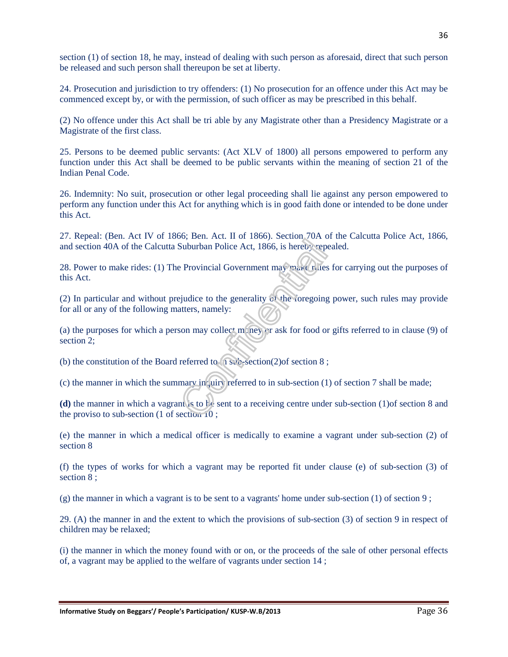section (1) of section 18, he may, instead of dealing with such person as aforesaid, direct that such person be released and such person shall thereupon be set at liberty.

24. Prosecution and jurisdiction to try offenders: (1) No prosecution for an offence under this Act may be commenced except by, or with the permission, of such officer as may be prescribed in this behalf.

(2) No offence under this Act shall be tri able by any Magistrate other than a Presidency Magistrate or a Magistrate of the first class.

25. Persons to be deemed public servants: (Act XLV of 1800) all persons empowered to perform any function under this Act shall be deemed to be public servants within the meaning of section 21 of the Indian Penal Code.

26. Indemnity: No suit, prosecution or other legal proceeding shall lie against any person empowered to perform any function under this Act for anything which is in good faith done or intended to be done under this Act.

27. Repeal: (Ben. Act IV of 1866; Ben. Act. II of 1866). Section 70A of the Calcutta Police Act, 1866, and section 40A of the Calcutta Suburban Police Act, 1866, is hereby repealed.

28. Power to make rides: (1) The Provincial Government may make rules for carrying out the purposes of this Act.

(2) In particular and without prejudice to the generality of the foregoing power, such rules may provide for all or any of the following matters, namely:

(a) the purposes for which a person may collect money or ask for food or gifts referred to in clause (9) of section 2;

(b) the constitution of the Board referred to  $\alpha$  is sub-section(2)of section 8;

(c) the manner in which the summary inquiry referred to in sub-section (1) of section 7 shall be made;

**(d)** the manner in which a vagrant is to be sent to a receiving centre under sub-section (1)of section 8 and the proviso to sub-section (1 of section 10 ;

(e) the manner in which a medical officer is medically to examine a vagrant under sub-section (2) of section 8

(f) the types of works for which a vagrant may be reported fit under clause (e) of sub-section (3) of section 8 ;

(g) the manner in which a vagrant is to be sent to a vagrants' home under sub-section  $(1)$  of section  $9$ ;

29. (A) the manner in and the extent to which the provisions of sub-section (3) of section 9 in respect of children may be relaxed;

(i) the manner in which the money found with or on, or the proceeds of the sale of other personal effects of, a vagrant may be applied to the welfare of vagrants under section 14 ;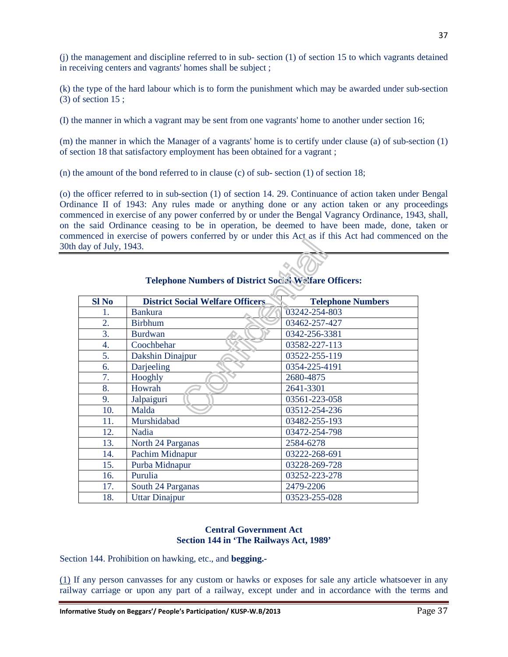(j) the management and discipline referred to in sub- section (1) of section 15 to which vagrants detained in receiving centers and vagrants' homes shall be subject ;

(k) the type of the hard labour which is to form the punishment which may be awarded under sub-section (3) of section 15 ;

(I) the manner in which a vagrant may be sent from one vagrants' home to another under section 16;

(m) the manner in which the Manager of a vagrants' home is to certify under clause (a) of sub-section (1) of section 18 that satisfactory employment has been obtained for a vagrant ;

(n) the amount of the bond referred to in clause (c) of sub- section (1) of section 18;

(o) the officer referred to in sub-section (1) of section 14. 29. Continuance of action taken under Bengal Ordinance II of 1943: Any rules made or anything done or any action taken or any proceedings commenced in exercise of any power conferred by or under the Bengal Vagrancy Ordinance, 1943, shall, on the said Ordinance ceasing to be in operation, be deemed to have been made, done, taken or commenced in exercise of powers conferred by or under this Act as if this Act had commenced on the 30th day of July, 1943.

| <b>Sl No</b> | <b>District Social Welfare Officers</b> | <b>Telephone Numbers</b> |
|--------------|-----------------------------------------|--------------------------|
| 1.           | <b>Bankura</b>                          | 03242-254-803            |
| 2.           | <b>Birbhum</b>                          | 03462-257-427            |
| 3.           | <b>Burdwan</b>                          | 0342-256-3381            |
| 4.           | Coochbehar                              | 03582-227-113            |
| 5.           | Dakshin Dinajpur                        | 03522-255-119            |
| 6.           | Darjeeling                              | 0354-225-4191            |
| 7.           | Hooghly                                 | 2680-4875                |
| 8.           | Howrah                                  | 2641-3301                |
| 9.           | Jalpaiguri                              | 03561-223-058            |
| 10.          | Malda                                   | 03512-254-236            |
| 11.          | Murshidabad                             | 03482-255-193            |
| 12.          | Nadia                                   | 03472-254-798            |
| 13.          | North 24 Parganas                       | 2584-6278                |
| 14.          | Pachim Midnapur                         | 03222-268-691            |
| 15.          | Purba Midnapur                          | 03228-269-728            |
| 16.          | Purulia                                 | 03252-223-278            |
| 17.          | South 24 Parganas                       | 2479-2206                |
| 18.          | <b>Uttar Dinajpur</b>                   | 03523-255-028            |

## **Telephone Numbers of District Social Welfare Officers:**

**AN** 

#### **Central Government Act Section 144 in 'The Railways Act, 1989'**

Section 144. Prohibition on hawking, etc., and **begging.-** 

(1) If any person canvasses for any custom or hawks or exposes for sale any article whatsoever in any railway carriage or upon any part of a railway, except under and in accordance with the terms and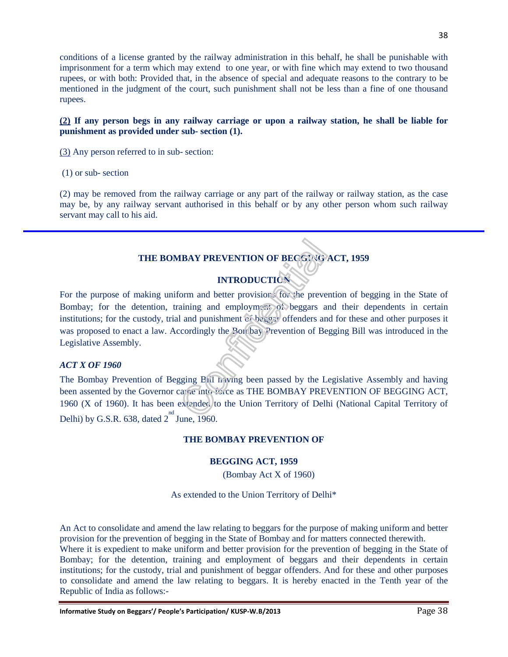conditions of a license granted by the railway administration in this behalf, he shall be punishable with imprisonment for a term which may extend to one year, or with fine which may extend to two thousand rupees, or with both: Provided that, in the absence of special and adequate reasons to the contrary to be mentioned in the judgment of the court, such punishment shall not be less than a fine of one thousand rupees.

#### **(2) If any person begs in any railway carriage or upon a railway station, he shall be liable for punishment as provided under sub- section (1).**

(3) Any person referred to in sub- section:

(1) or sub- section

(2) may be removed from the railway carriage or any part of the railway or railway station, as the case may be, by any railway servant authorised in this behalf or by any other person whom such railway servant may call to his aid.

## **THE BOMBAY PREVENTION OF BEGGING ACT, 1959**

## **INTRODUCTION**

For the purpose of making uniform and better provisions for the prevention of begging in the State of Bombay; for the detention, training and employment of beggars and their dependents in certain institutions; for the custody, trial and punishment of beggar offenders and for these and other purposes it was proposed to enact a law. Accordingly the Bombay Prevention of Begging Bill was introduced in the Legislative Assembly.

#### *ACT X OF 1960*

The Bombay Prevention of Begging Bill having been passed by the Legislative Assembly and having been assented by the Governor came into force as THE BOMBAY PREVENTION OF BEGGING ACT, 1960 (X of 1960). It has been extended to the Union Territory of Delhi (National Capital Territory of Delhi) by G.S.R. 638, dated  $2^{nd}$  June, 1960.

#### **THE BOMBAY PREVENTION OF**

#### **BEGGING ACT, 1959**

(Bombay Act X of 1960)

As extended to the Union Territory of Delhi\*

An Act to consolidate and amend the law relating to beggars for the purpose of making uniform and better provision for the prevention of begging in the State of Bombay and for matters connected therewith.

Where it is expedient to make uniform and better provision for the prevention of begging in the State of Bombay; for the detention, training and employment of beggars and their dependents in certain institutions; for the custody, trial and punishment of beggar offenders. And for these and other purposes to consolidate and amend the law relating to beggars. It is hereby enacted in the Tenth year of the Republic of India as follows:-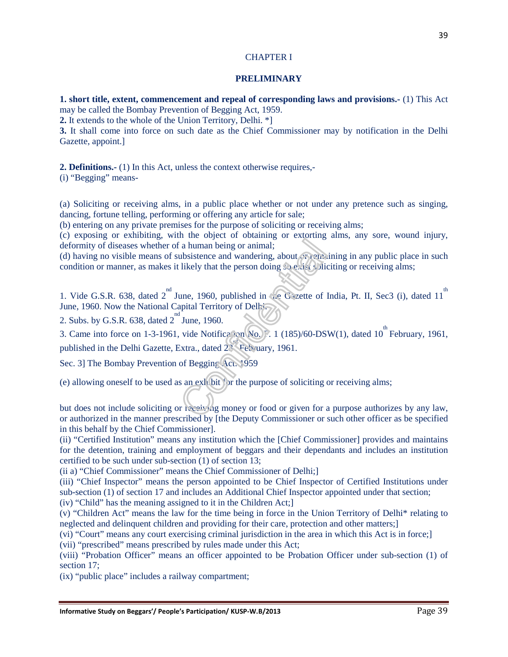#### CHAPTER I

#### **PRELIMINARY**

**1. short title, extent, commencement and repeal of corresponding laws and provisions.-** (1) This Act may be called the Bombay Prevention of Begging Act, 1959.

**2.** It extends to the whole of the Union Territory, Delhi. \*]

**3.** It shall come into force on such date as the Chief Commissioner may by notification in the Delhi Gazette, appoint.]

**2. Definitions.-** (1) In this Act, unless the context otherwise requires,-

(i) "Begging" means-

(a) Soliciting or receiving alms, in a public place whether or not under any pretence such as singing, dancing, fortune telling, performing or offering any article for sale;

(b) entering on any private premises for the purpose of soliciting or receiving alms;

(c) exposing or exhibiting, with the object of obtaining or extorting alms, any sore, wound injury, deformity of diseases whether of a human being or animal;

(d) having no visible means of subsistence and wandering, about  $\mathcal{O}^2$  remaining in any public place in such condition or manner, as makes it likely that the person doing so exist soliciting or receiving alms;

1. Vide G.S.R. 638, dated  $2^{nd}$  June, 1960, published in the Gazette of India, Pt. II, Sec3 (i), dated 11<sup>th</sup> June, 1960. Now the National Capital Territory of Delhi.

2. Subs. by G.S.R. 638, dated  $2^{nd}$  June, 1960.

3. Came into force on 1-3-1961, vide Notification No. F. 1 (185)/60-DSW(1), dated 10<sup>th</sup> February, 1961, published in the Delhi Gazette, Extra., dated  $2^{\frac{1}{2}}$  February, 1961.

Sec. 3] The Bombay Prevention of Begging Act. 1959

(e) allowing oneself to be used as an exhibit for the purpose of soliciting or receiving alms;

but does not include soliciting or receiving money or food or given for a purpose authorizes by any law, or authorized in the manner prescribed by [the Deputy Commissioner or such other officer as be specified in this behalf by the Chief Commissioner].

(ii) "Certified Institution" means any institution which the [Chief Commissioner] provides and maintains for the detention, training and employment of beggars and their dependants and includes an institution certified to be such under sub-section (1) of section 13;

(ii a) "Chief Commissioner" means the Chief Commissioner of Delhi;]

(iii) "Chief Inspector" means the person appointed to be Chief Inspector of Certified Institutions under sub-section (1) of section 17 and includes an Additional Chief Inspector appointed under that section;

(iv) "Child" has the meaning assigned to it in the Children Act;]

(v) "Children Act" means the law for the time being in force in the Union Territory of Delhi\* relating to neglected and delinquent children and providing for their care, protection and other matters;]

(vi) "Court" means any court exercising criminal jurisdiction in the area in which this Act is in force;]

(vii) "prescribed" means prescribed by rules made under this Act;

(viii) "Probation Officer" means an officer appointed to be Probation Officer under sub-section (1) of section 17;

(ix) "public place" includes a railway compartment;

39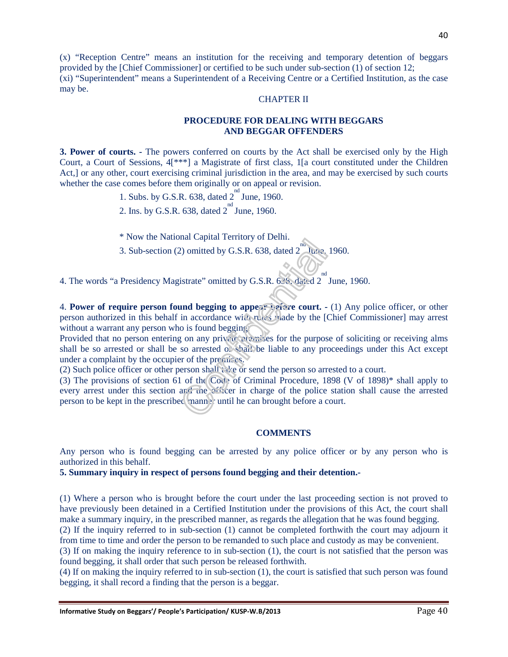(x) "Reception Centre" means an institution for the receiving and temporary detention of beggars provided by the [Chief Commissioner] or certified to be such under sub-section (1) of section 12; (xi) "Superintendent" means a Superintendent of a Receiving Centre or a Certified Institution, as the case may be.

#### CHAPTER II

#### **PROCEDURE FOR DEALING WITH BEGGARS AND BEGGAR OFFENDERS**

**3. Power of courts.** - The powers conferred on courts by the Act shall be exercised only by the High Court, a Court of Sessions, 4[\*\*\*] a Magistrate of first class, 1[a court constituted under the Children Act,] or any other, court exercising criminal jurisdiction in the area, and may be exercised by such courts whether the case comes before them originally or on appeal or revision.

- 1. Subs. by G.S.R.  $638$ , dated  $2^{nd}$  June, 1960.
- 2. Ins. by G.S.R. 638, dated  $2^{nd}$  June, 1960.
- \* Now the National Capital Territory of Delhi.
- 3. Sub-section (2) omitted by G.S.R. 638, dated  $2^{na}$  lune, 1960.

4. The words "a Presidency Magistrate" omitted by G.S.R.  $638$ , dated  $2^{nd}$  June, 1960.

4. **Power of require person found begging to appear before court. -** (1) Any police officer, or other person authorized in this behalf in accordance with rules made by the [Chief Commissioner] may arrest without a warrant any person who is found begging:

Provided that no person entering on any private premises for the purpose of soliciting or receiving alms shall be so arrested or shall be so arrested or shall be liable to any proceedings under this Act except under a complaint by the occupier of the premises.

(2) Such police officer or other person shall take or send the person so arrested to a court.

(3) The provisions of section 61 of the Code of Criminal Procedure, 1898 (V of 1898)\* shall apply to every arrest under this section and the officer in charge of the police station shall cause the arrested person to be kept in the prescribed manner until he can brought before a court.

#### **COMMENTS**

Any person who is found begging can be arrested by any police officer or by any person who is authorized in this behalf.

**5. Summary inquiry in respect of persons found begging and their detention.-** 

(1) Where a person who is brought before the court under the last proceeding section is not proved to have previously been detained in a Certified Institution under the provisions of this Act, the court shall make a summary inquiry, in the prescribed manner, as regards the allegation that he was found begging.

(2) If the inquiry referred to in sub-section (1) cannot be completed forthwith the court may adjourn it from time to time and order the person to be remanded to such place and custody as may be convenient.

(3) If on making the inquiry reference to in sub-section (1), the court is not satisfied that the person was found begging, it shall order that such person be released forthwith.

(4) If on making the inquiry referred to in sub-section (1), the court is satisfied that such person was found begging, it shall record a finding that the person is a beggar.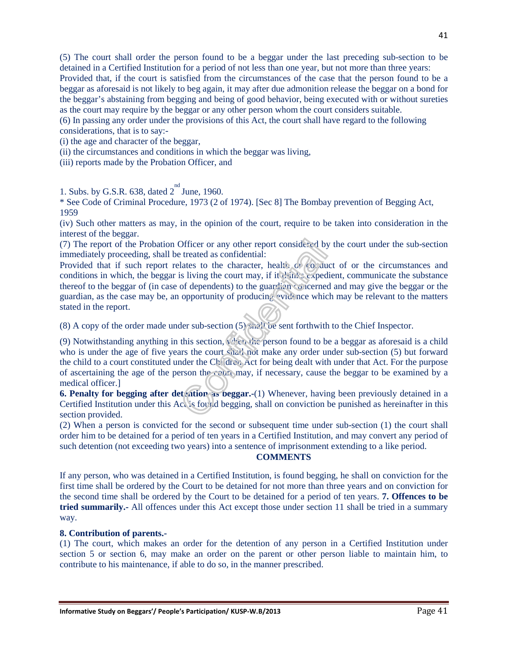(5) The court shall order the person found to be a beggar under the last preceding sub-section to be detained in a Certified Institution for a period of not less than one year, but not more than three years: Provided that, if the court is satisfied from the circumstances of the case that the person found to be a beggar as aforesaid is not likely to beg again, it may after due admonition release the beggar on a bond for the beggar's abstaining from begging and being of good behavior, being executed with or without sureties as the court may require by the beggar or any other person whom the court considers suitable.

(6) In passing any order under the provisions of this Act, the court shall have regard to the following considerations, that is to say:-

(i) the age and character of the beggar,

(ii) the circumstances and conditions in which the beggar was living,

(iii) reports made by the Probation Officer, and

1. Subs. by G.S.R. 638, dated  $2^{nd}$  June, 1960.

\* See Code of Criminal Procedure, 1973 (2 of 1974). [Sec 8] The Bombay prevention of Begging Act, 1959

(iv) Such other matters as may, in the opinion of the court, require to be taken into consideration in the interest of the beggar.

(7) The report of the Probation Officer or any other report considered by the court under the sub-section immediately proceeding, shall be treated as confidential:

Provided that if such report relates to the character, health or conduct of or the circumstances and conditions in which, the beggar is living the court may, if it thinks expedient, communicate the substance thereof to the beggar of (in case of dependents) to the guardian concerned and may give the beggar or the guardian, as the case may be, an opportunity of producing evidence which may be relevant to the matters stated in the report.

(8) A copy of the order made under sub-section  $(5)$  shall be sent forthwith to the Chief Inspector.

(9) Notwithstanding anything in this section, when the person found to be a beggar as aforesaid is a child who is under the age of five years the court shall not make any order under sub-section (5) but forward the child to a court constituted under the Children Act for being dealt with under that Act. For the purpose of ascertaining the age of the person the court may, if necessary, cause the beggar to be examined by a medical officer.]

**6. Penalty for begging after detention as beggar.-**(1) Whenever, having been previously detained in a Certified Institution under this Act is found begging, shall on conviction be punished as hereinafter in this section provided.

(2) When a person is convicted for the second or subsequent time under sub-section (1) the court shall order him to be detained for a period of ten years in a Certified Institution, and may convert any period of such detention (not exceeding two years) into a sentence of imprisonment extending to a like period.

#### **COMMENTS**

If any person, who was detained in a Certified Institution, is found begging, he shall on conviction for the first time shall be ordered by the Court to be detained for not more than three years and on conviction for the second time shall be ordered by the Court to be detained for a period of ten years. **7. Offences to be tried summarily.-** All offences under this Act except those under section 11 shall be tried in a summary way.

#### **8. Contribution of parents.-**

(1) The court, which makes an order for the detention of any person in a Certified Institution under section 5 or section 6, may make an order on the parent or other person liable to maintain him, to contribute to his maintenance, if able to do so, in the manner prescribed.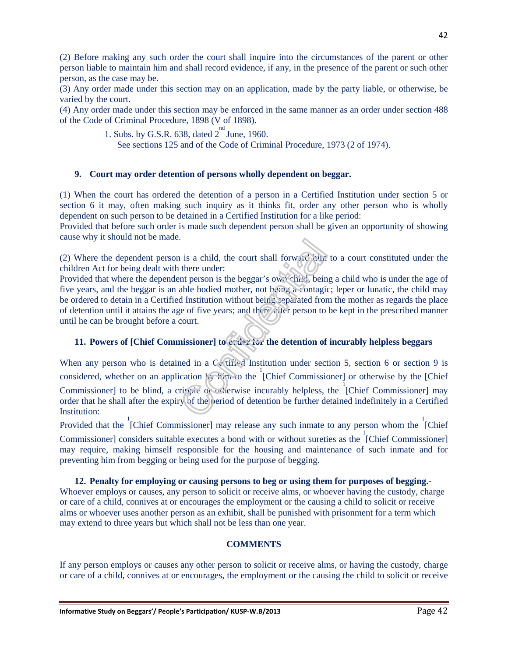(2) Before making any such order the court shall inquire into the circumstances of the parent or other person liable to maintain him and shall record evidence, if any, in the presence of the parent or such other person, as the case may be.

(3) Any order made under this section may on an application, made by the party liable, or otherwise, be varied by the court.

(4) Any order made under this section may be enforced in the same manner as an order under section 488 of the Code of Criminal Procedure, 1898 (V of 1898).

1. Subs. by G.S.R. 638, dated  $2^{nd}$  June, 1960.

See sections 125 and of the Code of Criminal Procedure, 1973 (2 of 1974).

#### **9. Court may order detention of persons wholly dependent on beggar.**

(1) When the court has ordered the detention of a person in a Certified Institution under section 5 or section 6 it may, often making such inquiry as it thinks fit, order any other person who is wholly dependent on such person to be detained in a Certified Institution for a like period:

Provided that before such order is made such dependent person shall be given an opportunity of showing cause why it should not be made.

(2) Where the dependent person is a child, the court shall forward him to a court constituted under the children Act for being dealt with there under:

Provided that where the dependent person is the beggar's own child, being a child who is under the age of five years, and the beggar is an able bodied mother, not being a contagic; leper or lunatic, the child may be ordered to detain in a Certified Institution without being separated from the mother as regards the place of detention until it attains the age of five years; and there *after person* to be kept in the prescribed manner until he can be brought before a court.

#### **11. Powers of [Chief Commissioner] to order for the detention of incurably helpless beggars**

When any person who is detained in a Certified Institution under section 5, section 6 or section 9 is considered, whether on an application  $\frac{1}{2}$  him to the [Chief Commissioner] or otherwise by the [Chief Commissioner] to be blind, a cripple of exterwise incurably helpless, the <sup>1</sup>[Chief Commissioner] may order that he shall after the expiry of the period of detention be further detained indefinitely in a Certified Institution:

Provided that the  $\frac{1}{2}$ [Chief Commissioner] may release any such inmate to any person whom the  $\frac{1}{2}$ [Chief Commissioner] considers suitable executes a bond with or without sureties as the  $\frac{1}{2}$  [Chief Commissioner] may require, making himself responsible for the housing and maintenance of such inmate and for preventing him from begging or being used for the purpose of begging.

#### **12. Penalty for employing or causing persons to beg or using them for purposes of begging.-**

Whoever employs or causes, any person to solicit or receive alms, or whoever having the custody, charge or care of a child, connives at or encourages the employment or the causing a child to solicit or receive alms or whoever uses another person as an exhibit, shall be punished with prisonment for a term which may extend to three years but which shall not be less than one year.

#### **COMMENTS**

If any person employs or causes any other person to solicit or receive alms, or having the custody, charge or care of a child, connives at or encourages, the employment or the causing the child to solicit or receive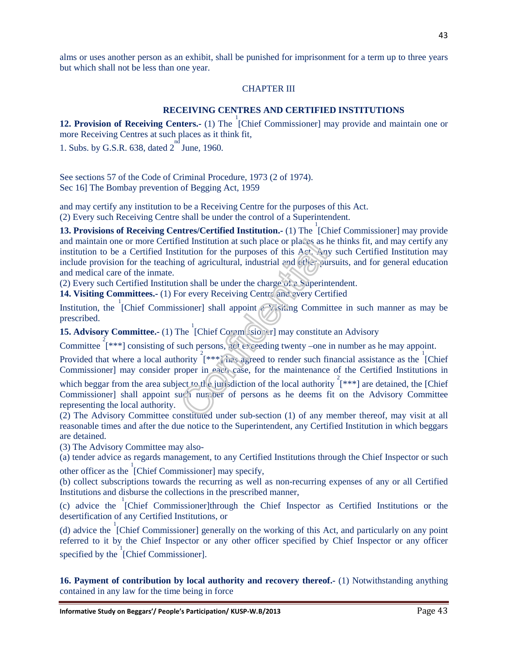alms or uses another person as an exhibit, shall be punished for imprisonment for a term up to three years but which shall not be less than one year.

#### CHAPTER III

## **RECEIVING CENTRES AND CERTIFIED INSTITUTIONS**

**12. Provision of Receiving Centers.**- (1) The <sup>1</sup>[Chief Commissioner] may provide and maintain one or more Receiving Centres at such places as it think fit,

1. Subs. by G.S.R. 638, dated  $2^{nd}$  June, 1960.

See sections 57 of the Code of Criminal Procedure, 1973 (2 of 1974). Sec 16] The Bombay prevention of Begging Act, 1959

and may certify any institution to be a Receiving Centre for the purposes of this Act.

(2) Every such Receiving Centre shall be under the control of a Superintendent.

**13. Provisions of Receiving Centres/Certified Institution.** (1) The [Chief Commissioner] may provide and maintain one or more Certified Institution at such place or places as he thinks fit, and may certify any institution to be a Certified Institution for the purposes of this Act. Any such Certified Institution may include provision for the teaching of agricultural, industrial and other pursuits, and for general education and medical care of the inmate.

(2) Every such Certified Institution shall be under the charge of a Superintendent.

14. Visiting Committees.- (1) For every Receiving Centre and every Certified

Institution, the <sup>1</sup>[Chief Commissioner] shall appoint a Visiting Committee in such manner as may be prescribed.

**15. Advisory Committee.** (1) The [Chief Commissioner] may constitute an Advisory

Committee  $2^2$  [\*\*\*] consisting of such persons, not exceeding twenty –one in number as he may appoint.

Provided that where a local authority  $\left[\frac{2}{x^* + 1}\right]$  has agreed to render such financial assistance as the [Chief] Commissioner] may consider proper in each case, for the maintenance of the Certified Institutions in

which beggar from the area subject to the jurisdiction of the local authority  $\int_{0}^{2}$  [\*\*\*] are detained, the [Chief Commissioner] shall appoint such number of persons as he deems fit on the Advisory Committee representing the local authority.

(2) The Advisory Committee constituted under sub-section (1) of any member thereof, may visit at all reasonable times and after the due notice to the Superintendent, any Certified Institution in which beggars are detained.

(3) The Advisory Committee may also-

(a) tender advice as regards management, to any Certified Institutions through the Chief Inspector or such other officer as the 1 [Chief Commissioner] may specify,

(b) collect subscriptions towards the recurring as well as non-recurring expenses of any or all Certified Institutions and disburse the collections in the prescribed manner,

(c) advice the 1 [Chief Commissioner]through the Chief Inspector as Certified Institutions or the desertification of any Certified Institutions, or

(d) advice the 1 [Chief Commissioner] generally on the working of this Act, and particularly on any point referred to it by the Chief Inspector or any other officer specified by Chief Inspector or any officer specified by the  $\int_{0}^{1}$  [Chief Commissioner].

**16. Payment of contribution by local authority and recovery thereof.** (1) Notwithstanding anything contained in any law for the time being in force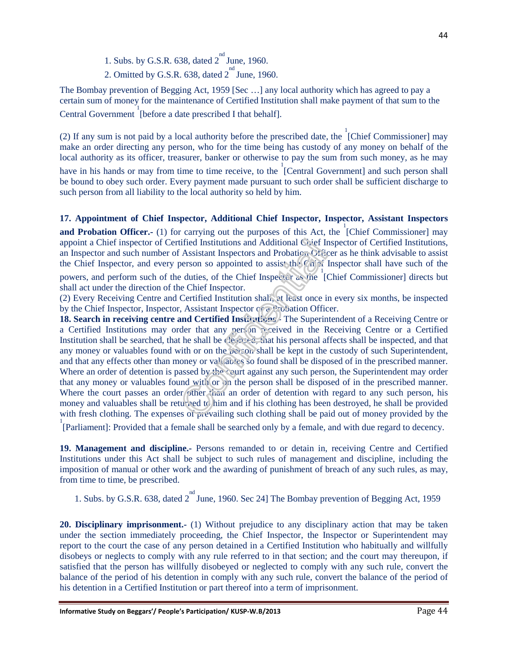- 1. Subs. by G.S.R. 638, dated  $2^{nd}$  June, 1960.
- 2. Omitted by G.S.R. 638, dated  $2^{nd}$  June, 1960.

The Bombay prevention of Begging Act, 1959 [Sec …] any local authority which has agreed to pay a certain sum of money for the maintenance of Certified Institution shall make payment of that sum to the Central Government [before a date prescribed I that behalf].

(2) If any sum is not paid by a local authority before the prescribed date, the  ${}^{1}$ [Chief Commissioner] may make an order directing any person, who for the time being has custody of any money on behalf of the local authority as its officer, treasurer, banker or otherwise to pay the sum from such money, as he may

have in his hands or may from time to time receive, to the  $\int_{0}^{1}$  [Central Government] and such person shall be bound to obey such order. Every payment made pursuant to such order shall be sufficient discharge to such person from all liability to the local authority so held by him.

#### **17. Appointment of Chief Inspector, Additional Chief Inspector, Inspector, Assistant Inspectors**

**and Probation Officer.**- (1) for carrying out the purposes of this Act, the <sup>1</sup>[Chief Commissioner] may appoint a Chief inspector of Certified Institutions and Additional Chief Inspector of Certified Institutions, an Inspector and such number of Assistant Inspectors and Probation Officer as he think advisable to assist the Chief Inspector, and every person so appointed to assist the Chief Inspector shall have such of the

powers, and perform such of the duties, of the Chief Inspector as the [Chief Commissioner] directs but shall act under the direction of the Chief Inspector.

(2) Every Receiving Centre and Certified Institution shall, at least once in every six months, be inspected by the Chief Inspector, Inspector, Assistant Inspector or a Probation Officer.

**18. Search in receiving centre and Certified Institutions.-** The Superintendent of a Receiving Centre or a Certified Institutions may order that any person received in the Receiving Centre or a Certified Institution shall be searched, that he shall be cleansed, that his personal affects shall be inspected, and that any money or valuables found with or on the person shall be kept in the custody of such Superintendent, and that any effects other than money or valuables so found shall be disposed of in the prescribed manner. Where an order of detention is passed by the court against any such person, the Superintendent may order that any money or valuables found with or on the person shall be disposed of in the prescribed manner. Where the court passes an order other than an order of detention with regard to any such person, his money and valuables shall be returned to him and if his clothing has been destroyed, he shall be provided with fresh clothing. The expenses of prevailing such clothing shall be paid out of money provided by the

<sup>1</sup><br>[Parliament]: Provided that a female shall be searched only by a female, and with due regard to decency.

**19. Management and discipline.-** Persons remanded to or detain in, receiving Centre and Certified Institutions under this Act shall be subject to such rules of management and discipline, including the imposition of manual or other work and the awarding of punishment of breach of any such rules, as may, from time to time, be prescribed.

1. Subs. by G.S.R. 638, dated  $2^{nd}$  June, 1960. Sec 24] The Bombay prevention of Begging Act, 1959

**20. Disciplinary imprisonment.-** (1) Without prejudice to any disciplinary action that may be taken under the section immediately proceeding, the Chief Inspector, the Inspector or Superintendent may report to the court the case of any person detained in a Certified Institution who habitually and willfully disobeys or neglects to comply with any rule referred to in that section; and the court may thereupon, if satisfied that the person has willfully disobeyed or neglected to comply with any such rule, convert the balance of the period of his detention in comply with any such rule, convert the balance of the period of his detention in a Certified Institution or part thereof into a term of imprisonment.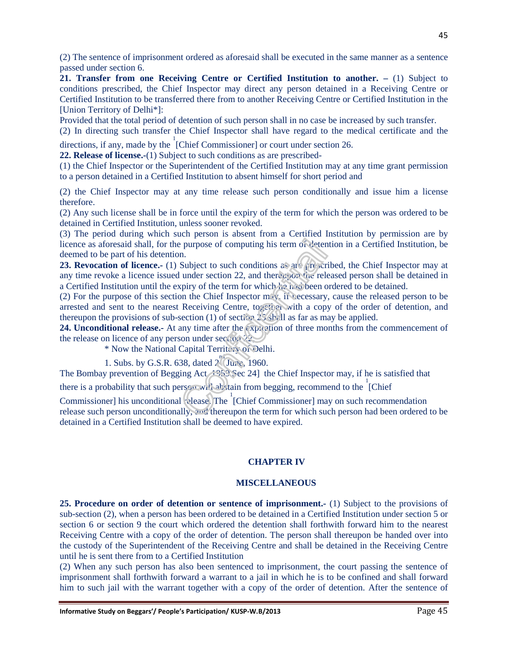(2) The sentence of imprisonment ordered as aforesaid shall be executed in the same manner as a sentence passed under section 6.

**21. Transfer from one Receiving Centre or Certified Institution to another.** – (1) Subject to conditions prescribed, the Chief Inspector may direct any person detained in a Receiving Centre or Certified Institution to be transferred there from to another Receiving Centre or Certified Institution in the [Union Territory of Delhi\*]:

Provided that the total period of detention of such person shall in no case be increased by such transfer.

(2) In directing such transfer the Chief Inspector shall have regard to the medical certificate and the directions, if any, made by the <sup>1</sup>[Chief Commissioner] or court under section 26.

**22. Release of license.-**(1) Subject to such conditions as are prescribed-

(1) the Chief Inspector or the Superintendent of the Certified Institution may at any time grant permission to a person detained in a Certified Institution to absent himself for short period and

(2) the Chief Inspector may at any time release such person conditionally and issue him a license therefore.

(2) Any such license shall be in force until the expiry of the term for which the person was ordered to be detained in Certified Institution, unless sooner revoked.

(3) The period during which such person is absent from a Certified Institution by permission are by licence as aforesaid shall, for the purpose of computing his term of detention in a Certified Institution, be deemed to be part of his detention.

**23. Revocation of licence.-** (1) Subject to such conditions as are prescribed, the Chief Inspector may at any time revoke a licence issued under section 22, and thereupon the released person shall be detained in a Certified Institution until the expiry of the term for which he had been ordered to be detained.

(2) For the purpose of this section the Chief Inspector  $m<sub>1</sub>$ , if necessary, cause the released person to be arrested and sent to the nearest Receiving Centre, together with a copy of the order of detention, and thereupon the provisions of sub-section (1) of section 25 shall as far as may be applied.

**24. Unconditional release.-** At any time after the expiration of three months from the commencement of the release on licence of any person under section 22

\* Now the National Capital Territory of Delhi.

1. Subs. by G.S.R. 638, dated  $2\int_0^{\pi}$  June, 1960.

The Bombay prevention of Begging Act, 1959 Sec 24] the Chief Inspector may, if he is satisfied that

there is a probability that such person will abstain from begging, recommend to the  $\frac{1}{2}$ Chief

Commissioner] his unconditional vlease. The [Chief Commissioner] may on such recommendation release such person unconditionally, and thereupon the term for which such person had been ordered to be detained in a Certified Institution shall be deemed to have expired.

#### **CHAPTER IV**

#### **MISCELLANEOUS**

**25. Procedure on order of detention or sentence of imprisonment.-** (1) Subject to the provisions of sub-section (2), when a person has been ordered to be detained in a Certified Institution under section 5 or section 6 or section 9 the court which ordered the detention shall forthwith forward him to the nearest Receiving Centre with a copy of the order of detention. The person shall thereupon be handed over into the custody of the Superintendent of the Receiving Centre and shall be detained in the Receiving Centre until he is sent there from to a Certified Institution

(2) When any such person has also been sentenced to imprisonment, the court passing the sentence of imprisonment shall forthwith forward a warrant to a jail in which he is to be confined and shall forward him to such jail with the warrant together with a copy of the order of detention. After the sentence of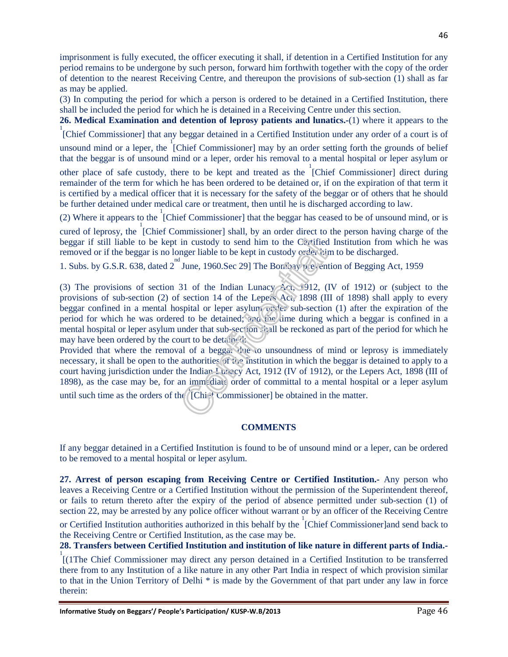imprisonment is fully executed, the officer executing it shall, if detention in a Certified Institution for any period remains to be undergone by such person, forward him forthwith together with the copy of the order of detention to the nearest Receiving Centre, and thereupon the provisions of sub-section (1) shall as far as may be applied.

(3) In computing the period for which a person is ordered to be detained in a Certified Institution, there shall be included the period for which he is detained in a Receiving Centre under this section.

**26. Medical Examination and detention of leprosy patients and lunatics.-**(1) where it appears to the <sup>1</sup><br>[Chief Commissioner] that any beggar detained in a Certified Institution under any order of a court is of

unsound mind or a leper, the  $\overline{C}$  [Chief Commissioner] may by an order setting forth the grounds of belief that the beggar is of unsound mind or a leper, order his removal to a mental hospital or leper asylum or

other place of safe custody, there to be kept and treated as the  $\int_C$ Chief Commissioner] direct during remainder of the term for which he has been ordered to be detained or, if on the expiration of that term it is certified by a medical officer that it is necessary for the safety of the beggar or of others that he should be further detained under medical care or treatment, then until he is discharged according to law.

(2) Where it appears to the  $\frac{1}{2}$  [Chief Commissioner] that the beggar has ceased to be of unsound mind, or is cured of leprosy, the 1 [Chief Commissioner] shall, by an order direct to the person having charge of the beggar if still liable to be kept in custody to send him to the Certified Institution from which he was removed or if the beggar is no longer liable to be kept in custody order him to be discharged.

1. Subs. by G.S.R. 638, dated 2<sup>nd</sup> June, 1960.Sec 29] The Bombay prevention of Begging Act, 1959

(3) The provisions of section 31 of the Indian Lunacy Act, 1912, (IV of 1912) or (subject to the provisions of sub-section (2) of section 14 of the Lepers Act, 1898 (III of 1898) shall apply to every beggar confined in a mental hospital or leper asylum  $\sigma v$ , der sub-section (1) after the expiration of the period for which he was ordered to be detained; and the time during which a beggar is confined in a mental hospital or leper asylum under that sub-section shall be reckoned as part of the period for which he may have been ordered by the court to be detained:

Provided that where the removal of a beggar due to unsoundness of mind or leprosy is immediately necessary, it shall be open to the authorities of the institution in which the beggar is detained to apply to a court having jurisdiction under the Indian Lunacy Act, 1912 (IV of 1912), or the Lepers Act, 1898 (III of 1898), as the case may be, for an immediate order of committal to a mental hospital or a leper asylum until such time as the orders of the [Chief Commissioner] be obtained in the matter.

**COMMENTS** 

If any beggar detained in a Certified Institution is found to be of unsound mind or a leper, can be ordered to be removed to a mental hospital or leper asylum.

**27. Arrest of person escaping from Receiving Centre or Certified Institution.-** Any person who leaves a Receiving Centre or a Certified Institution without the permission of the Superintendent thereof, or fails to return thereto after the expiry of the period of absence permitted under sub-section (1) of section 22, may be arrested by any police officer without warrant or by an officer of the Receiving Centre

or Certified Institution authorities authorized in this behalf by the 1 [Chief Commissioner]and send back to the Receiving Centre or Certified Institution, as the case may be.

**28. Transfers between Certified Institution and institution of like nature in different parts of India.-** 

1 [(1The Chief Commissioner may direct any person detained in a Certified Institution to be transferred there from to any Institution of a like nature in any other Part India in respect of which provision similar to that in the Union Territory of Delhi \* is made by the Government of that part under any law in force therein: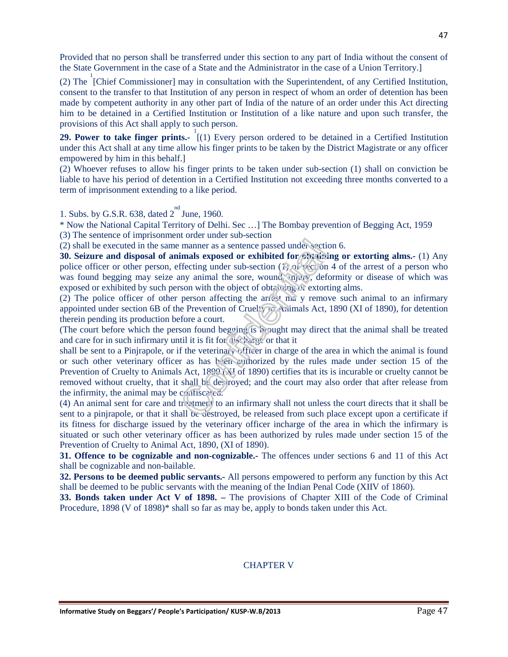Provided that no person shall be transferred under this section to any part of India without the consent of the State Government in the case of a State and the Administrator in the case of a Union Territory.]

(2) The  $\int$ <sup>1</sup> [Chief Commissioner] may in consultation with the Superintendent, of any Certified Institution, consent to the transfer to that Institution of any person in respect of whom an order of detention has been made by competent authority in any other part of India of the nature of an order under this Act directing him to be detained in a Certified Institution or Institution of a like nature and upon such transfer, the provisions of this Act shall apply to such person.

**29. Power to take finger prints.**  $(1)$  Every person ordered to be detained in a Certified Institution under this Act shall at any time allow his finger prints to be taken by the District Magistrate or any officer empowered by him in this behalf.]

(2) Whoever refuses to allow his finger prints to be taken under sub-section (1) shall on conviction be liable to have his period of detention in a Certified Institution not exceeding three months converted to a term of imprisonment extending to a like period.

1. Subs. by G.S.R. 638, dated  $2^{nd}$  June, 1960.

\* Now the National Capital Territory of Delhi. Sec …] The Bombay prevention of Begging Act, 1959 (3) The sentence of imprisonment order under sub-section

(2) shall be executed in the same manner as a sentence passed under section 6.

**30. Seizure and disposal of animals exposed or exhibited for obtaining or extorting alms.-** (1) Any police officer or other person, effecting under sub-section (1) of section 4 of the arrest of a person who was found begging may seize any animal the sore, wound, injury, deformity or disease of which was exposed or exhibited by such person with the object of obtaining or extorting alms.

(2) The police officer of other person affecting the arrest ma y remove such animal to an infirmary appointed under section 6B of the Prevention of Cruelty to Animals Act, 1890 (XI of 1890), for detention therein pending its production before a court.

(The court before which the person found begging is brought may direct that the animal shall be treated and care for in such infirmary until it is fit for discharge or that it

shall be sent to a Pinjrapole, or if the veterinary officer in charge of the area in which the animal is found or such other veterinary officer as has been authorized by the rules made under section 15 of the Prevention of Cruelty to Animals Act, 1890 (XI of 1890) certifies that its is incurable or cruelty cannot be removed without cruelty, that it shall be destroyed; and the court may also order that after release from the infirmity, the animal may be confiscated.

(4) An animal sent for care and treatment to an infirmary shall not unless the court directs that it shall be sent to a pinjrapole, or that it shall be destroyed, be released from such place except upon a certificate if its fitness for discharge issued by the veterinary officer incharge of the area in which the infirmary is situated or such other veterinary officer as has been authorized by rules made under section 15 of the Prevention of Cruelty to Animal Act, 1890, (XI of 1890).

**31. Offence to be cognizable and non-cognizable.-** The offences under sections 6 and 11 of this Act shall be cognizable and non-bailable.

**32. Persons to be deemed public servants.-** All persons empowered to perform any function by this Act shall be deemed to be public servants with the meaning of the Indian Penal Code (XIIV of 1860).

**33. Bonds taken under Act V of 1898. –** The provisions of Chapter XIII of the Code of Criminal Procedure, 1898 (V of 1898)\* shall so far as may be, apply to bonds taken under this Act.

#### CHAPTER V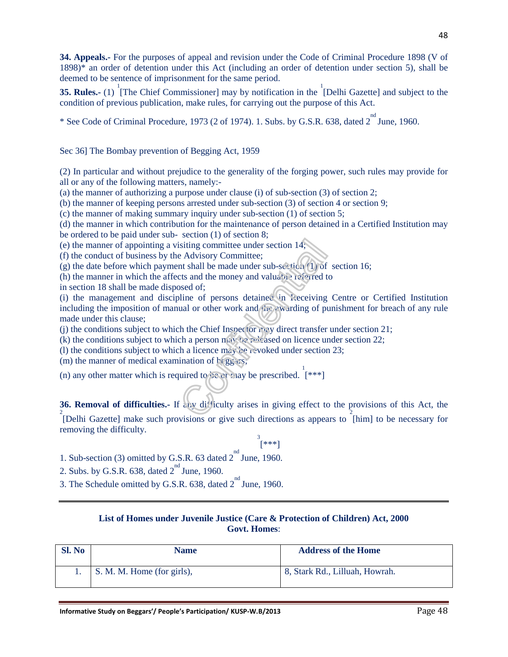**34. Appeals.-** For the purposes of appeal and revision under the Code of Criminal Procedure 1898 (V of 1898)\* an order of detention under this Act (including an order of detention under section 5), shall be deemed to be sentence of imprisonment for the same period.

**35. Rules.-** (1) <sup>1</sup> [The Chief Commissioner] may by notification in the <sup>1</sup>[Delhi Gazette] and subject to the condition of previous publication, make rules, for carrying out the purpose of this Act.

\* See Code of Criminal Procedure, 1973 (2 of 1974). 1. Subs. by G.S.R. 638, dated  $2^{nd}$  June, 1960.

Sec 36] The Bombay prevention of Begging Act, 1959

(2) In particular and without prejudice to the generality of the forging power, such rules may provide for all or any of the following matters, namely:-

(a) the manner of authorizing a purpose under clause (i) of sub-section (3) of section 2;

(b) the manner of keeping persons arrested under sub-section (3) of section 4 or section 9;

(c) the manner of making summary inquiry under sub-section (1) of section 5;

(d) the manner in which contribution for the maintenance of person detained in a Certified Institution may be ordered to be paid under sub- section (1) of section 8;

(e) the manner of appointing a visiting committee under section 14;

(f) the conduct of business by the Advisory Committee;

(g) the date before which payment shall be made under sub-section (1) of section 16;

(h) the manner in which the affects and the money and valuable referred to

in section 18 shall be made disposed of;

(i) the management and discipline of persons detained in Receiving Centre or Certified Institution including the imposition of manual or other work and  $\frac{1}{100}$  awarding of punishment for breach of any rule made under this clause;

(j) the conditions subject to which the Chief Inspector may direct transfer under section 21;

(k) the conditions subject to which a person may be released on licence under section 22;

(l) the conditions subject to which a licence may be revoked under section 23;

(m) the manner of medical examination of  $\frac{1}{2}$  (ggs:s;

(n) any other matter which is required to be or may be prescribed.  $[$ \*\*\*]

**36. Removal of difficulties.-** If any difficulty arises in giving effect to the provisions of this Act, the <sup>2</sup><br>[Delhi Gazette] make such provisions or give such directions as appears to  $\overline{2}$ [him] to be necessary for removing the difficulty.

3 [\*\*\*]

1. Sub-section (3) omitted by G.S.R. 63 dated  $2^{nd}$  June, 1960.

2. Subs. by G.S.R. 638, dated  $2^{nd}$  June, 1960.

3. The Schedule omitted by G.S.R. 638, dated  $2^{nd}$  June, 1960.

#### **List of Homes under Juvenile Justice (Care & Protection of Children) Act, 2000 Govt. Homes**:

| Sl. No | <b>Name</b>                | <b>Address of the Home</b>     |
|--------|----------------------------|--------------------------------|
|        | S. M. M. Home (for girls), | 8, Stark Rd., Lilluah, Howrah. |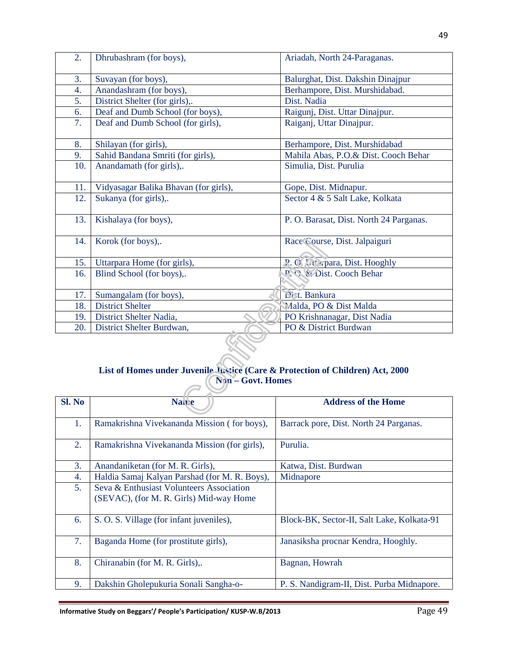| 2.  | Dhrubashram (for boys),               | Ariadah, North 24-Paraganas.            |  |
|-----|---------------------------------------|-----------------------------------------|--|
| 3.  | Suvayan (for boys),                   | Balurghat, Dist. Dakshin Dinajpur       |  |
| 4.  | Anandashram (for boys),               | Berhampore, Dist. Murshidabad.          |  |
| 5.  | District Shelter (for girls),.        | Dist. Nadia                             |  |
| 6.  | Deaf and Dumb School (for boys),      | Raigunj, Dist. Uttar Dinajpur.          |  |
| 7.  | Deaf and Dumb School (for girls),     | Raiganj, Uttar Dinajpur.                |  |
| 8.  | Shilayan (for girls),                 | Berhampore, Dist. Murshidabad           |  |
| 9.  | Sahid Bandana Smriti (for girls),     | Mahila Abas, P.O.& Dist. Cooch Behar    |  |
| 10. | Anandamath (for girls),.              | Simulia, Dist. Purulia                  |  |
|     |                                       |                                         |  |
| 11. | Vidyasagar Balika Bhavan (for girls), | Gope, Dist. Midnapur.                   |  |
| 12. | Sukanya (for girls),.                 | Sector 4 & 5 Salt Lake, Kolkata         |  |
| 13. | Kishalaya (for boys),                 | P. O. Barasat, Dist. North 24 Parganas. |  |
| 14. | Korok (for boys),.                    | Race Course, Dist. Jalpaiguri           |  |
| 15. | Uttarpara Home (for girls),           | P. O. Utterpara, Dist. Hooghly          |  |
| 16. | Blind School (for boys),.             | P. C. & Dist. Cooch Behar               |  |
|     |                                       |                                         |  |
| 17. | Sumangalam (for boys),                | Dist. Bankura                           |  |
| 18. | <b>District Shelter</b>               | Malda, PO & Dist Malda                  |  |
| 19. | District Shelter Nadia,               | PO Krishnanagar, Dist Nadia             |  |
| 20. | District Shelter Burdwan,             | PO & District Burdwan                   |  |
|     |                                       |                                         |  |

# **List of Homes under Juvenile Justice (Care & Protection of Children) Act, 2000 Non – Govt. Homes**

| Sl. No | <b>Nawe</b>                                                                         | <b>Address of the Home</b>                 |  |
|--------|-------------------------------------------------------------------------------------|--------------------------------------------|--|
| 1.     | Ramakrishna Vivekananda Mission (for boys),                                         | Barrack pore, Dist. North 24 Parganas.     |  |
| 2.     | Ramakrishna Vivekananda Mission (for girls),                                        | Purulia.                                   |  |
| 3.     | Anandaniketan (for M. R. Girls),                                                    | Katwa, Dist. Burdwan                       |  |
| 4.     | Haldia Samaj Kalyan Parshad (for M. R. Boys),                                       | Midnapore                                  |  |
| 5.     | Seva & Enthusiast Volunteers Association<br>(SEVAC), (for M. R. Girls) Mid-way Home |                                            |  |
| 6.     | S. O. S. Village (for infant juveniles),                                            | Block-BK, Sector-II, Salt Lake, Kolkata-91 |  |
| 7.     | Baganda Home (for prostitute girls),                                                | Janasiksha procnar Kendra, Hooghly.        |  |
| 8.     | Chiranabin (for M. R. Girls),.                                                      | Bagnan, Howrah                             |  |
| 9.     | Dakshin Gholepukuria Sonali Sangha-o-                                               | P. S. Nandigram-II, Dist. Purba Midnapore. |  |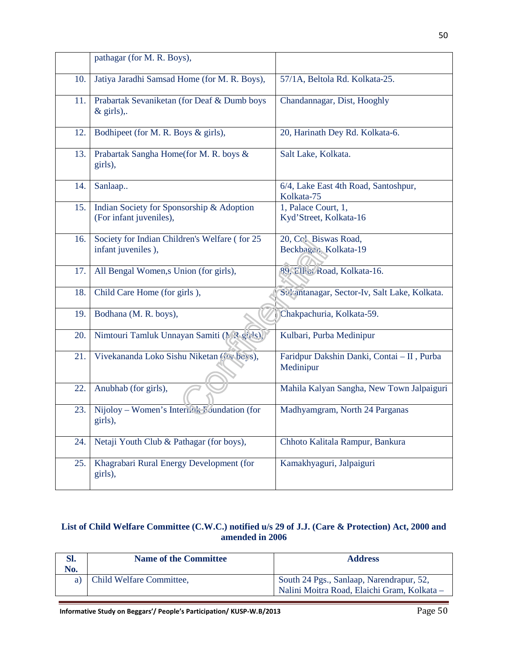|     | pathagar (for M. R. Boys),                                                     |                                                         |
|-----|--------------------------------------------------------------------------------|---------------------------------------------------------|
| 10. | Jatiya Jaradhi Samsad Home (for M. R. Boys),<br>57/1A, Beltola Rd. Kolkata-25. |                                                         |
| 11. | Prabartak Sevaniketan (for Deaf & Dumb boys<br>$&$ girls),.                    | Chandannagar, Dist, Hooghly                             |
| 12. | Bodhipeet (for M. R. Boys & girls),                                            | 20, Harinath Dey Rd. Kolkata-6.                         |
| 13. | Prabartak Sangha Home(for M. R. boys &<br>girls),                              | Salt Lake, Kolkata.                                     |
| 14. | Sanlaap                                                                        | 6/4, Lake East 4th Road, Santoshpur,<br>Kolkata-75      |
| 15. | Indian Society for Sponsorship & Adoption<br>(For infant juveniles),           | 1, Palace Court, 1,<br>Kyd'Street, Kolkata-16           |
| 16. | Society for Indian Children's Welfare (for 25<br>infant juveniles),            | 20, Cc1 Biswas Road,<br>Beckbagau, Kolkata-19           |
| 17. | All Bengal Women, s Union (for girls),                                         | 89, Ellici Road, Kolkata-16.                            |
| 18. | Child Care Home (for girls),                                                   | Sykantanagar, Sector-Iv, Salt Lake, Kolkata.            |
| 19. | Bodhana (M. R. boys),                                                          | Chakpachuria, Kolkata-59.                               |
| 20. | Nimtouri Tamluk Unnayan Samiti (M ? girls),                                    | Kulbari, Purba Medinipur                                |
| 21. | Vivekananda Loko Sishu Niketan (roc boys),                                     | Faridpur Dakshin Danki, Contai - II, Purba<br>Medinipur |
| 22. | Anubhab (for girls),                                                           | Mahila Kalyan Sangha, New Town Jalpaiguri               |
| 23. | Nijoloy – Women's Interlink Foundation (for<br>girls),                         | Madhyamgram, North 24 Parganas                          |
| 24. | Netaji Youth Club & Pathagar (for boys),                                       | Chhoto Kalitala Rampur, Bankura                         |
| 25. | Khagrabari Rural Energy Development (for<br>girls),                            | Kamakhyaguri, Jalpaiguri                                |

#### **List of Child Welfare Committee (C.W.C.) notified u/s 29 of J.J. (Care & Protection) Act, 2000 and amended in 2006**

| Sl.<br>No. | <b>Name of the Committee</b> | <b>Address</b>                                                                          |
|------------|------------------------------|-----------------------------------------------------------------------------------------|
|            | Child Welfare Committee,     | South 24 Pgs., Sanlaap, Narendrapur, 52,<br>Nalini Moitra Road, Elaichi Gram, Kolkata - |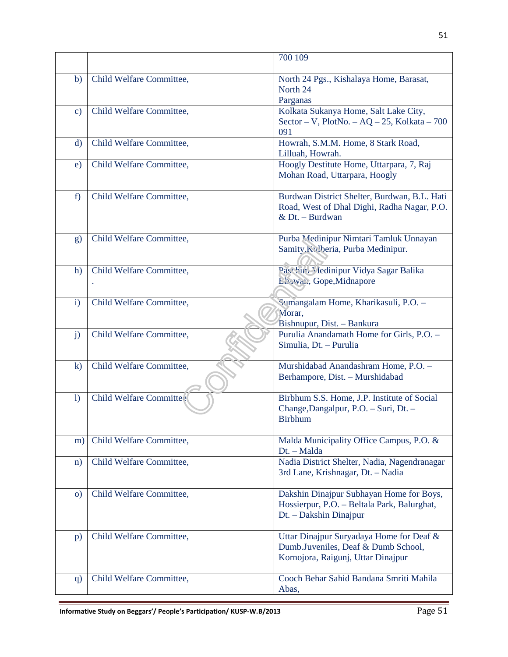|               |                          | 700 109                                                                                                               |  |
|---------------|--------------------------|-----------------------------------------------------------------------------------------------------------------------|--|
| b)            | Child Welfare Committee, | North 24 Pgs., Kishalaya Home, Barasat,<br>North 24<br>Parganas                                                       |  |
| $\mathbf{c})$ | Child Welfare Committee, | Kolkata Sukanya Home, Salt Lake City,<br>Sector – V, PlotNo. – AQ – 25, Kolkata – 700<br>091                          |  |
| $\mathbf{d}$  | Child Welfare Committee, | Howrah, S.M.M. Home, 8 Stark Road,<br>Lilluah, Howrah.                                                                |  |
| e)            | Child Welfare Committee, | Hoogly Destitute Home, Uttarpara, 7, Raj<br>Mohan Road, Uttarpara, Hoogly                                             |  |
| f)            | Child Welfare Committee, | Burdwan District Shelter, Burdwan, B.L. Hati<br>Road, West of Dhal Dighi, Radha Nagar, P.O.<br>& Dt. - Burdwan        |  |
| g)            | Child Welfare Committee, | Purba Medinipur Nimtari Tamluk Unnayan<br>Samity Kulberia, Purba Medinipur.                                           |  |
| h)            | Child Welfare Committee, | Paschin Medinipur Vidya Sagar Balika<br>L'hawan, Gope, Midnapore                                                      |  |
| $\mathbf{i}$  | Child Welfare Committee, | Sumangalam Home, Kharikasuli, P.O. -<br>Morar,<br>Bishnupur, Dist. - Bankura                                          |  |
| j)            | Child Welfare Committee, | Purulia Anandamath Home for Girls, P.O. -<br>Simulia, Dt. - Purulia                                                   |  |
| $\mathbf{k}$  | Child Welfare Committee, | Murshidabad Anandashram Home, P.O. -<br>Berhampore, Dist. - Murshidabad                                               |  |
| 1)            | Child Welfare Committee  | Birbhum S.S. Home, J.P. Institute of Social<br>Change, Dangalpur, P.O. - Suri, Dt. -<br><b>Birbhum</b>                |  |
| m)            | Child Welfare Committee, | Malda Municipality Office Campus, P.O. &<br>Dt. - Malda                                                               |  |
| $\mathbf{n}$  | Child Welfare Committee, | Nadia District Shelter, Nadia, Nagendranagar<br>3rd Lane, Krishnagar, Dt. - Nadia                                     |  |
| $\mathbf{0}$  | Child Welfare Committee, | Dakshin Dinajpur Subhayan Home for Boys,<br>Hossierpur, P.O. - Beltala Park, Balurghat,<br>Dt. - Dakshin Dinajpur     |  |
| p)            | Child Welfare Committee, | Uttar Dinajpur Suryadaya Home for Deaf &<br>Dumb.Juveniles, Deaf & Dumb School,<br>Kornojora, Raigunj, Uttar Dinajpur |  |
| q)            | Child Welfare Committee, | Cooch Behar Sahid Bandana Smriti Mahila<br>Abas,                                                                      |  |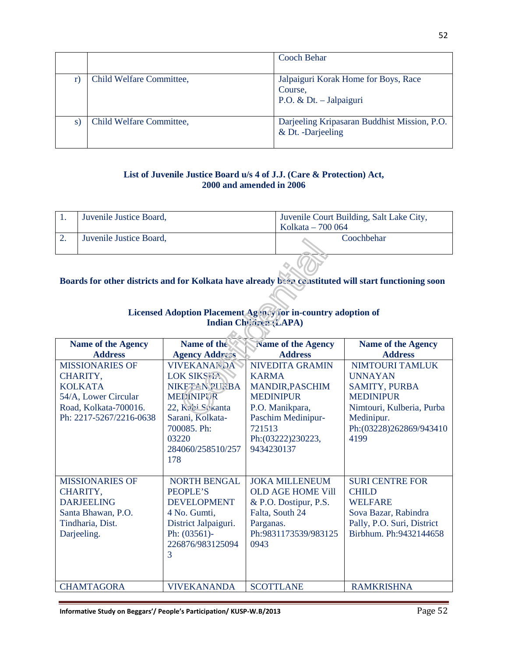|                          | Cooch Behar                                                                  |
|--------------------------|------------------------------------------------------------------------------|
| Child Welfare Committee, | Jalpaiguri Korak Home for Boys, Race<br>Course,<br>P.O. & Dt. $-$ Jalpaiguri |
| Child Welfare Committee, | Darjeeling Kripasaran Buddhist Mission, P.O.<br>& Dt. -Darjeeling            |

#### **List of Juvenile Justice Board u/s 4 of J.J. (Care & Protection) Act, 2000 and amended in 2006**

| Juvenile Justice Board, | Juvenile Court Building, Salt Lake City,<br>Kolkata – 700 064 |
|-------------------------|---------------------------------------------------------------|
| Juvenile Justice Board, | Coochbehar                                                    |

## **Boards for other districts and for Kolkata have already been constituted will start functioning soon**

# Licensed Adoption Placement Agency for in-country adoption of Indian Children (LAPA)

| <b>Name of the Agency</b> | Name of the           | Name of the Agency       | <b>Name of the Agency</b>  |
|---------------------------|-----------------------|--------------------------|----------------------------|
| <b>Address</b>            | <b>Agency Address</b> | <b>Address</b>           | <b>Address</b>             |
| <b>MISSIONARIES OF</b>    | <b>VIVEKANANDA</b>    | <b>NIVEDITA GRAMIN</b>   | NIMTOURI TAMLUK            |
| CHARITY,                  | <b>LOK SIKSEEN</b>    | <b>KARMA</b>             | <b>UNNAYAN</b>             |
| <b>KOLKATA</b>            | NIKFT-N PUPBA         | <b>MANDIR, PASCHIM</b>   | <b>SAMITY, PURBA</b>       |
| 54/A, Lower Circular      | <b>MEDINIPUR</b>      | <b>MEDINIPUR</b>         | <b>MEDINIPUR</b>           |
| Road, Kolkata-700016.     | 22, Kabi Sekanta      | P.O. Manikpara,          | Nimtouri, Kulberia, Purba  |
| Ph: 2217-5267/2216-0638   | Sarani, Kolkata-      | Paschim Medinipur-       | Medinipur.                 |
|                           | 700085. Ph:           | 721513                   | Ph:(03228)262869/943410    |
|                           | 03220                 | Ph: (03222) 230223,      | 4199                       |
|                           | 284060/258510/257     | 9434230137               |                            |
|                           | 178                   |                          |                            |
|                           |                       |                          |                            |
| <b>MISSIONARIES OF</b>    | <b>NORTH BENGAL</b>   | <b>JOKA MILLENEUM</b>    | <b>SURI CENTRE FOR</b>     |
| CHARITY,                  | <b>PEOPLE'S</b>       | <b>OLD AGE HOME Vill</b> | <b>CHILD</b>               |
| <b>DARJEELING</b>         | <b>DEVELOPMENT</b>    | & P.O. Dostipur, P.S.    | <b>WELFARE</b>             |
| Santa Bhawan, P.O.        | 4 No. Gumti,          | Falta, South 24          | Sova Bazar, Rabindra       |
| Tindharia, Dist.          | District Jalpaiguri.  | Parganas.                | Pally, P.O. Suri, District |
| Darjeeling.               | Ph: $(03561)$ -       | Ph:9831173539/983125     | Birbhum. Ph:9432144658     |
|                           | 226876/983125094      | 0943                     |                            |
|                           | 3                     |                          |                            |
|                           |                       |                          |                            |
| <b>CHAMTAGORA</b>         | <b>VIVEKANANDA</b>    | <b>SCOTTLANE</b>         | <b>RAMKRISHNA</b>          |

Informative Study on Beggars'/ People's Participation/ KUSP-W.B/2013<br>
Page 52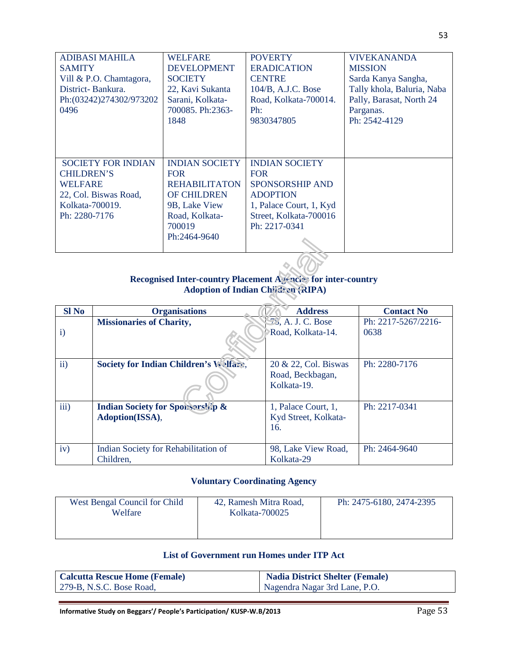| ADIBASI MAHILA<br><b>SAMITY</b><br>Vill & P.O. Chamtagora,<br>District-Bankura.<br>Ph:(03242)274302/973202<br>0496            | <b>WELFARE</b><br><b>DEVELOPMENT</b><br><b>SOCIETY</b><br>22, Kavi Sukanta<br>Sarani, Kolkata-<br>700085, Ph:2363-<br>1848                     | <b>POVERTY</b><br><b>ERADICATION</b><br><b>CENTRE</b><br>104/B, A.J.C. Bose<br>Road, Kolkata-700014.<br>Ph:<br>9830347805                              | <b>VIVEKANANDA</b><br><b>MISSION</b><br>Sarda Kanya Sangha,<br>Tally khola, Baluria, Naba<br>Pally, Barasat, North 24<br>Parganas.<br>Ph: 2542-4129 |
|-------------------------------------------------------------------------------------------------------------------------------|------------------------------------------------------------------------------------------------------------------------------------------------|--------------------------------------------------------------------------------------------------------------------------------------------------------|-----------------------------------------------------------------------------------------------------------------------------------------------------|
| <b>SOCIETY FOR INDIAN</b><br><b>CHILDREN'S</b><br><b>WELFARE</b><br>22, Col. Biswas Road,<br>Kolkata-700019.<br>Ph: 2280-7176 | <b>INDIAN SOCIETY</b><br><b>FOR</b><br><b>REHABILITATON</b><br><b>OF CHILDREN</b><br>9B, Lake View<br>Road, Kolkata-<br>700019<br>Ph:2464-9640 | <b>INDIAN SOCIETY</b><br><b>FOR</b><br><b>SPONSORSHIP AND</b><br><b>ADOPTION</b><br>1, Palace Court, 1, Kyd<br>Street, Kolkata-700016<br>Ph: 2217-0341 |                                                                                                                                                     |

#### **Recognised Inter-country Placement Agencies for inter-country Adoption of Indian Children (RIPA)**

| $SI$ No      | <b>Organisations</b>                        | <b>Address</b>                  | <b>Contact No</b>   |  |
|--------------|---------------------------------------------|---------------------------------|---------------------|--|
|              | <b>Missionaries of Charity,</b>             | $\mathcal{F}_3$ , A. J. C. Bose | Ph: 2217-5267/2216- |  |
| $\mathbf{i}$ |                                             | Road, Kolkata-14.               | 0638                |  |
|              |                                             |                                 |                     |  |
|              |                                             |                                 |                     |  |
| ii)          | Society for Indian Children's Welfare,      | 20 & 22, Col. Biswas            | Ph: 2280-7176       |  |
|              |                                             | Road, Beckbagan,                |                     |  |
|              |                                             | Kolkata-19.                     |                     |  |
| iii)         | <b>Indian Society for Sponsorship &amp;</b> | 1, Palace Court, 1,             | Ph: 2217-0341       |  |
|              | Adoption(ISSA),                             | Kyd Street, Kolkata-            |                     |  |
|              |                                             | 16.                             |                     |  |
|              |                                             |                                 |                     |  |
| iv)          | Indian Society for Rehabilitation of        | 98, Lake View Road,             | Ph: 2464-9640       |  |
|              | Children,                                   | Kolkata-29                      |                     |  |

## **Voluntary Coordinating Agency**

| West Bengal Council for Child<br>Welfare | 42, Ramesh Mitra Road,<br>Kolkata-700025 | Ph: 2475-6180, 2474-2395 |
|------------------------------------------|------------------------------------------|--------------------------|
|                                          |                                          |                          |

#### **List of Government run Homes under ITP Act**

| <b>Calcutta Rescue Home (Female)</b> | <b>Nadia District Shelter (Female)</b> |
|--------------------------------------|----------------------------------------|
| $\vert$ 279-B, N.S.C. Bose Road,     | Nagendra Nagar 3rd Lane, P.O.          |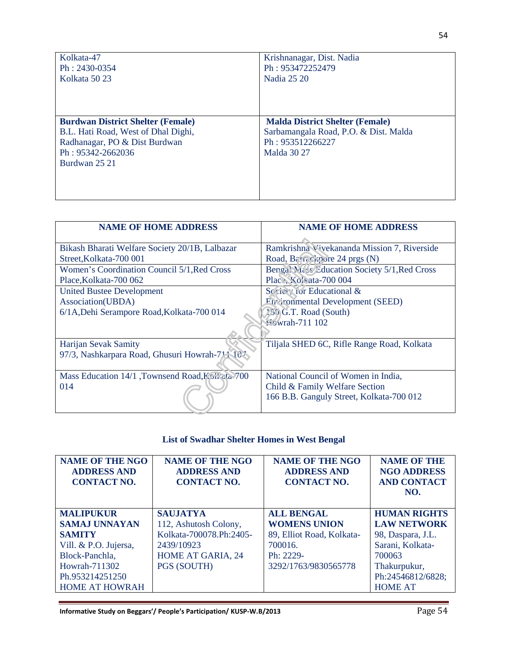| Kolkata-47                                                                                                                                             | Krishnanagar, Dist. Nadia                                                                                                 |
|--------------------------------------------------------------------------------------------------------------------------------------------------------|---------------------------------------------------------------------------------------------------------------------------|
| $Ph: 2430-0354$                                                                                                                                        | Ph: 953472252479                                                                                                          |
| Kolkata 5023                                                                                                                                           | Nadia 25 20                                                                                                               |
| <b>Burdwan District Shelter (Female)</b><br>B.L. Hati Road, West of Dhal Dighi,<br>Radhanagar, PO & Dist Burdwan<br>Ph: 95342-2662036<br>Burdwan 25 21 | <b>Malda District Shelter (Female)</b><br>Sarbamangala Road, P.O. & Dist. Malda<br>Ph: 953512266227<br><b>Malda 30 27</b> |

| <b>NAME OF HOME ADDRESS</b>                     | <b>NAME OF HOME ADDRESS</b>                   |
|-------------------------------------------------|-----------------------------------------------|
|                                                 |                                               |
| Bikash Bharati Welfare Society 20/1B, Lalbazar  | Ramkrishna Vivekananda Mission 7, Riverside   |
| Street, Kolkata-700 001                         | Road, Barrackpore 24 prgs (N)                 |
| Women's Coordination Council 5/1, Red Cross     | Bengal Mass/Education Society 5/1, Red Cross  |
| Place, Kolkata-700 062                          | Place, Kolvata-700 004                        |
| <b>United Bustee Development</b>                | Society for Educational &                     |
| Association(UBDA)                               | $F_{\text{tr}}$ ironmental Development (SEED) |
| 6/1A, Dehi Serampore Road, Kolkata-700 014      | 150 G.T. Road (South)                         |
|                                                 | Howrah-711 102                                |
|                                                 |                                               |
| Harijan Sevak Samity                            | Tiljala SHED 6C, Rifle Range Road, Kolkata    |
| 97/3, Nashkarpara Road, Ghusuri Howrah-711 107  |                                               |
| Mass Education 14/1 ,Townsend Road, Kollata 700 | National Council of Women in India,           |
| 014                                             | Child & Family Welfare Section                |
|                                                 | 166 B.B. Ganguly Street, Kolkata-700 012      |

## **List of Swadhar Shelter Homes in West Bengal**

| <b>NAME OF THE NGO</b><br><b>ADDRESS AND</b><br><b>CONTACT NO.</b> | <b>NAME OF THE NGO</b><br><b>ADDRESS AND</b><br><b>CONTACT NO.</b> | <b>NAME OF THE NGO</b><br><b>ADDRESS AND</b><br><b>CONTACT NO.</b> | <b>NAME OF THE</b><br><b>NGO ADDRESS</b><br><b>AND CONTACT</b> |
|--------------------------------------------------------------------|--------------------------------------------------------------------|--------------------------------------------------------------------|----------------------------------------------------------------|
|                                                                    |                                                                    |                                                                    | NO.                                                            |
| <b>MALIPUKUR</b>                                                   | <b>SAUJATYA</b>                                                    | <b>ALL BENGAL</b>                                                  | <b>HUMAN RIGHTS</b>                                            |
| <b>SAMAJ UNNAYAN</b>                                               | 112, Ashutosh Colony,                                              | <b>WOMENS UNION</b>                                                | <b>LAW NETWORK</b>                                             |
| <b>SAMITY</b>                                                      | Kolkata-700078.Ph:2405-                                            | 89, Elliot Road, Kolkata-                                          | 98, Daspara, J.L.                                              |
| Vill. & P.O. Jujersa,                                              | 2439/10923                                                         | 700016.                                                            | Sarani, Kolkata-                                               |
| Block-Panchla,                                                     | <b>HOME AT GARIA, 24</b>                                           | Ph: 2229-                                                          | 700063                                                         |
| Howrah-711302                                                      | PGS (SOUTH)                                                        | 3292/1763/9830565778                                               | Thakurpukur,                                                   |
| Ph.953214251250                                                    |                                                                    |                                                                    | Ph:24546812/6828;                                              |
| <b>HOME AT HOWRAH</b>                                              |                                                                    |                                                                    | <b>HOME AT</b>                                                 |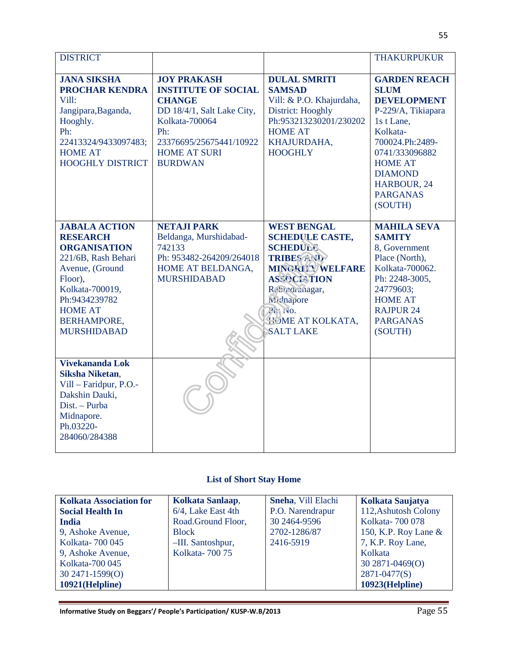| <b>DISTRICT</b>                                                                                                                                                                                                       |                                                                                                                                                                                              |                                                                                                                                                                                                                                      | <b>THAKURPUKUR</b>                                                                                                                                                                                                             |
|-----------------------------------------------------------------------------------------------------------------------------------------------------------------------------------------------------------------------|----------------------------------------------------------------------------------------------------------------------------------------------------------------------------------------------|--------------------------------------------------------------------------------------------------------------------------------------------------------------------------------------------------------------------------------------|--------------------------------------------------------------------------------------------------------------------------------------------------------------------------------------------------------------------------------|
| <b>JANA SIKSHA</b><br><b>PROCHAR KENDRA</b><br>Vill:<br>Jangipara, Baganda,<br>Hooghly.<br>Ph:<br>22413324/9433097483;<br><b>HOME AT</b><br><b>HOOGHLY DISTRICT</b>                                                   | <b>JOY PRAKASH</b><br><b>INSTITUTE OF SOCIAL</b><br><b>CHANGE</b><br>DD 18/4/1, Salt Lake City,<br>Kolkata-700064<br>Ph:<br>23376695/25675441/10922<br><b>HOME AT SURI</b><br><b>BURDWAN</b> | <b>DULAL SMRITI</b><br><b>SAMSAD</b><br>Vill: & P.O. Khajurdaha,<br>District: Hooghly<br>Ph:953213230201/230202<br><b>HOME AT</b><br>KHAJURDAHA,<br><b>HOOGHLY</b>                                                                   | <b>GARDEN REACH</b><br><b>SLUM</b><br><b>DEVELOPMENT</b><br>P-229/A, Tikiapara<br>1s t Lane,<br>Kolkata-<br>700024.Ph:2489-<br>0741/333096882<br><b>HOME AT</b><br><b>DIAMOND</b><br>HARBOUR, 24<br><b>PARGANAS</b><br>(SOUTH) |
| <b>JABALA ACTION</b><br><b>RESEARCH</b><br><b>ORGANISATION</b><br>221/6B, Rash Behari<br>Avenue, (Ground<br>Floor),<br>Kolkata-700019,<br>Ph:9434239782<br><b>HOME AT</b><br><b>BERHAMPORE,</b><br><b>MURSHIDABAD</b> | <b>NETAJI PARK</b><br>Beldanga, Murshidabad-<br>742133<br>Ph: 953482-264209/264018<br>HOME AT BELDANGA,<br><b>MURSHIDABAD</b>                                                                | <b>WEST BENGAL</b><br><b>SCHEDULE CASTE,</b><br><b>SCHEDULE</b><br><b>TRIBES AND</b><br><b>MINGRITY WELFARE</b><br><b>ASSOCIATION</b><br>Rebuchanagar,<br>Midnapore<br>$\overline{P}$ r. No.<br>HOME AT KOLKATA,<br><b>SALT LAKE</b> | <b>MAHILA SEVA</b><br><b>SAMITY</b><br>8, Government<br>Place (North),<br>Kolkata-700062.<br>Ph: 2248-3005,<br>24779603;<br><b>HOME AT</b><br><b>RAJPUR 24</b><br><b>PARGANAS</b><br>(SOUTH)                                   |
| Vivekananda Lok<br><b>Siksha Niketan,</b><br>Vill - Faridpur, P.O.-<br>Dakshin Dauki,<br>Dist. - Purba<br>Midnapore.<br>Ph.03220-<br>284060/284388                                                                    |                                                                                                                                                                                              |                                                                                                                                                                                                                                      |                                                                                                                                                                                                                                |

## **List of Short Stay Home**

| <b>Kolkata Association for</b> | Kolkata Sanlaap,   | Sneha, Vill Elachi | Kolkata Saujatya     |
|--------------------------------|--------------------|--------------------|----------------------|
| <b>Social Health In</b>        | 6/4, Lake East 4th | P.O. Narendrapur   | 112, Ashutosh Colony |
| <b>India</b>                   | Road.Ground Floor, | 30 2464-9596       | Kolkata-700 078      |
| 9, Ashoke Avenue,              | <b>Block</b>       | 2702-1286/87       | 150, K.P. Roy Lane & |
| Kolkata - 700 045              | -III. Santoshpur,  | 2416-5919          | 7, K.P. Roy Lane,    |
| 9, Ashoke Avenue,              | Kolkata-70075      |                    | Kolkata              |
| Kolkata-700 045                |                    |                    | 30 2871-0469(O)      |
| 30 2471-1599(O)                |                    |                    | 2871-0477(S)         |
| 10921(Helpline)                |                    |                    | 10923(Helpline)      |
|                                |                    |                    |                      |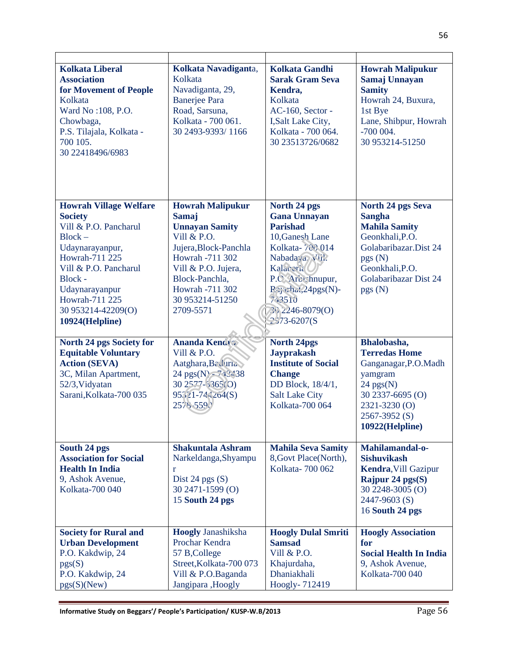| <b>Kolkata Liberal</b><br><b>Association</b><br>for Movement of People<br>Kolkata<br>Ward No: 108, P.O.<br>Chowbaga,<br>P.S. Tilajala, Kolkata -<br>700 105.<br>30 22418496/6983 | Kolkata Navadiganta,<br>Kolkata<br>Navadiganta, 29,<br><b>Banerjee Para</b><br>Road, Sarsuna,<br>Kolkata - 700 061.<br>30 2493-9393/1166 | <b>Kolkata Gandhi</b><br><b>Sarak Gram Seva</b><br>Kendra,<br>Kolkata<br>AC-160, Sector -<br>I, Salt Lake City,<br>Kolkata - 700 064.<br>30 23513726/0682 | <b>Howrah Malipukur</b><br>Samaj Unnayan<br><b>Samity</b><br>Howrah 24, Buxura,<br>1st Bye<br>Lane, Shibpur, Howrah<br>$-700004.$<br>30 953214-51250 |
|----------------------------------------------------------------------------------------------------------------------------------------------------------------------------------|------------------------------------------------------------------------------------------------------------------------------------------|-----------------------------------------------------------------------------------------------------------------------------------------------------------|------------------------------------------------------------------------------------------------------------------------------------------------------|
| <b>Howrah Village Welfare</b>                                                                                                                                                    | <b>Howrah Malipukur</b>                                                                                                                  | North 24 pgs                                                                                                                                              | North 24 pgs Seva                                                                                                                                    |
| <b>Society</b>                                                                                                                                                                   | Samaj                                                                                                                                    | <b>Gana Unnayan</b>                                                                                                                                       | <b>Sangha</b>                                                                                                                                        |
| Vill & P.O. Pancharul                                                                                                                                                            | <b>Unnayan Samity</b>                                                                                                                    | <b>Parishad</b>                                                                                                                                           | <b>Mahila Samity</b>                                                                                                                                 |
| $Block -$                                                                                                                                                                        | Vill & P.O.                                                                                                                              | 10, Ganesh Lane                                                                                                                                           | Geonkhali, P.O.                                                                                                                                      |
| Udaynarayanpur,                                                                                                                                                                  | Jujera, Block-Panchla                                                                                                                    | Kolkata-700014                                                                                                                                            | Golabaribazar.Dist 24                                                                                                                                |
| Howrah-711 225                                                                                                                                                                   | Howrah -711 302                                                                                                                          | Nabadaya Vill.                                                                                                                                            | pgs(N)                                                                                                                                               |
| Vill & P.O. Pancharul<br>Block -                                                                                                                                                 | Vill & P.O. Jujera,<br>Block-Panchla,                                                                                                    | Kalaceria<br>P.C. Arctshnupur,                                                                                                                            | Geonkhali, P.O.<br>Golabaribazar Dist 24                                                                                                             |
| Udaynarayanpur                                                                                                                                                                   | Howrah -711 302                                                                                                                          | Rajarhat, 24pgs(N)-                                                                                                                                       | pgs(N)                                                                                                                                               |
| Howrah-711 225                                                                                                                                                                   | 30 953214-51250                                                                                                                          | 743510                                                                                                                                                    |                                                                                                                                                      |
| 30 953214-42209(O)                                                                                                                                                               | 2709-5571                                                                                                                                | 26 2246-8079(O)                                                                                                                                           |                                                                                                                                                      |
| 10924(Helpline)                                                                                                                                                                  |                                                                                                                                          | 2573-6207(S                                                                                                                                               |                                                                                                                                                      |
|                                                                                                                                                                                  |                                                                                                                                          |                                                                                                                                                           |                                                                                                                                                      |
|                                                                                                                                                                                  |                                                                                                                                          |                                                                                                                                                           | Bhalobasha,                                                                                                                                          |
| <b>North 24 pgs Society for</b>                                                                                                                                                  | <b>Ananda Kendra</b>                                                                                                                     | <b>North 24pgs</b>                                                                                                                                        |                                                                                                                                                      |
| <b>Equitable Voluntary</b>                                                                                                                                                       | Vill & P.O.                                                                                                                              | <b>Jayprakash</b>                                                                                                                                         | <b>Terredas Home</b>                                                                                                                                 |
| <b>Action (SEVA)</b>                                                                                                                                                             | Aatghara, Baduria                                                                                                                        | <b>Institute of Social</b>                                                                                                                                | Ganganagar, P.O. Madh                                                                                                                                |
| 3C, Milan Apartment,                                                                                                                                                             | 24 pgs(N) $-743438$                                                                                                                      | <b>Change</b>                                                                                                                                             | yamgram                                                                                                                                              |
| 52/3, Vidyatan                                                                                                                                                                   | $302577 - 5365(0)$                                                                                                                       | DD Block, 18/4/1,                                                                                                                                         | $24$ pgs(N)                                                                                                                                          |
| Sarani, Kolkata-700 035                                                                                                                                                          | 95321-7442o4(S)                                                                                                                          | <b>Salt Lake City</b>                                                                                                                                     | 30 2337-6695 (O)                                                                                                                                     |
|                                                                                                                                                                                  | 2578.5590                                                                                                                                | Kolkata-700 064                                                                                                                                           | 2321-3230 (O)                                                                                                                                        |
|                                                                                                                                                                                  |                                                                                                                                          |                                                                                                                                                           | 2567-3952 (S)<br>10922(Helpline)                                                                                                                     |
|                                                                                                                                                                                  |                                                                                                                                          |                                                                                                                                                           |                                                                                                                                                      |
| South 24 pgs                                                                                                                                                                     | <b>Shakuntala Ashram</b>                                                                                                                 | <b>Mahila Seva Samity</b>                                                                                                                                 | Mahilamandal-o-                                                                                                                                      |
| <b>Association for Social</b>                                                                                                                                                    | Narkeldanga, Shyampu                                                                                                                     | 8, Govt Place (North),                                                                                                                                    | <b>Sishuvikash</b>                                                                                                                                   |
| <b>Health In India</b>                                                                                                                                                           | r                                                                                                                                        | Kolkata-700 062                                                                                                                                           | <b>Kendra, Vill Gazipur</b>                                                                                                                          |
| 9, Ashok Avenue,                                                                                                                                                                 | Dist 24 pgs $(S)$                                                                                                                        |                                                                                                                                                           | Rajpur 24 pgs(S)                                                                                                                                     |
| Kolkata-700 040                                                                                                                                                                  | 30 2471-1599 (O)                                                                                                                         |                                                                                                                                                           | 30 2248-3005 (O)                                                                                                                                     |
|                                                                                                                                                                                  | 15 South 24 pgs                                                                                                                          |                                                                                                                                                           | 2447-9603 (S)                                                                                                                                        |
|                                                                                                                                                                                  |                                                                                                                                          |                                                                                                                                                           | 16 South 24 pgs                                                                                                                                      |
| <b>Society for Rural and</b>                                                                                                                                                     | <b>Hoogly Janashiksha</b>                                                                                                                | <b>Hoogly Dulal Smriti</b>                                                                                                                                | <b>Hoogly Association</b>                                                                                                                            |
| <b>Urban Development</b>                                                                                                                                                         | Prochar Kendra                                                                                                                           | <b>Samsad</b>                                                                                                                                             | for                                                                                                                                                  |
| P.O. Kakdwip, 24                                                                                                                                                                 | 57 B, College                                                                                                                            | Vill & P.O.                                                                                                                                               | <b>Social Health In India</b>                                                                                                                        |
| pgs(S)                                                                                                                                                                           | Street, Kolkata-700 073                                                                                                                  | Khajurdaha,                                                                                                                                               | 9, Ashok Avenue,                                                                                                                                     |
| P.O. Kakdwip, 24<br>pgs(S)(New)                                                                                                                                                  | Vill & P.O.Baganda<br>Jangipara , Hoogly                                                                                                 | Dhaniakhali<br>Hoogly-712419                                                                                                                              | Kolkata-700 040                                                                                                                                      |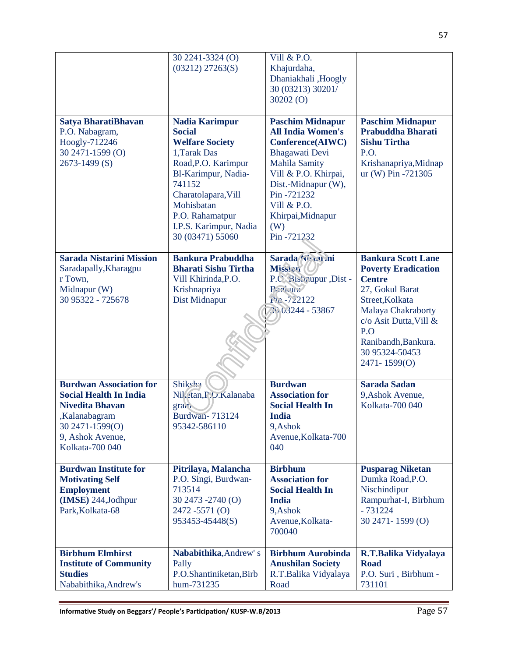|                                                                                                                                                                      | 30 2241-3324 (O)<br>$(03212)$ 27263(S)                                                                                                                                                                                                         | Vill & P.O.<br>Khajurdaha,<br>Dhaniakhali ,Hoogly<br>30 (03213) 30201/<br>30202(0)                                                                                                                                                             |                                                                                                                                                                                                                                |
|----------------------------------------------------------------------------------------------------------------------------------------------------------------------|------------------------------------------------------------------------------------------------------------------------------------------------------------------------------------------------------------------------------------------------|------------------------------------------------------------------------------------------------------------------------------------------------------------------------------------------------------------------------------------------------|--------------------------------------------------------------------------------------------------------------------------------------------------------------------------------------------------------------------------------|
| Satya BharatiBhavan<br>P.O. Nabagram,<br>Hoogly-712246<br>30 2471-1599 (O)<br>2673-1499 (S)                                                                          | <b>Nadia Karimpur</b><br><b>Social</b><br><b>Welfare Society</b><br>1, Tarak Das<br>Road, P.O. Karimpur<br>Bl-Karimpur, Nadia-<br>741152<br>Charatolapara, Vill<br>Mohisbatan<br>P.O. Rahamatpur<br>I.P.S. Karimpur, Nadia<br>30 (03471) 55060 | <b>Paschim Midnapur</b><br><b>All India Women's</b><br>Conference(AIWC)<br><b>Bhagawati</b> Devi<br><b>Mahila Samity</b><br>Vill & P.O. Khirpai,<br>Dist.-Midnapur (W),<br>Pin-721232<br>Vill & P.O.<br>Khirpai, Midnapur<br>(W)<br>Pin-721232 | <b>Paschim Midnapur</b><br><b>Prabuddha Bharati</b><br><b>Sishu Tirtha</b><br>P.O.<br>Krishanapriya, Midnap<br>ur (W) Pin -721305                                                                                              |
| <b>Sarada Nistarini Mission</b><br>Saradapally, Kharagpu<br>r Town,<br>Midnapur (W)<br>30 95322 - 725678                                                             | <b>Bankura Prabuddha</b><br><b>Bharati Sishu Tirtha</b><br>Vill Khirinda, P.O.<br>Krishnapriya<br>Dist Midnapur                                                                                                                                | Sarada Nistatini<br>Mission<br>P.C. Sishnupur , Dist -<br>Parkura<br>Pu-722122<br>26 03244 - 53867                                                                                                                                             | <b>Bankura Scott Lane</b><br><b>Poverty Eradication</b><br><b>Centre</b><br>27, Gokul Barat<br>Street, Kolkata<br>Malaya Chakraborty<br>c/o Asit Dutta, Vill &<br>P.O<br>Ranibandh, Bankura.<br>30 95324-50453<br>2471-1599(O) |
| <b>Burdwan Association for</b><br><b>Social Health In India</b><br><b>Nivedita Bhavan</b><br>,Kalanabagram<br>30 2471-1599(O)<br>9, Ashok Avenue,<br>Kolkata-700 040 | <b>Shiksha</b><br>Nil.etan, P.O.Kalanaba<br>gram<br><b>Burdwan-713124</b><br>95342-586110                                                                                                                                                      | <b>Burdwan</b><br><b>Association for</b><br><b>Social Health In</b><br><b>India</b><br>9, Ashok<br>Avenue, Kolkata-700<br>040                                                                                                                  | <b>Sarada Sadan</b><br>9, Ashok Avenue,<br>Kolkata-700 040                                                                                                                                                                     |
| <b>Burdwan Institute for</b><br><b>Motivating Self</b><br><b>Employment</b><br>(IMSE) 244, Jodhpur<br>Park, Kolkata-68                                               | Pitrilaya, Malancha<br>P.O. Singi, Burdwan-<br>713514<br>30 2473 -2740 (O)<br>2472-5571 (O)<br>953453-45448(S)                                                                                                                                 | <b>Birbhum</b><br><b>Association for</b><br><b>Social Health In</b><br><b>India</b><br>9, Ashok<br>Avenue, Kolkata-<br>700040                                                                                                                  | <b>Pusparag Niketan</b><br>Dumka Road, P.O.<br>Nischindipur<br>Rampurhat-I, Birbhum<br>$-731224$<br>30 2471 - 1599 (O)                                                                                                         |
| <b>Birbhum Elmhirst</b><br><b>Institute of Community</b><br><b>Studies</b><br>Nababithika, Andrew's                                                                  | Nababithika, Andrew's<br>Pally<br>P.O.Shantiniketan, Birb<br>hum-731235                                                                                                                                                                        | <b>Birbhum Aurobinda</b><br><b>Anushilan Society</b><br>R.T.Balika Vidyalaya<br>Road                                                                                                                                                           | R.T.Balika Vidyalaya<br><b>Road</b><br>P.O. Suri, Birbhum -<br>731101                                                                                                                                                          |

57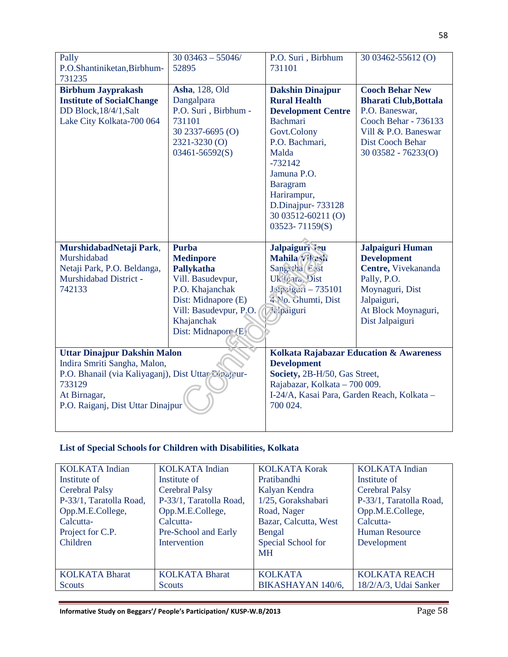| Pally<br>P.O.Shantiniketan, Birbhum-<br>731235                                                                                       | $3003463 - 55046/$<br>52895                                                                                                                                                  | P.O. Suri, Birbhum<br>731101                                                                                                                                                                                                                                 | 30 03462-55612 (O)                                                                                                                                                          |
|--------------------------------------------------------------------------------------------------------------------------------------|------------------------------------------------------------------------------------------------------------------------------------------------------------------------------|--------------------------------------------------------------------------------------------------------------------------------------------------------------------------------------------------------------------------------------------------------------|-----------------------------------------------------------------------------------------------------------------------------------------------------------------------------|
| <b>Birbhum Jayprakash</b><br><b>Institute of SocialChange</b><br>DD Block, 18/4/1, Salt<br>Lake City Kolkata-700 064                 | <b>Asha</b> , 128, Old<br>Dangalpara<br>P.O. Suri, Birbhum -<br>731101<br>30 2337-6695 (O)<br>2321-3230 (O)<br>$03461 - 56592(S)$                                            | <b>Dakshin Dinajpur</b><br><b>Rural Health</b><br><b>Development Centre</b><br><b>Bachmari</b><br>Govt.Colony<br>P.O. Bachmari,<br>Malda<br>$-732142$<br>Jamuna P.O.<br>Baragram<br>Harirampur,<br>D.Dinajpur-733128<br>30 03512-60211 (O)<br>03523-71159(S) | <b>Cooch Behar New</b><br><b>Bharati Club, Bottala</b><br>P.O. Baneswar,<br>Cooch Behar - 736133<br>Vill & P.O. Baneswar<br><b>Dist Cooch Behar</b><br>$3003582 - 76233(0)$ |
| MurshidabadNetaji Park,<br>Murshidabad<br>Netaji Park, P.O. Beldanga,<br>Murshidabad District -<br>742133                            | <b>Purba</b><br><b>Medinpore</b><br>Pallykatha<br>Vill. Basudevpur,<br>P.O. Khajanchak<br>Dist: Midnapore (E)<br>Vill: Basudevpur, P.O.<br>Khajanchak<br>Dist: Midnapore (E) | Jalpaiguri Jeu<br>Mahila Virash<br>Sangetha (East<br>Uk <sup>1</sup> bara, Dist<br>JApaigun - 735101<br>4 No. Ghumti, Dist<br><b>Mc</b> paiguri                                                                                                              | Jalpaiguri Human<br><b>Development</b><br>Centre, Vivekananda<br>Pally, P.O.<br>Moynaguri, Dist<br>Jalpaiguri,<br>At Block Moynaguri,<br>Dist Jalpaiguri                    |
| <b>Uttar Dinajpur Dakshin Malon</b><br>Indira Smriti Sangha, Malon,<br>P.O. Bhanail (via Kaliyaganj), Dist Uttar Eunapour-<br>733129 |                                                                                                                                                                              | <b>Development</b><br>Society, 2B-H/50, Gas Street,<br>Rajabazar, Kolkata - 700 009.                                                                                                                                                                         | Kolkata Rajabazar Education & Awareness                                                                                                                                     |

## **List of Special Schools for Children with Disabilities, Kolkata**

| <b>KOLKATA</b> Indian   | <b>KOLKATA</b> Indian   | <b>KOLKATA Korak</b>  | <b>KOLKATA</b> Indian   |
|-------------------------|-------------------------|-----------------------|-------------------------|
| Institute of            | Institute of            | Pratibandhi           | Institute of            |
| <b>Cerebral Palsy</b>   | <b>Cerebral Palsy</b>   | Kalyan Kendra         | <b>Cerebral Palsy</b>   |
| P-33/1, Taratolla Road, | P-33/1, Taratolla Road, | 1/25, Gorakshabari    | P-33/1, Taratolla Road, |
| Opp.M.E.College,        | Opp.M.E.College,        | Road, Nager           | Opp.M.E.College,        |
| Calcutta-               | Calcutta-               | Bazar, Calcutta, West | Calcutta-               |
| Project for C.P.        | Pre-School and Early    | Bengal                | <b>Human Resource</b>   |
| Children                | Intervention            | Special School for    | Development             |
|                         |                         | <b>MH</b>             |                         |
|                         |                         |                       |                         |
| <b>KOLKATA Bharat</b>   | <b>KOLKATA Bharat</b>   | <b>KOLKATA</b>        | <b>KOLKATA REACH</b>    |
| Scouts                  | <b>Scouts</b>           | BIKASHAYAN 140/6,     | 18/2/A/3, Udai Sanker   |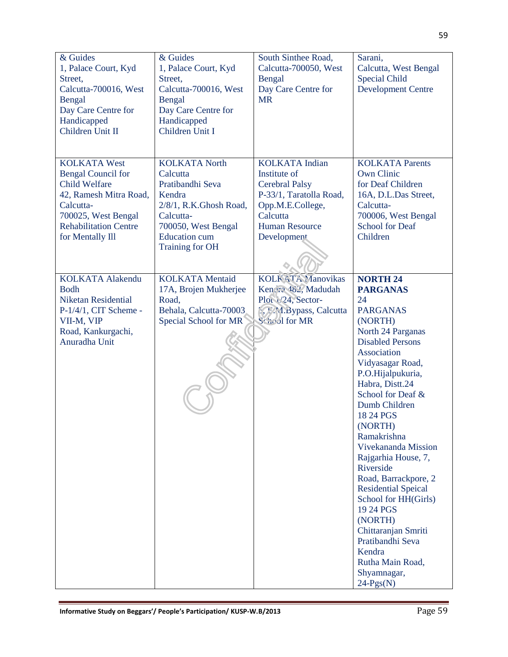| & Guides<br>1, Palace Court, Kyd<br>Street,<br>Calcutta-700016, West<br>Bengal<br>Day Care Centre for<br>Handicapped<br>Children Unit II                                                   | & Guides<br>1, Palace Court, Kyd<br>Street,<br>Calcutta-700016, West<br>Bengal<br>Day Care Centre for<br>Handicapped<br>Children Unit I                                        | South Sinthee Road,<br>Calcutta-700050, West<br>Bengal<br>Day Care Centre for<br><b>MR</b>                                                                        | Sarani,<br>Calcutta, West Bengal<br><b>Special Child</b><br><b>Development Centre</b>                                                                                                                                                                                                                                                                                                                                                                                                                                                                  |
|--------------------------------------------------------------------------------------------------------------------------------------------------------------------------------------------|--------------------------------------------------------------------------------------------------------------------------------------------------------------------------------|-------------------------------------------------------------------------------------------------------------------------------------------------------------------|--------------------------------------------------------------------------------------------------------------------------------------------------------------------------------------------------------------------------------------------------------------------------------------------------------------------------------------------------------------------------------------------------------------------------------------------------------------------------------------------------------------------------------------------------------|
| <b>KOLKATA West</b><br><b>Bengal Council for</b><br><b>Child Welfare</b><br>42, Ramesh Mitra Road,<br>Calcutta-<br>700025, West Bengal<br><b>Rehabilitation Centre</b><br>for Mentally Ill | <b>KOLKATA North</b><br>Calcutta<br>Pratibandhi Seva<br>Kendra<br>2/8/1, R.K.Ghosh Road,<br>Calcutta-<br>700050, West Bengal<br><b>Education</b> cum<br><b>Training for OH</b> | <b>KOLKATA</b> Indian<br>Institute of<br><b>Cerebral Palsy</b><br>P-33/1, Taratolla Road,<br>Opp.M.E.College,<br>Calcutta<br><b>Human Resource</b><br>Development | <b>KOLKATA Parents</b><br><b>Own Clinic</b><br>for Deaf Children<br>16A, D.L.Das Street,<br>Calcutta-<br>700006, West Bengal<br><b>School for Deaf</b><br>Children                                                                                                                                                                                                                                                                                                                                                                                     |
| <b>KOLKATA Alakendu</b><br><b>Bodh</b><br><b>Niketan Residential</b><br>$P-1/4/1$ , CIT Scheme -<br>VII-M, VIP<br>Road, Kankurgachi,<br>Anuradha Unit                                      | <b>KOLKATA</b> Mentaid<br>17A, Brojen Mukherjee<br>Road,<br>Behala, Calcutta-70003<br>Special School for MR                                                                    | <b>KOLK ATA Manovikas</b><br>Ken ra 482, Madudah<br>Plot 1/24, Sector-<br><b><i>f</i></b> , <i>M</i> . A. Bypass, Calcutta<br>Scheol for MR                       | <b>NORTH 24</b><br><b>PARGANAS</b><br>24<br><b>PARGANAS</b><br>(NORTH)<br>North 24 Parganas<br><b>Disabled Persons</b><br>Association<br>Vidyasagar Road,<br>P.O.Hijalpukuria,<br>Habra, Distt.24<br>School for Deaf &<br>Dumb Children<br>18 24 PGS<br>(NORTH)<br>Ramakrishna<br>Vivekananda Mission<br>Rajgarhia House, 7,<br>Riverside<br>Road, Barrackpore, 2<br><b>Residential Speical</b><br>School for HH(Girls)<br>19 24 PGS<br>(NORTH)<br>Chittaranjan Smriti<br>Pratibandhi Seva<br>Kendra<br>Rutha Main Road,<br>Shyamnagar,<br>$24-Pgs(N)$ |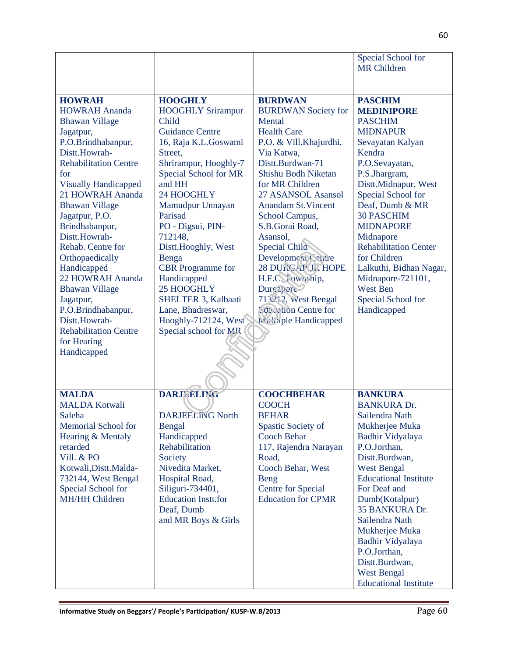|                                                                                                                                                                                                                             |                                                                                                                                                                                                                                 |                                                                                                                                                                                                                        | Special School for<br><b>MR</b> Children                                                                                                                                                                                                                                                                                                                                                 |
|-----------------------------------------------------------------------------------------------------------------------------------------------------------------------------------------------------------------------------|---------------------------------------------------------------------------------------------------------------------------------------------------------------------------------------------------------------------------------|------------------------------------------------------------------------------------------------------------------------------------------------------------------------------------------------------------------------|------------------------------------------------------------------------------------------------------------------------------------------------------------------------------------------------------------------------------------------------------------------------------------------------------------------------------------------------------------------------------------------|
| <b>HOWRAH</b><br><b>HOWRAH Ananda</b><br><b>Bhawan Village</b><br>Jagatpur,<br>P.O.Brindhabanpur,<br>Distt.Howrah-<br><b>Rehabilitation Centre</b>                                                                          | <b>HOOGHLY</b><br><b>HOOGHLY Srirampur</b><br>Child<br><b>Guidance Centre</b><br>16, Raja K.L.Goswami<br>Street,                                                                                                                | <b>BURDWAN</b><br><b>BURDWAN</b> Society for<br>Mental<br><b>Health Care</b><br>P.O. & Vill.Khajurdhi,<br>Via Katwa,<br>Distt.Burdwan-71                                                                               | <b>PASCHIM</b><br><b>MEDINIPORE</b><br><b>PASCHIM</b><br><b>MIDNAPUR</b><br>Sevayatan Kalyan<br>Kendra                                                                                                                                                                                                                                                                                   |
| for<br><b>Visually Handicapped</b><br>21 HOWRAH Ananda<br><b>Bhawan Village</b><br>Jagatpur, P.O.<br>Brindhabanpur,<br>Distt.Howrah-                                                                                        | Shrirampur, Hooghly-7<br>Special School for MR<br>and HH<br>24 HOOGHLY<br>Mamudpur Unnayan<br>Parisad<br>PO - Digsui, PIN-                                                                                                      | Shishu Bodh Niketan<br>for MR Children<br>27 ASANSOL Asansol<br><b>Anandam St. Vincent</b><br>School Campus,<br>S.B.Gorai Road,                                                                                        | P.O.Sevayatan,<br>P.S.Jhargram,<br>Distt.Midnapur, West<br>Special School for<br>Deaf, Dumb & MR<br><b>30 PASCHIM</b><br><b>MIDNAPORE</b>                                                                                                                                                                                                                                                |
| Rehab. Centre for<br>Orthopaedically<br>Handicapped<br>22 HOWRAH Ananda<br><b>Bhawan Village</b><br>Jagatpur,                                                                                                               | 712148,<br>Distt.Hooghly, West<br>Benga<br><b>CBR</b> Programme for<br>Handicapped<br>25 HOOGHLY<br>SHELTER 3, Kalbaati                                                                                                         | Asansol,<br><b>Special Child</b><br>Developmera Centre<br>28 DURGAPUL HOPE<br>H.F.C. Cownship,<br><b>Durandre</b><br>713212, West Bengal                                                                               | Midnapore<br><b>Rehabilitation Center</b><br>for Children<br>Lalkuthi, Bidhan Nagar,<br>Midnapore-721101,<br><b>West Ben</b><br>Special School for                                                                                                                                                                                                                                       |
| P.O.Brindhabanpur,<br>Distt.Howrah-<br><b>Rehabilitation Centre</b><br>for Hearing<br>Handicapped                                                                                                                           | Lane, Bhadreswar,<br>Hooghly-712124, West<br>Special school for MR                                                                                                                                                              | <b>Education Centre for</b><br>Malziple Handicapped                                                                                                                                                                    | Handicapped                                                                                                                                                                                                                                                                                                                                                                              |
| <b>MALDA</b><br><b>MALDA Kotwali</b><br>Saleha<br><b>Memorial School for</b><br>Hearing & Mentaly<br>retarded<br>Vill. & PO<br>Kotwali, Distt. Malda-<br>732144, West Bengal<br>Special School for<br><b>MH/HH Children</b> | <b>DARJEELING</b><br><b>DARJEELING North</b><br>Bengal<br>Handicapped<br>Rehabilitation<br>Society<br>Nivedita Market,<br>Hospital Road,<br>Siliguri-734401,<br><b>Education Instt.for</b><br>Deaf, Dumb<br>and MR Boys & Girls | <b>COOCHBEHAR</b><br><b>COOCH</b><br><b>BEHAR</b><br>Spastic Society of<br><b>Cooch Behar</b><br>117, Rajendra Narayan<br>Road,<br>Cooch Behar, West<br>Beng<br><b>Centre for Special</b><br><b>Education for CPMR</b> | <b>BANKURA</b><br><b>BANKURA Dr.</b><br>Sailendra Nath<br>Mukherjee Muka<br>Badhir Vidyalaya<br>P.O.Jorthan,<br>Distt.Burdwan,<br><b>West Bengal</b><br><b>Educational Institute</b><br>For Deaf and<br>Dumb(Kotalpur)<br>35 BANKURA Dr.<br>Sailendra Nath<br>Mukherjee Muka<br>Badhir Vidyalaya<br>P.O.Jorthan,<br>Distt.Burdwan,<br><b>West Bengal</b><br><b>Educational Institute</b> |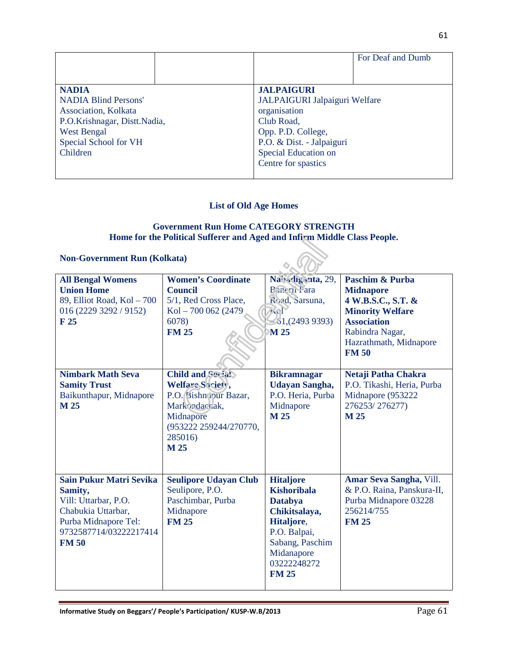|                              |  |                               | For Deaf and Dumb |
|------------------------------|--|-------------------------------|-------------------|
|                              |  |                               |                   |
| <b>NADIA</b>                 |  | <b>JALPAIGURI</b>             |                   |
| <b>NADIA Blind Persons'</b>  |  | JALPAIGURI Jalpaiguri Welfare |                   |
| Association, Kolkata         |  | organisation                  |                   |
| P.O.Krishnagar, Distt.Nadia, |  | Club Road,                    |                   |
| <b>West Bengal</b>           |  | Opp. P.D. College,            |                   |
| Special School for VH        |  | P.O. & Dist. - Jalpaiguri     |                   |
| Children                     |  | Special Education on          |                   |
|                              |  | Centre for spastics           |                   |
|                              |  |                               |                   |

## **List of Old Age Homes**

#### **Government Run Home CATEGORY STRENGTH Home for the Political Sufferer and Aged and Infirm Middle Class People.**

## **Non-Government Run (Kolkata)**

| <b>Non-Government Run (Kolkata)</b>                                                                                                                       |                                                                                                                                           |                                                                                                                                                                         |                                                                                                                                                                                   |
|-----------------------------------------------------------------------------------------------------------------------------------------------------------|-------------------------------------------------------------------------------------------------------------------------------------------|-------------------------------------------------------------------------------------------------------------------------------------------------------------------------|-----------------------------------------------------------------------------------------------------------------------------------------------------------------------------------|
| <b>All Bengal Womens</b><br><b>Union Home</b><br>89, Elliot Road, Kol - 700<br>016 (2229 3292 / 9152)<br>F <sub>25</sub>                                  | <b>Women's Coordinate</b><br><b>Council</b><br>5/1, Red Cross Place,<br>Kol - 700 062 (2479)<br>6078)<br><b>FM 25</b>                     | Nabadiganta, 29,<br>Panerii Para<br>Road, Sarsuna,<br><b>7301</b><br>$-61, (249393)$<br>M 25                                                                            | <b>Paschim &amp; Purba</b><br><b>Midnapore</b><br>4 W.B.S.C., S.T. &<br><b>Minority Welfare</b><br><b>Association</b><br>Rabindra Nagar,<br>Hazrathmath, Midnapore<br><b>FM50</b> |
| <b>Nimbark Math Seva</b><br><b>Samity Trust</b><br>Baikunthapur, Midnapore<br>M 25                                                                        | Child and Social<br>Welfare Society,<br>P.O. Bishn your Bazar,<br>Markordacrak,<br>Midnapore<br>(953222 259244/270770,<br>285016)<br>M 25 | <b>Bikramnagar</b><br><b>Udayan Sangha,</b><br>P.O. Heria, Purba<br>Midnapore<br>M 25                                                                                   | Netaji Patha Chakra<br>P.O. Tikashi, Heria, Purba<br>Midnapore (953222<br>276253/276277)<br>M 25                                                                                  |
| <b>Sain Pukur Matri Sevika</b><br>Samity,<br>Vill: Uttarbar, P.O.<br>Chabukia Uttarbar,<br>Purba Midnapore Tel:<br>9732587714/03222217414<br><b>FM 50</b> | <b>Seulipore Udayan Club</b><br>Seulipore, P.O.<br>Paschimbar, Purba<br>Midnapore<br><b>FM 25</b>                                         | <b>Hitaljore</b><br><b>Kishoribala</b><br><b>Databya</b><br>Chikitsalaya,<br>Hitaljore,<br>P.O. Balpai,<br>Sabang, Paschim<br>Midanapore<br>03222248272<br><b>FM 25</b> | Amar Seva Sangha, Vill.<br>& P.O. Raina, Panskura-II,<br>Purba Midnapore 03228<br>256214/755<br><b>FM 25</b>                                                                      |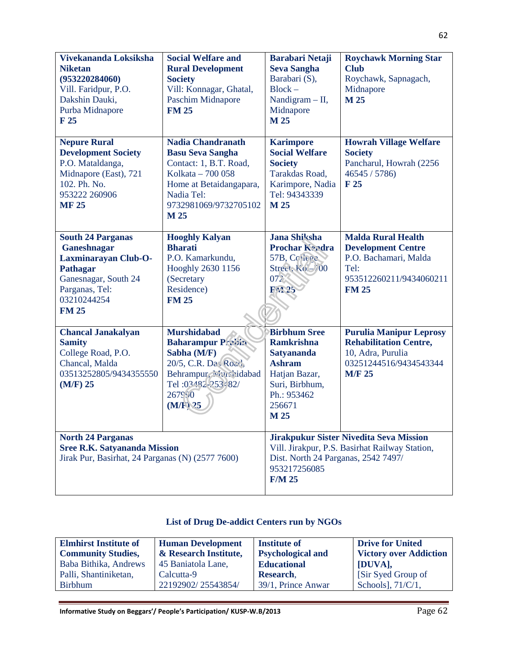| Vivekananda Loksiksha<br><b>Niketan</b><br>(953220284060)<br>Vill. Faridpur, P.O.<br>Dakshin Dauki,<br>Purba Midnapore<br>F 25                              | <b>Social Welfare and</b><br><b>Rural Development</b><br><b>Society</b><br>Vill: Konnagar, Ghatal,<br><b>Paschim Midnapore</b><br><b>FM 25</b>                               | <b>Barabari Netaji</b><br><b>Seva Sangha</b><br>Barabari (S),<br>$Block -$<br>Nandigram $-$ II,<br>Midnapore<br>M 25                               | <b>Roychawk Morning Star</b><br><b>Club</b><br>Roychawk, Sapnagach,<br>Midnapore<br>M 25                                           |
|-------------------------------------------------------------------------------------------------------------------------------------------------------------|------------------------------------------------------------------------------------------------------------------------------------------------------------------------------|----------------------------------------------------------------------------------------------------------------------------------------------------|------------------------------------------------------------------------------------------------------------------------------------|
| <b>Nepure Rural</b><br><b>Development Society</b><br>P.O. Mataldanga,<br>Midnapore (East), 721<br>102. Ph. No.<br>953222 260906<br><b>MF 25</b>             | <b>Nadia Chandranath</b><br><b>Basu Seva Sangha</b><br>Contact: 1, B.T. Road,<br>Kolkata - 700 058<br>Home at Betaidangapara,<br>Nadia Tel:<br>9732981069/9732705102<br>M 25 | <b>Karimpore</b><br><b>Social Welfare</b><br><b>Society</b><br>Tarakdas Road,<br>Karimpore, Nadia<br>Tel: 94343339<br>M 25                         | <b>Howrah Village Welfare</b><br><b>Society</b><br>Pancharul, Howrah (2256)<br>46545 / 5786<br>F 25                                |
| <b>South 24 Parganas</b><br>Ganeshnagar<br>Laxminarayan Club-O-<br><b>Pathagar</b><br>Ganesnagar, South 24<br>Parganas, Tel:<br>03210244254<br><b>FM 25</b> | <b>Hooghly Kalyan</b><br><b>Bharati</b><br>P.O. Kamarkundu,<br>Hooghly 2630 1156<br>(Secretary<br>Residence)<br><b>FM 25</b>                                                 | <b>Jana Shiksha</b><br><b>Prochar Keedra</b><br>57B, College<br>Street, Kol-700<br>072<br>FA25                                                     | <b>Malda Rural Health</b><br><b>Development Centre</b><br>P.O. Bachamari, Malda<br>Tel:<br>953512260211/9434060211<br><b>FM 25</b> |
| <b>Chancal Janakalyan</b><br><b>Samity</b><br>College Road, P.O.<br>Chancal, Malda<br>03513252805/9434355550<br>$(M/F)$ 25                                  | <b>Murshidabad</b><br><b>Baharampur Prabin</b><br>Sabha (M/F)<br>20/5, C.R. Da, Road,<br>Behrampur, Neuclidabad<br>Tel: 03482-253482/<br>267990<br>$(M/F)$ 25                | <b>Birbhum Sree</b><br><b>Ramkrishna</b><br><b>Satyananda</b><br><b>Ashram</b><br>Hatjan Bazar,<br>Suri, Birbhum,<br>Ph.: 953462<br>256671<br>M 25 | <b>Purulia Manipur Leprosy</b><br><b>Rehabilitation Centre,</b><br>10, Adra, Purulia<br>03251244516/9434543344<br><b>M/F 25</b>    |
| <b>North 24 Parganas</b><br><b>Sree R.K. Satyananda Mission</b><br>Jirak Pur, Basirhat, 24 Parganas (N) (2577 7600)                                         |                                                                                                                                                                              | Dist. North 24 Parganas, 2542 7497/<br>953217256085<br><b>F/M 25</b>                                                                               | <b>Jirakpukur Sister Nivedita Seva Mission</b><br>Vill. Jirakpur, P.S. Basirhat Railway Station,                                   |

## **List of Drug De-addict Centers run by NGOs**

| <b>Elmhirst Institute of</b> | <b>Human Development</b> | <b>Institute of</b>      | <b>Drive for United</b>       |
|------------------------------|--------------------------|--------------------------|-------------------------------|
| <b>Community Studies,</b>    | & Research Institute,    | <b>Psychological and</b> | <b>Victory over Addiction</b> |
| Baba Bithika, Andrews        | 45 Baniatola Lane,       | <b>Educational</b>       | [DUVA],                       |
| Palli, Shantiniketan,        | Calcutta-9               | Research.                | [Sir Syed Group of]           |
| <b>Birbhum</b>               | 22192902/25543854/       | 39/1, Prince Anwar       | Schools], 71/C/1,             |